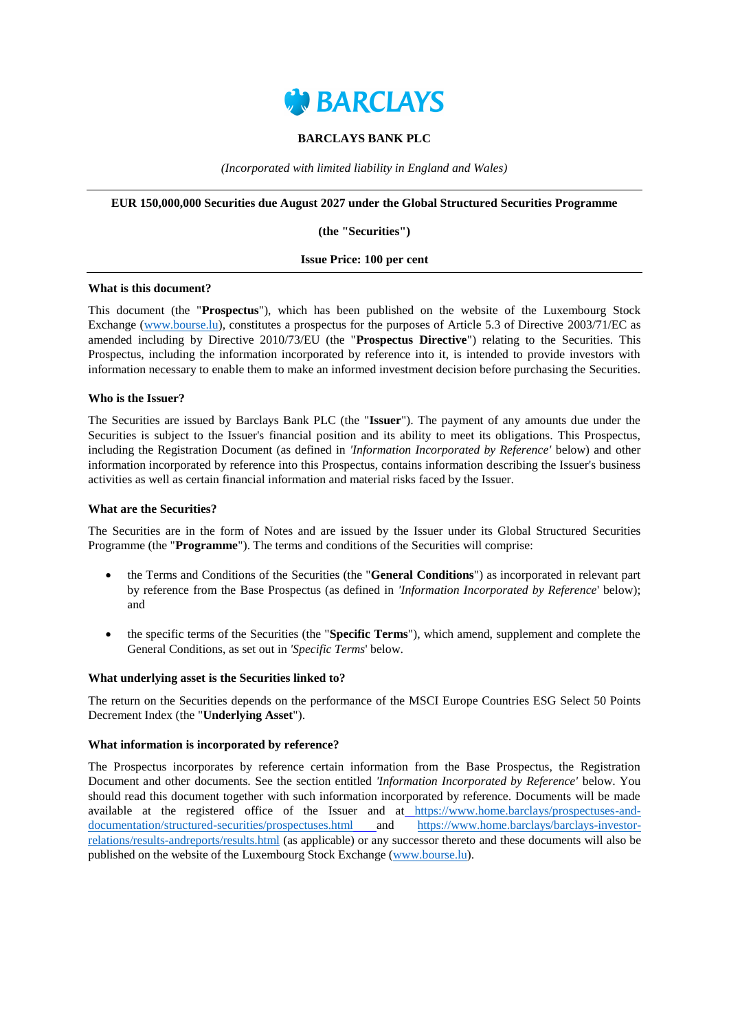

## **BARCLAYS BANK PLC**

*(Incorporated with limited liability in England and Wales)*

#### **EUR 150,000,000 Securities due August 2027 under the Global Structured Securities Programme**

**(the "Securities")**

#### **Issue Price: 100 per cent**

#### **What is this document?**

This document (the "**Prospectus**"), which has been published on the website of the Luxembourg Stock Exchange [\(www.bourse.lu\)](http://www.bourse.lu/), constitutes a prospectus for the purposes of Article 5.3 of Directive 2003/71/EC as amended including by Directive 2010/73/EU (the "**Prospectus Directive**") relating to the Securities. This Prospectus, including the information incorporated by reference into it, is intended to provide investors with information necessary to enable them to make an informed investment decision before purchasing the Securities.

#### **Who is the Issuer?**

The Securities are issued by Barclays Bank PLC (the "**Issuer**"). The payment of any amounts due under the Securities is subject to the Issuer's financial position and its ability to meet its obligations. This Prospectus, including the Registration Document (as defined in *'Information Incorporated by Reference'* below) and other information incorporated by reference into this Prospectus, contains information describing the Issuer's business activities as well as certain financial information and material risks faced by the Issuer.

#### **What are the Securities?**

The Securities are in the form of Notes and are issued by the Issuer under its Global Structured Securities Programme (the "**Programme**"). The terms and conditions of the Securities will comprise:

- the Terms and Conditions of the Securities (the "**General Conditions**") as incorporated in relevant part by reference from the Base Prospectus (as defined in *'Information Incorporated by Reference*' below); and
- the specific terms of the Securities (the "**Specific Terms**"), which amend, supplement and complete the General Conditions, as set out in *'Specific Terms*' below.

#### **What underlying asset is the Securities linked to?**

The return on the Securities depends on the performance of the MSCI Europe Countries ESG Select 50 Points Decrement Index (the "**Underlying Asset**").

#### **What information is incorporated by reference?**

The Prospectus incorporates by reference certain information from the Base Prospectus, the Registration Document and other documents. See the section entitled *'Information Incorporated by Reference'* below. You should read this document together with such information incorporated by reference. Documents will be made available at the registered office of the Issuer and at [https://www.home.barclays/prospectuses-and](https://www.home.barclays/prospectuses-and-documentation/structured-securities/prospectuses.html)[documentation/structured-securities/prospectuses.html](https://www.home.barclays/prospectuses-and-documentation/structured-securities/prospectuses.html) and [https://www.home.barclays/barclays-investor](https://www.home.barclays/barclays-investor-relations/results-andreports/results.html)[relations/results-andreports/results.html](https://www.home.barclays/barclays-investor-relations/results-andreports/results.html) (as applicable) or any successor thereto and these documents will also be published on the website of the Luxembourg Stock Exchange [\(www.bourse.lu\)](http://www.bourse.lu/).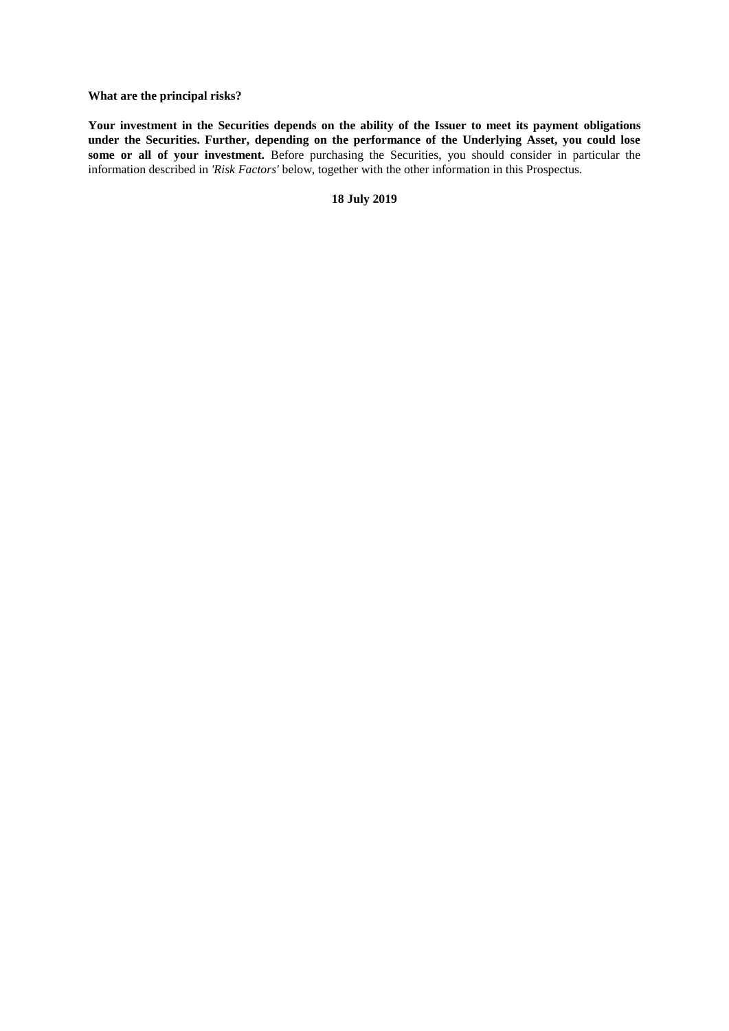**What are the principal risks?**

**Your investment in the Securities depends on the ability of the Issuer to meet its payment obligations under the Securities. Further, depending on the performance of the Underlying Asset, you could lose**  some or all of your investment. Before purchasing the Securities, you should consider in particular the information described in *'Risk Factors'* below, together with the other information in this Prospectus.

**18 July 2019**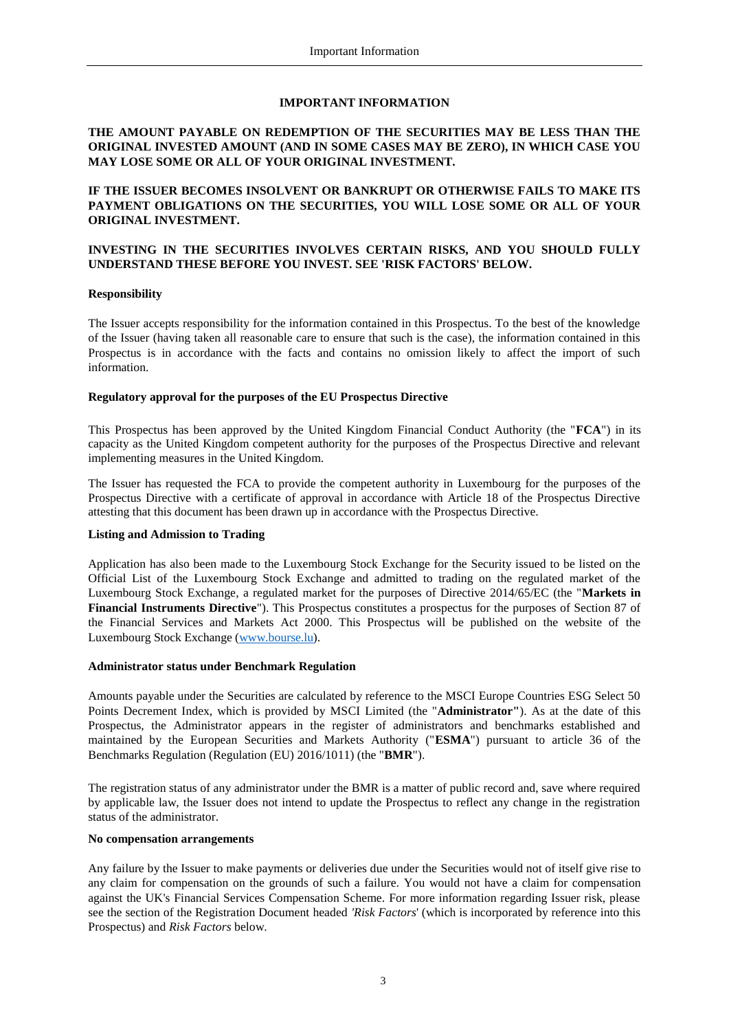## **IMPORTANT INFORMATION**

## **THE AMOUNT PAYABLE ON REDEMPTION OF THE SECURITIES MAY BE LESS THAN THE ORIGINAL INVESTED AMOUNT (AND IN SOME CASES MAY BE ZERO), IN WHICH CASE YOU MAY LOSE SOME OR ALL OF YOUR ORIGINAL INVESTMENT.**

# **IF THE ISSUER BECOMES INSOLVENT OR BANKRUPT OR OTHERWISE FAILS TO MAKE ITS PAYMENT OBLIGATIONS ON THE SECURITIES, YOU WILL LOSE SOME OR ALL OF YOUR ORIGINAL INVESTMENT.**

# **INVESTING IN THE SECURITIES INVOLVES CERTAIN RISKS, AND YOU SHOULD FULLY UNDERSTAND THESE BEFORE YOU INVEST. SEE 'RISK FACTORS' BELOW.**

## **Responsibility**

The Issuer accepts responsibility for the information contained in this Prospectus. To the best of the knowledge of the Issuer (having taken all reasonable care to ensure that such is the case), the information contained in this Prospectus is in accordance with the facts and contains no omission likely to affect the import of such information.

#### **Regulatory approval for the purposes of the EU Prospectus Directive**

This Prospectus has been approved by the United Kingdom Financial Conduct Authority (the "**FCA**") in its capacity as the United Kingdom competent authority for the purposes of the Prospectus Directive and relevant implementing measures in the United Kingdom.

The Issuer has requested the FCA to provide the competent authority in Luxembourg for the purposes of the Prospectus Directive with a certificate of approval in accordance with Article 18 of the Prospectus Directive attesting that this document has been drawn up in accordance with the Prospectus Directive.

## **Listing and Admission to Trading**

Application has also been made to the Luxembourg Stock Exchange for the Security issued to be listed on the Official List of the Luxembourg Stock Exchange and admitted to trading on the regulated market of the Luxembourg Stock Exchange, a regulated market for the purposes of Directive 2014/65/EC (the "**Markets in Financial Instruments Directive**"). This Prospectus constitutes a prospectus for the purposes of Section 87 of the Financial Services and Markets Act 2000. This Prospectus will be published on the website of the Luxembourg Stock Exchange [\(www.bourse.lu\)](http://www.bourse.lu/).

#### **Administrator status under Benchmark Regulation**

Amounts payable under the Securities are calculated by reference to the MSCI Europe Countries ESG Select 50 Points Decrement Index, which is provided by MSCI Limited (the "**Administrator"**). As at the date of this Prospectus, the Administrator appears in the register of administrators and benchmarks established and maintained by the European Securities and Markets Authority ("**ESMA**") pursuant to article 36 of the Benchmarks Regulation (Regulation (EU) 2016/1011) (the "**BMR**").

The registration status of any administrator under the BMR is a matter of public record and, save where required by applicable law, the Issuer does not intend to update the Prospectus to reflect any change in the registration status of the administrator.

#### **No compensation arrangements**

Any failure by the Issuer to make payments or deliveries due under the Securities would not of itself give rise to any claim for compensation on the grounds of such a failure. You would not have a claim for compensation against the UK's Financial Services Compensation Scheme. For more information regarding Issuer risk, please see the section of the Registration Document headed *'Risk Factors*' (which is incorporated by reference into this Prospectus) and *Risk Factors* below.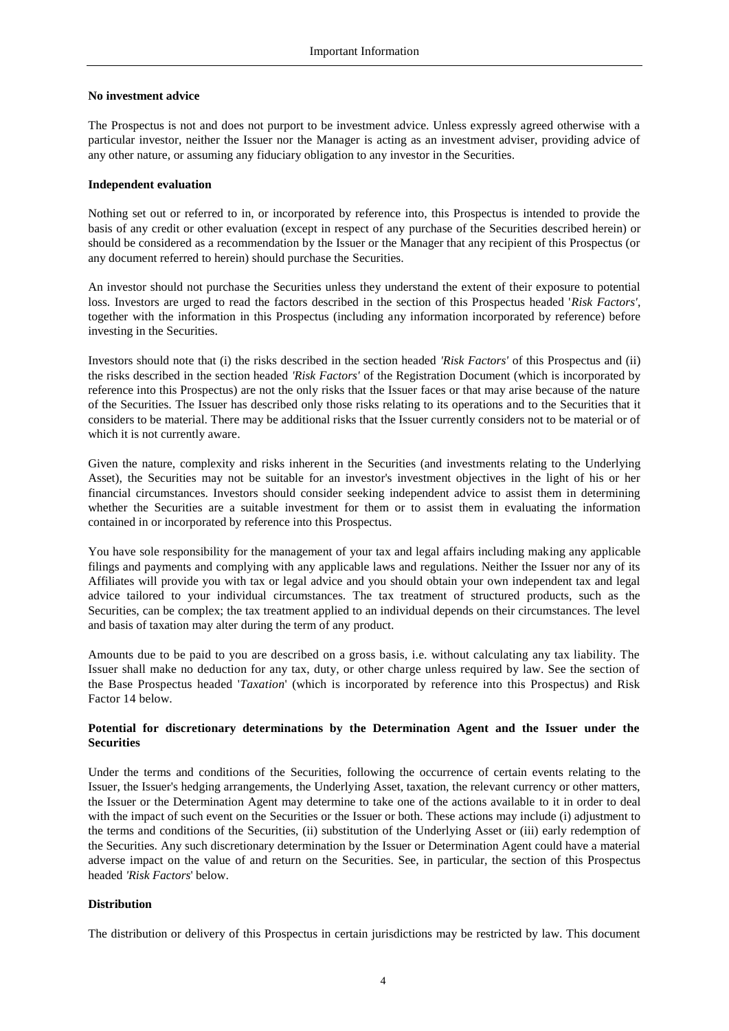## **No investment advice**

The Prospectus is not and does not purport to be investment advice. Unless expressly agreed otherwise with a particular investor, neither the Issuer nor the Manager is acting as an investment adviser, providing advice of any other nature, or assuming any fiduciary obligation to any investor in the Securities.

#### **Independent evaluation**

Nothing set out or referred to in, or incorporated by reference into, this Prospectus is intended to provide the basis of any credit or other evaluation (except in respect of any purchase of the Securities described herein) or should be considered as a recommendation by the Issuer or the Manager that any recipient of this Prospectus (or any document referred to herein) should purchase the Securities.

An investor should not purchase the Securities unless they understand the extent of their exposure to potential loss. Investors are urged to read the factors described in the section of this Prospectus headed '*Risk Factors'*, together with the information in this Prospectus (including any information incorporated by reference) before investing in the Securities.

Investors should note that (i) the risks described in the section headed *'Risk Factors'* of this Prospectus and (ii) the risks described in the section headed *'Risk Factors'* of the Registration Document (which is incorporated by reference into this Prospectus) are not the only risks that the Issuer faces or that may arise because of the nature of the Securities. The Issuer has described only those risks relating to its operations and to the Securities that it considers to be material. There may be additional risks that the Issuer currently considers not to be material or of which it is not currently aware.

Given the nature, complexity and risks inherent in the Securities (and investments relating to the Underlying Asset), the Securities may not be suitable for an investor's investment objectives in the light of his or her financial circumstances. Investors should consider seeking independent advice to assist them in determining whether the Securities are a suitable investment for them or to assist them in evaluating the information contained in or incorporated by reference into this Prospectus.

You have sole responsibility for the management of your tax and legal affairs including making any applicable filings and payments and complying with any applicable laws and regulations. Neither the Issuer nor any of its Affiliates will provide you with tax or legal advice and you should obtain your own independent tax and legal advice tailored to your individual circumstances. The tax treatment of structured products, such as the Securities, can be complex; the tax treatment applied to an individual depends on their circumstances. The level and basis of taxation may alter during the term of any product.

Amounts due to be paid to you are described on a gross basis, i.e. without calculating any tax liability. The Issuer shall make no deduction for any tax, duty, or other charge unless required by law. See the section of the Base Prospectus headed '*Taxation*' (which is incorporated by reference into this Prospectus) and Risk Factor 14 below.

# **Potential for discretionary determinations by the Determination Agent and the Issuer under the Securities**

Under the terms and conditions of the Securities, following the occurrence of certain events relating to the Issuer, the Issuer's hedging arrangements, the Underlying Asset, taxation, the relevant currency or other matters, the Issuer or the Determination Agent may determine to take one of the actions available to it in order to deal with the impact of such event on the Securities or the Issuer or both. These actions may include (i) adjustment to the terms and conditions of the Securities, (ii) substitution of the Underlying Asset or (iii) early redemption of the Securities. Any such discretionary determination by the Issuer or Determination Agent could have a material adverse impact on the value of and return on the Securities. See, in particular, the section of this Prospectus headed *'Risk Factors*' below.

## **Distribution**

The distribution or delivery of this Prospectus in certain jurisdictions may be restricted by law. This document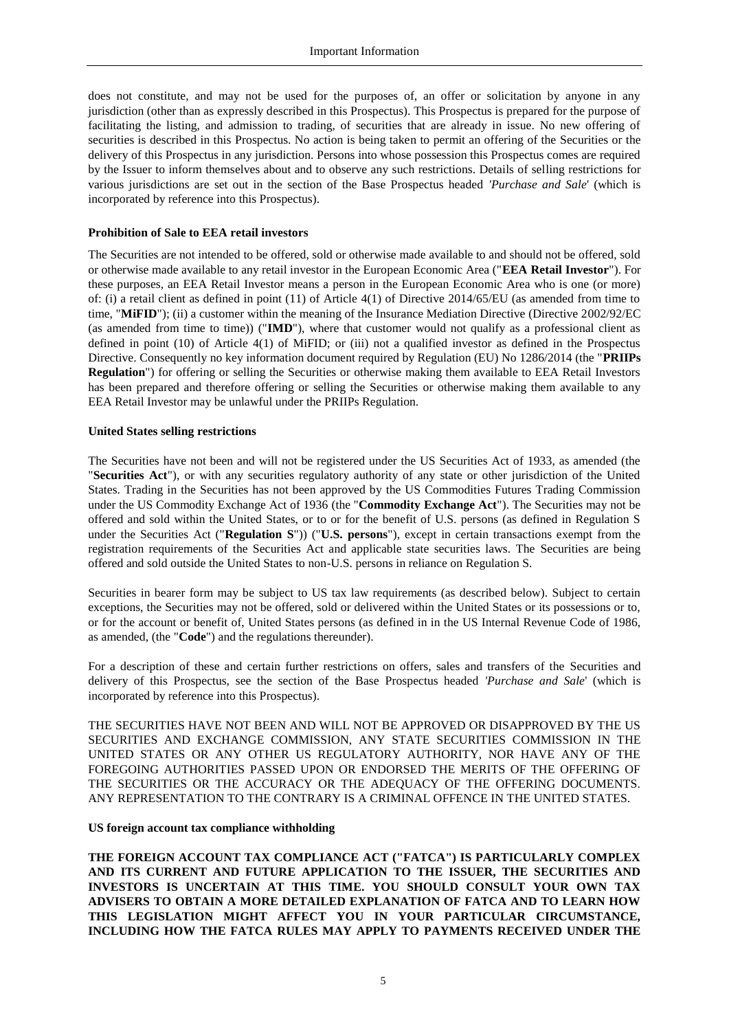does not constitute, and may not be used for the purposes of, an offer or solicitation by anyone in any jurisdiction (other than as expressly described in this Prospectus). This Prospectus is prepared for the purpose of facilitating the listing, and admission to trading, of securities that are already in issue. No new offering of securities is described in this Prospectus. No action is being taken to permit an offering of the Securities or the delivery of this Prospectus in any jurisdiction. Persons into whose possession this Prospectus comes are required by the Issuer to inform themselves about and to observe any such restrictions. Details of selling restrictions for various jurisdictions are set out in the section of the Base Prospectus headed *'Purchase and Sale*' (which is incorporated by reference into this Prospectus).

#### **Prohibition of Sale to EEA retail investors**

The Securities are not intended to be offered, sold or otherwise made available to and should not be offered, sold or otherwise made available to any retail investor in the European Economic Area ("**EEA Retail Investor**"). For these purposes, an EEA Retail Investor means a person in the European Economic Area who is one (or more) of: (i) a retail client as defined in point (11) of Article 4(1) of Directive 2014/65/EU (as amended from time to time, "MiFID"); (ii) a customer within the meaning of the Insurance Mediation Directive (Directive 2002/92/EC (as amended from time to time)) ("**IMD**"), where that customer would not qualify as a professional client as defined in point (10) of Article 4(1) of MiFID; or (iii) not a qualified investor as defined in the Prospectus Directive. Consequently no key information document required by Regulation (EU) No 1286/2014 (the "**PRIIPs Regulation**") for offering or selling the Securities or otherwise making them available to EEA Retail Investors has been prepared and therefore offering or selling the Securities or otherwise making them available to any EEA Retail Investor may be unlawful under the PRIIPs Regulation.

#### **United States selling restrictions**

The Securities have not been and will not be registered under the US Securities Act of 1933, as amended (the "**Securities Act**"), or with any securities regulatory authority of any state or other jurisdiction of the United States. Trading in the Securities has not been approved by the US Commodities Futures Trading Commission under the US Commodity Exchange Act of 1936 (the "**Commodity Exchange Act**"). The Securities may not be offered and sold within the United States, or to or for the benefit of U.S. persons (as defined in Regulation S under the Securities Act ("**Regulation S**")) ("**U.S. persons**"), except in certain transactions exempt from the registration requirements of the Securities Act and applicable state securities laws. The Securities are being offered and sold outside the United States to non-U.S. persons in reliance on Regulation S.

Securities in bearer form may be subject to US tax law requirements (as described below). Subject to certain exceptions, the Securities may not be offered, sold or delivered within the United States or its possessions or to, or for the account or benefit of, United States persons (as defined in in the US Internal Revenue Code of 1986, as amended, (the "**Code**") and the regulations thereunder).

For a description of these and certain further restrictions on offers, sales and transfers of the Securities and delivery of this Prospectus, see the section of the Base Prospectus headed *'Purchase and Sale*' (which is incorporated by reference into this Prospectus).

THE SECURITIES HAVE NOT BEEN AND WILL NOT BE APPROVED OR DISAPPROVED BY THE US SECURITIES AND EXCHANGE COMMISSION, ANY STATE SECURITIES COMMISSION IN THE UNITED STATES OR ANY OTHER US REGULATORY AUTHORITY, NOR HAVE ANY OF THE FOREGOING AUTHORITIES PASSED UPON OR ENDORSED THE MERITS OF THE OFFERING OF THE SECURITIES OR THE ACCURACY OR THE ADEQUACY OF THE OFFERING DOCUMENTS. ANY REPRESENTATION TO THE CONTRARY IS A CRIMINAL OFFENCE IN THE UNITED STATES.

#### **US foreign account tax compliance withholding**

**THE FOREIGN ACCOUNT TAX COMPLIANCE ACT ("FATCA") IS PARTICULARLY COMPLEX AND ITS CURRENT AND FUTURE APPLICATION TO THE ISSUER, THE SECURITIES AND INVESTORS IS UNCERTAIN AT THIS TIME. YOU SHOULD CONSULT YOUR OWN TAX ADVISERS TO OBTAIN A MORE DETAILED EXPLANATION OF FATCA AND TO LEARN HOW THIS LEGISLATION MIGHT AFFECT YOU IN YOUR PARTICULAR CIRCUMSTANCE, INCLUDING HOW THE FATCA RULES MAY APPLY TO PAYMENTS RECEIVED UNDER THE**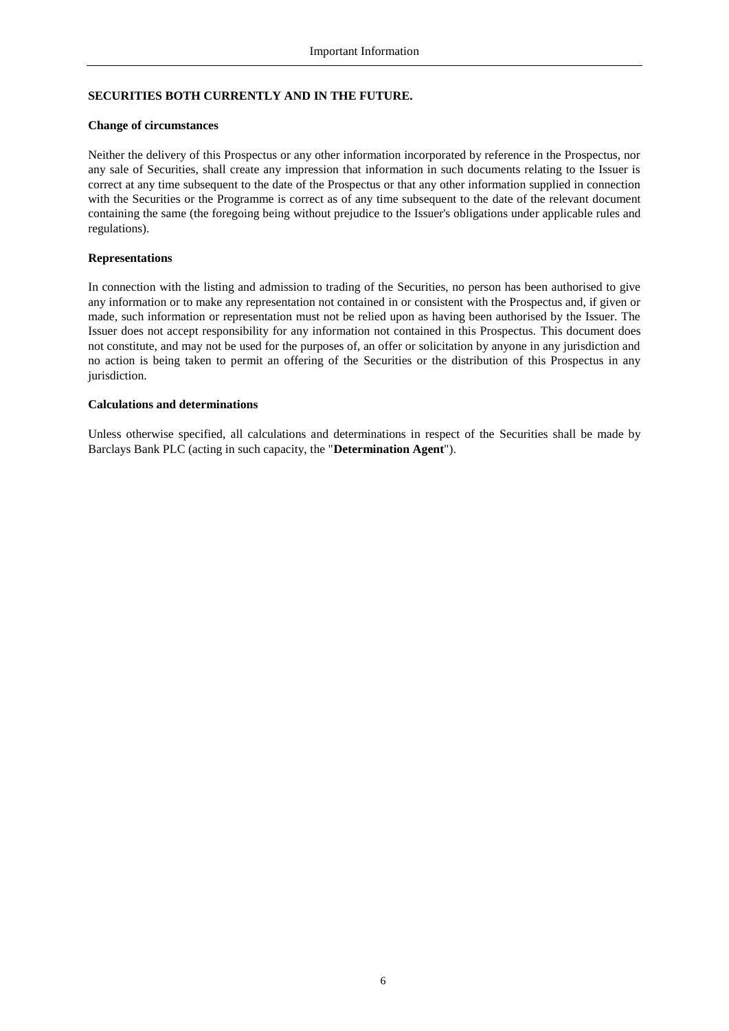# **SECURITIES BOTH CURRENTLY AND IN THE FUTURE.**

#### **Change of circumstances**

Neither the delivery of this Prospectus or any other information incorporated by reference in the Prospectus, nor any sale of Securities, shall create any impression that information in such documents relating to the Issuer is correct at any time subsequent to the date of the Prospectus or that any other information supplied in connection with the Securities or the Programme is correct as of any time subsequent to the date of the relevant document containing the same (the foregoing being without prejudice to the Issuer's obligations under applicable rules and regulations).

#### **Representations**

In connection with the listing and admission to trading of the Securities, no person has been authorised to give any information or to make any representation not contained in or consistent with the Prospectus and, if given or made, such information or representation must not be relied upon as having been authorised by the Issuer. The Issuer does not accept responsibility for any information not contained in this Prospectus. This document does not constitute, and may not be used for the purposes of, an offer or solicitation by anyone in any jurisdiction and no action is being taken to permit an offering of the Securities or the distribution of this Prospectus in any jurisdiction.

#### **Calculations and determinations**

Unless otherwise specified, all calculations and determinations in respect of the Securities shall be made by Barclays Bank PLC (acting in such capacity, the "**Determination Agent**").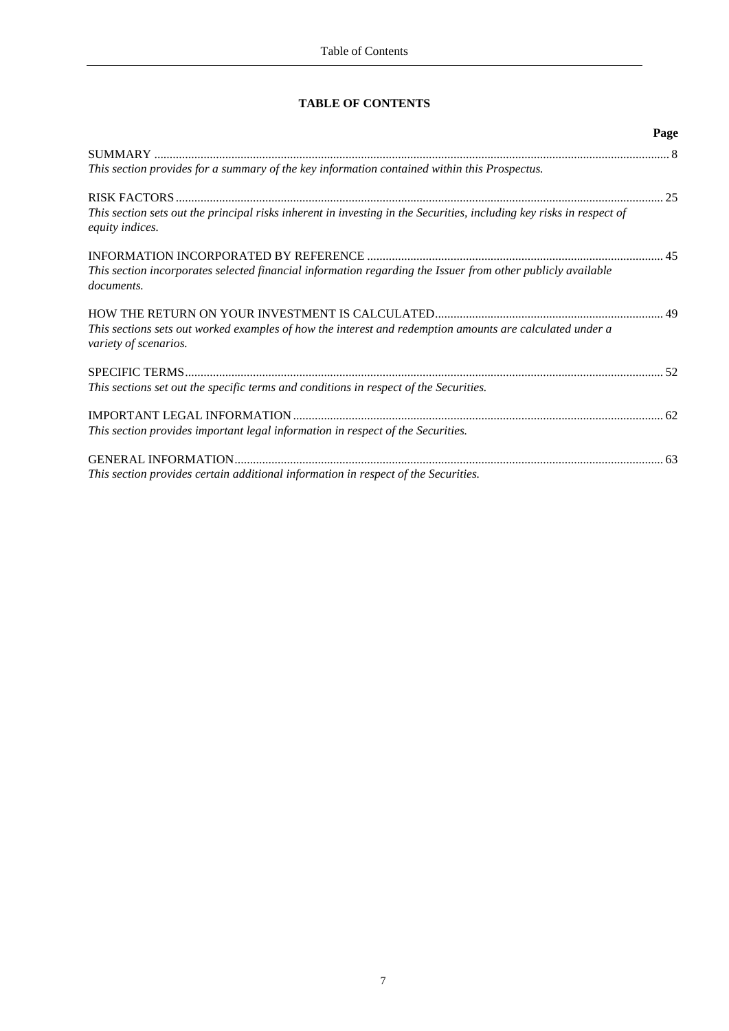# **TABLE OF CONTENTS**

|                                                                                                                                         | Page |
|-----------------------------------------------------------------------------------------------------------------------------------------|------|
|                                                                                                                                         |      |
| This section provides for a summary of the key information contained within this Prospectus.                                            |      |
|                                                                                                                                         |      |
| This section sets out the principal risks inherent in investing in the Securities, including key risks in respect of<br>equity indices. |      |
|                                                                                                                                         |      |
| This section incorporates selected financial information regarding the Issuer from other publicly available<br>documents.               |      |
| This sections sets out worked examples of how the interest and redemption amounts are calculated under a<br>variety of scenarios.       |      |
|                                                                                                                                         |      |
| This sections set out the specific terms and conditions in respect of the Securities.                                                   |      |
|                                                                                                                                         |      |
| This section provides important legal information in respect of the Securities.                                                         |      |
|                                                                                                                                         | 63   |
| This section provides certain additional information in respect of the Securities.                                                      |      |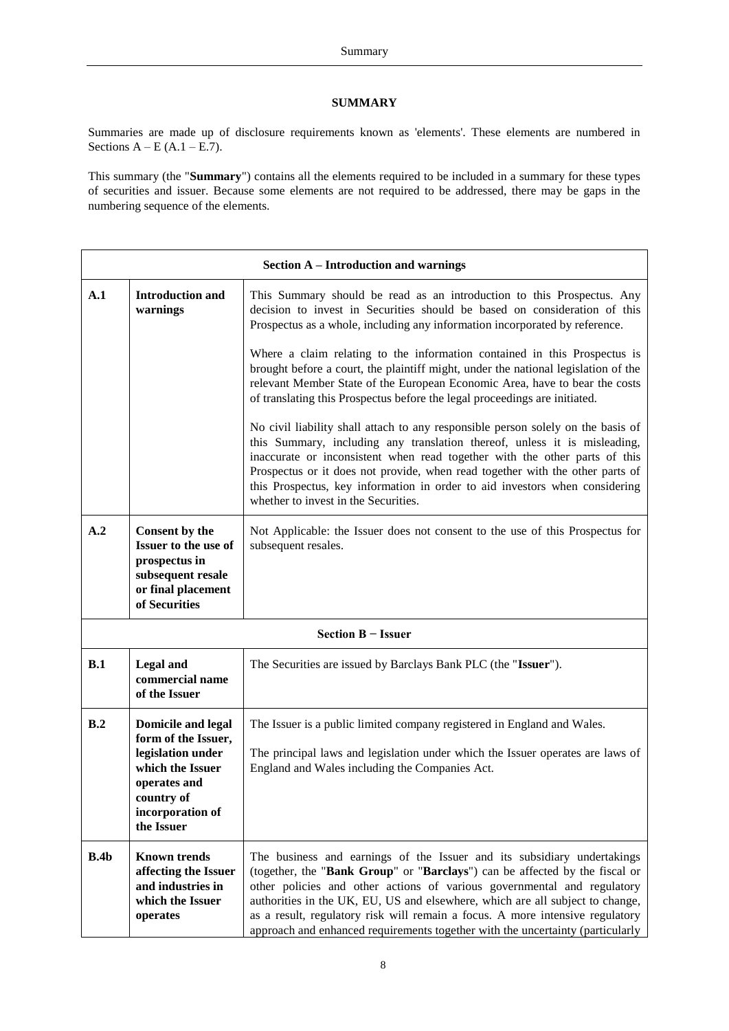## <span id="page-7-1"></span>**SUMMARY**

<span id="page-7-0"></span>Summaries are made up of disclosure requirements known as 'elements'. These elements are numbered in Sections  $A - E (A.1 - E.7)$ .

This summary (the "**Summary**") contains all the elements required to be included in a summary for these types of securities and issuer. Because some elements are not required to be addressed, there may be gaps in the numbering sequence of the elements.

|      | <b>Section A – Introduction and warnings</b>                                                                                                              |                                                                                                                                                                                                                                                                                                                                                                                                                                                                                       |  |  |
|------|-----------------------------------------------------------------------------------------------------------------------------------------------------------|---------------------------------------------------------------------------------------------------------------------------------------------------------------------------------------------------------------------------------------------------------------------------------------------------------------------------------------------------------------------------------------------------------------------------------------------------------------------------------------|--|--|
| A.1  | <b>Introduction and</b><br>warnings                                                                                                                       | This Summary should be read as an introduction to this Prospectus. Any<br>decision to invest in Securities should be based on consideration of this<br>Prospectus as a whole, including any information incorporated by reference.                                                                                                                                                                                                                                                    |  |  |
|      |                                                                                                                                                           | Where a claim relating to the information contained in this Prospectus is<br>brought before a court, the plaintiff might, under the national legislation of the<br>relevant Member State of the European Economic Area, have to bear the costs<br>of translating this Prospectus before the legal proceedings are initiated.                                                                                                                                                          |  |  |
|      |                                                                                                                                                           | No civil liability shall attach to any responsible person solely on the basis of<br>this Summary, including any translation thereof, unless it is misleading,<br>inaccurate or inconsistent when read together with the other parts of this<br>Prospectus or it does not provide, when read together with the other parts of<br>this Prospectus, key information in order to aid investors when considering<br>whether to invest in the Securities.                                   |  |  |
| A.2  | Consent by the<br>Issuer to the use of<br>prospectus in<br>subsequent resale<br>or final placement<br>of Securities                                       | Not Applicable: the Issuer does not consent to the use of this Prospectus for<br>subsequent resales.                                                                                                                                                                                                                                                                                                                                                                                  |  |  |
|      |                                                                                                                                                           | Section B - Issuer                                                                                                                                                                                                                                                                                                                                                                                                                                                                    |  |  |
| B.1  | <b>Legal</b> and<br>commercial name<br>of the Issuer                                                                                                      | The Securities are issued by Barclays Bank PLC (the "Issuer").                                                                                                                                                                                                                                                                                                                                                                                                                        |  |  |
| B.2  | <b>Domicile and legal</b><br>form of the Issuer,<br>legislation under<br>which the Issuer<br>operates and<br>country of<br>incorporation of<br>the Issuer | The Issuer is a public limited company registered in England and Wales.<br>The principal laws and legislation under which the Issuer operates are laws of<br>England and Wales including the Companies Act.                                                                                                                                                                                                                                                                           |  |  |
| B.4b | <b>Known trends</b><br>affecting the Issuer<br>and industries in<br>which the Issuer<br>operates                                                          | The business and earnings of the Issuer and its subsidiary undertakings<br>(together, the "Bank Group" or "Barclays") can be affected by the fiscal or<br>other policies and other actions of various governmental and regulatory<br>authorities in the UK, EU, US and elsewhere, which are all subject to change,<br>as a result, regulatory risk will remain a focus. A more intensive regulatory<br>approach and enhanced requirements together with the uncertainty (particularly |  |  |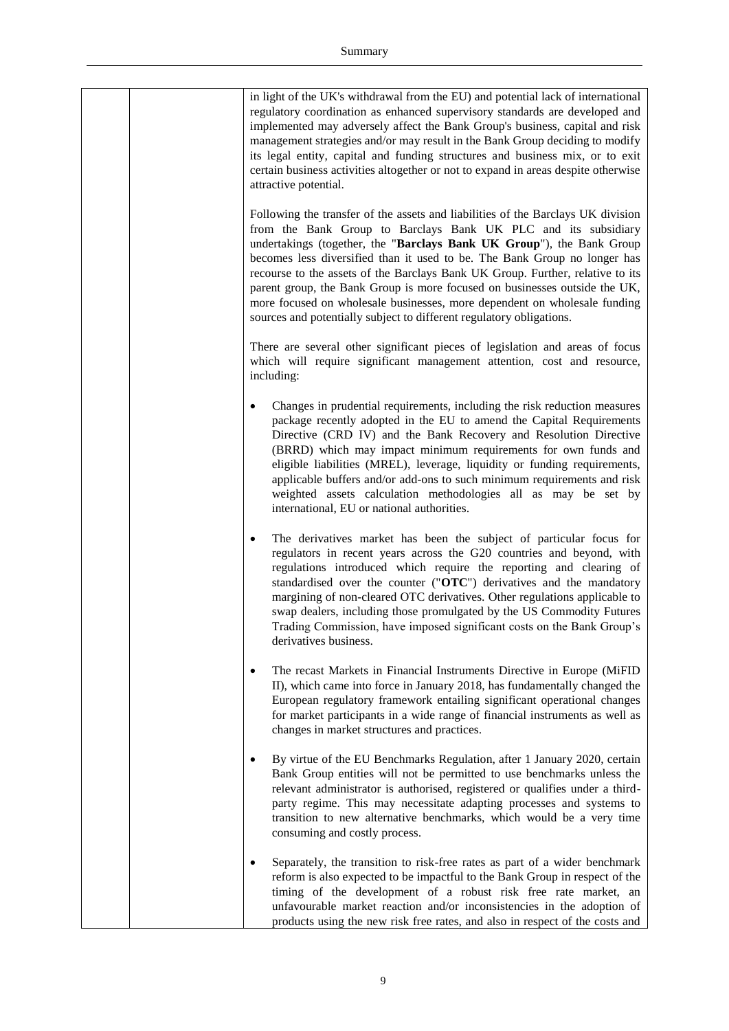| in light of the UK's withdrawal from the EU) and potential lack of international<br>regulatory coordination as enhanced supervisory standards are developed and<br>implemented may adversely affect the Bank Group's business, capital and risk<br>management strategies and/or may result in the Bank Group deciding to modify<br>its legal entity, capital and funding structures and business mix, or to exit<br>certain business activities altogether or not to expand in areas despite otherwise<br>attractive potential.<br>Following the transfer of the assets and liabilities of the Barclays UK division |
|---------------------------------------------------------------------------------------------------------------------------------------------------------------------------------------------------------------------------------------------------------------------------------------------------------------------------------------------------------------------------------------------------------------------------------------------------------------------------------------------------------------------------------------------------------------------------------------------------------------------|
| from the Bank Group to Barclays Bank UK PLC and its subsidiary<br>undertakings (together, the "Barclays Bank UK Group"), the Bank Group<br>becomes less diversified than it used to be. The Bank Group no longer has<br>recourse to the assets of the Barclays Bank UK Group. Further, relative to its<br>parent group, the Bank Group is more focused on businesses outside the UK,<br>more focused on wholesale businesses, more dependent on wholesale funding<br>sources and potentially subject to different regulatory obligations.                                                                           |
| There are several other significant pieces of legislation and areas of focus<br>which will require significant management attention, cost and resource,<br>including:                                                                                                                                                                                                                                                                                                                                                                                                                                               |
| Changes in prudential requirements, including the risk reduction measures<br>package recently adopted in the EU to amend the Capital Requirements<br>Directive (CRD IV) and the Bank Recovery and Resolution Directive<br>(BRRD) which may impact minimum requirements for own funds and<br>eligible liabilities (MREL), leverage, liquidity or funding requirements,<br>applicable buffers and/or add-ons to such minimum requirements and risk<br>weighted assets calculation methodologies all as may be set by<br>international, EU or national authorities.                                                    |
| The derivatives market has been the subject of particular focus for<br>regulators in recent years across the G20 countries and beyond, with<br>regulations introduced which require the reporting and clearing of<br>standardised over the counter ("OTC") derivatives and the mandatory<br>margining of non-cleared OTC derivatives. Other regulations applicable to<br>swap dealers, including those promulgated by the US Commodity Futures<br>Trading Commission, have imposed significant costs on the Bank Group's<br>derivatives business.                                                                   |
| The recast Markets in Financial Instruments Directive in Europe (MiFID<br>II), which came into force in January 2018, has fundamentally changed the<br>European regulatory framework entailing significant operational changes<br>for market participants in a wide range of financial instruments as well as<br>changes in market structures and practices.                                                                                                                                                                                                                                                        |
| By virtue of the EU Benchmarks Regulation, after 1 January 2020, certain<br>$\bullet$<br>Bank Group entities will not be permitted to use benchmarks unless the<br>relevant administrator is authorised, registered or qualifies under a third-<br>party regime. This may necessitate adapting processes and systems to<br>transition to new alternative benchmarks, which would be a very time<br>consuming and costly process.                                                                                                                                                                                    |
| Separately, the transition to risk-free rates as part of a wider benchmark<br>reform is also expected to be impactful to the Bank Group in respect of the<br>timing of the development of a robust risk free rate market, an<br>unfavourable market reaction and/or inconsistencies in the adoption of<br>products using the new risk free rates, and also in respect of the costs and                                                                                                                                                                                                                              |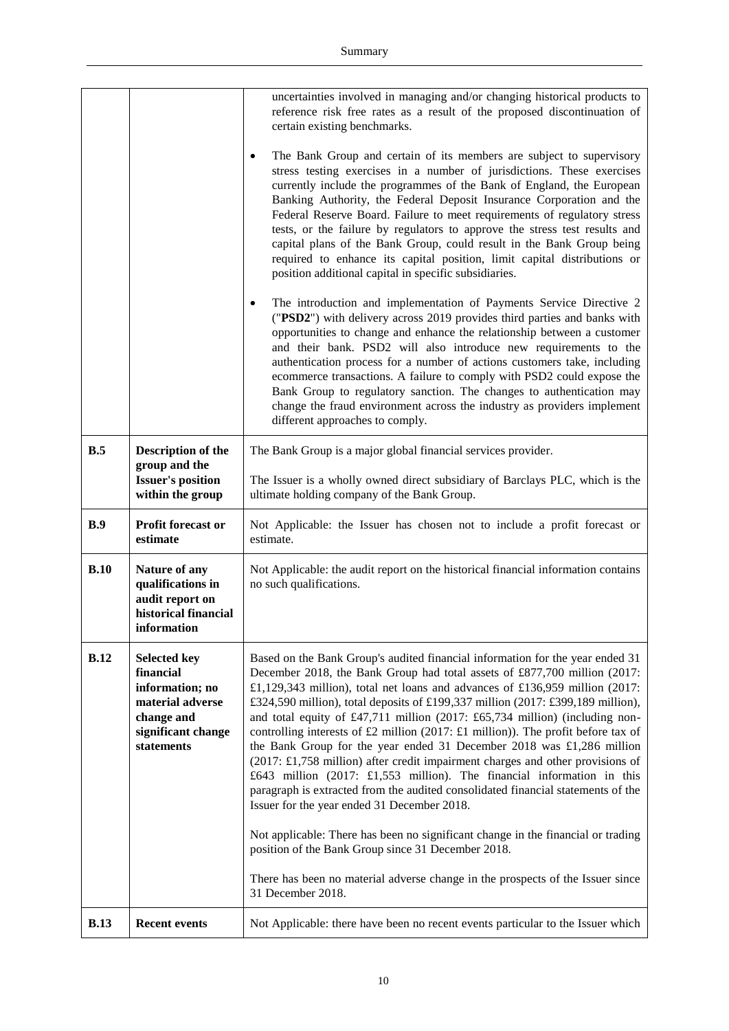|             |                                                                                                                           | uncertainties involved in managing and/or changing historical products to<br>reference risk free rates as a result of the proposed discontinuation of<br>certain existing benchmarks.                                                                                                                                                                                                                                                                                                                                                                                                                                                                                                                                                                                                                                                                                                                                                                                                  |  |
|-------------|---------------------------------------------------------------------------------------------------------------------------|----------------------------------------------------------------------------------------------------------------------------------------------------------------------------------------------------------------------------------------------------------------------------------------------------------------------------------------------------------------------------------------------------------------------------------------------------------------------------------------------------------------------------------------------------------------------------------------------------------------------------------------------------------------------------------------------------------------------------------------------------------------------------------------------------------------------------------------------------------------------------------------------------------------------------------------------------------------------------------------|--|
|             |                                                                                                                           | The Bank Group and certain of its members are subject to supervisory<br>stress testing exercises in a number of jurisdictions. These exercises<br>currently include the programmes of the Bank of England, the European<br>Banking Authority, the Federal Deposit Insurance Corporation and the<br>Federal Reserve Board. Failure to meet requirements of regulatory stress<br>tests, or the failure by regulators to approve the stress test results and<br>capital plans of the Bank Group, could result in the Bank Group being<br>required to enhance its capital position, limit capital distributions or<br>position additional capital in specific subsidiaries.                                                                                                                                                                                                                                                                                                                |  |
|             |                                                                                                                           | The introduction and implementation of Payments Service Directive 2<br>$\bullet$<br>("PSD2") with delivery across 2019 provides third parties and banks with<br>opportunities to change and enhance the relationship between a customer<br>and their bank. PSD2 will also introduce new requirements to the<br>authentication process for a number of actions customers take, including<br>ecommerce transactions. A failure to comply with PSD2 could expose the<br>Bank Group to regulatory sanction. The changes to authentication may<br>change the fraud environment across the industry as providers implement<br>different approaches to comply.                                                                                                                                                                                                                                                                                                                                |  |
| B.5         | <b>Description of the</b><br>group and the                                                                                | The Bank Group is a major global financial services provider.                                                                                                                                                                                                                                                                                                                                                                                                                                                                                                                                                                                                                                                                                                                                                                                                                                                                                                                          |  |
|             | <b>Issuer's position</b><br>within the group                                                                              | The Issuer is a wholly owned direct subsidiary of Barclays PLC, which is the<br>ultimate holding company of the Bank Group.                                                                                                                                                                                                                                                                                                                                                                                                                                                                                                                                                                                                                                                                                                                                                                                                                                                            |  |
| B.9         | Profit forecast or<br>estimate                                                                                            | Not Applicable: the Issuer has chosen not to include a profit forecast or<br>estimate.                                                                                                                                                                                                                                                                                                                                                                                                                                                                                                                                                                                                                                                                                                                                                                                                                                                                                                 |  |
| B.10        | Nature of any<br>qualifications in<br>audit report on<br>historical financial<br>information                              | Not Applicable: the audit report on the historical financial information contains<br>no such qualifications.                                                                                                                                                                                                                                                                                                                                                                                                                                                                                                                                                                                                                                                                                                                                                                                                                                                                           |  |
| B.12        | <b>Selected key</b><br>financial<br>information; no<br>material adverse<br>change and<br>significant change<br>statements | Based on the Bank Group's audited financial information for the year ended 31<br>December 2018, the Bank Group had total assets of £877,700 million (2017:<br>£1,129,343 million), total net loans and advances of £136,959 million $(2017)$ :<br>£324,590 million), total deposits of £199,337 million (2017: £399,189 million),<br>and total equity of £47,711 million (2017: £65,734 million) (including non-<br>controlling interests of £2 million (2017: £1 million)). The profit before tax of<br>the Bank Group for the year ended 31 December 2018 was £1,286 million<br>$(2017: \text{\textsterling}1,758$ million) after credit impairment charges and other provisions of<br>£643 million (2017: £1,553 million). The financial information in this<br>paragraph is extracted from the audited consolidated financial statements of the<br>Issuer for the year ended 31 December 2018.<br>Not applicable: There has been no significant change in the financial or trading |  |
|             |                                                                                                                           | position of the Bank Group since 31 December 2018.<br>There has been no material adverse change in the prospects of the Issuer since                                                                                                                                                                                                                                                                                                                                                                                                                                                                                                                                                                                                                                                                                                                                                                                                                                                   |  |
|             |                                                                                                                           | 31 December 2018.                                                                                                                                                                                                                                                                                                                                                                                                                                                                                                                                                                                                                                                                                                                                                                                                                                                                                                                                                                      |  |
| <b>B.13</b> | <b>Recent events</b>                                                                                                      | Not Applicable: there have been no recent events particular to the Issuer which                                                                                                                                                                                                                                                                                                                                                                                                                                                                                                                                                                                                                                                                                                                                                                                                                                                                                                        |  |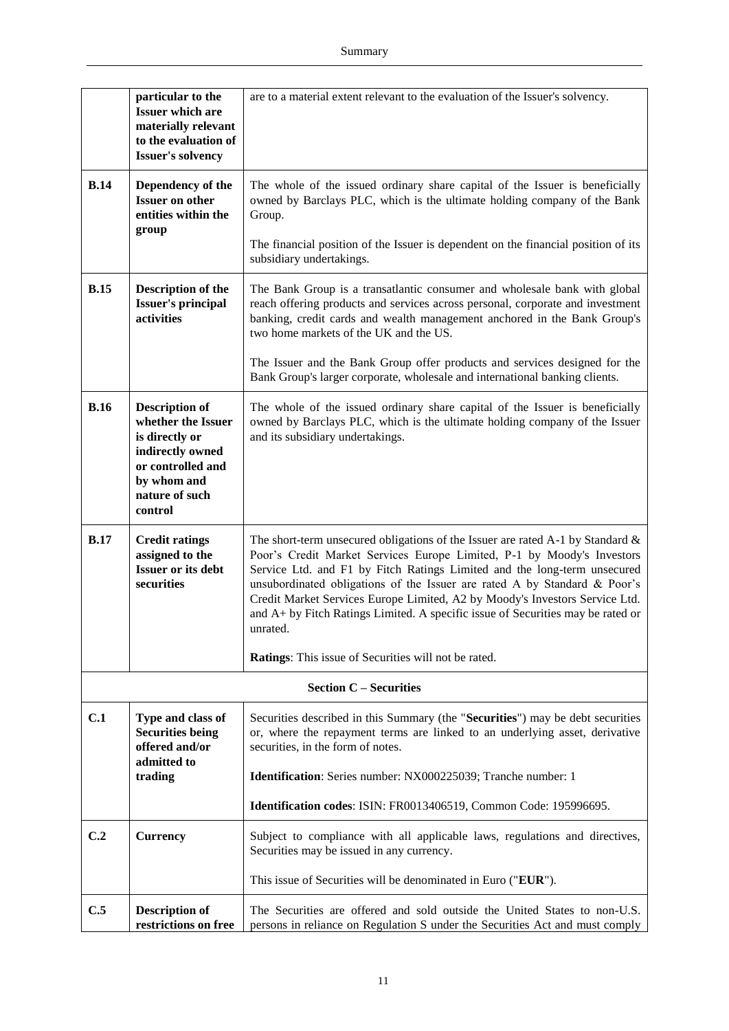|                                                                                            | particular to the<br><b>Issuer which are</b><br>materially relevant<br>to the evaluation of<br><b>Issuer's solvency</b>                            | are to a material extent relevant to the evaluation of the Issuer's solvency.                                                                                                                                                                                                                                                                                                                                                                                                                      |  |
|--------------------------------------------------------------------------------------------|----------------------------------------------------------------------------------------------------------------------------------------------------|----------------------------------------------------------------------------------------------------------------------------------------------------------------------------------------------------------------------------------------------------------------------------------------------------------------------------------------------------------------------------------------------------------------------------------------------------------------------------------------------------|--|
| <b>B.14</b><br>Dependency of the<br><b>Issuer on other</b><br>entities within the<br>group |                                                                                                                                                    | The whole of the issued ordinary share capital of the Issuer is beneficially<br>owned by Barclays PLC, which is the ultimate holding company of the Bank<br>Group.                                                                                                                                                                                                                                                                                                                                 |  |
|                                                                                            |                                                                                                                                                    | The financial position of the Issuer is dependent on the financial position of its<br>subsidiary undertakings.                                                                                                                                                                                                                                                                                                                                                                                     |  |
| <b>B.15</b><br><b>Description of the</b><br><b>Issuer's principal</b><br>activities        |                                                                                                                                                    | The Bank Group is a transatlantic consumer and wholesale bank with global<br>reach offering products and services across personal, corporate and investment<br>banking, credit cards and wealth management anchored in the Bank Group's<br>two home markets of the UK and the US.                                                                                                                                                                                                                  |  |
|                                                                                            |                                                                                                                                                    | The Issuer and the Bank Group offer products and services designed for the<br>Bank Group's larger corporate, wholesale and international banking clients.                                                                                                                                                                                                                                                                                                                                          |  |
| <b>B.16</b>                                                                                | <b>Description of</b><br>whether the Issuer<br>is directly or<br>indirectly owned<br>or controlled and<br>by whom and<br>nature of such<br>control | The whole of the issued ordinary share capital of the Issuer is beneficially<br>owned by Barclays PLC, which is the ultimate holding company of the Issuer<br>and its subsidiary undertakings.                                                                                                                                                                                                                                                                                                     |  |
| <b>B.17</b>                                                                                | <b>Credit ratings</b><br>assigned to the<br><b>Issuer or its debt</b><br>securities                                                                | The short-term unsecured obligations of the Issuer are rated A-1 by Standard $\&$<br>Poor's Credit Market Services Europe Limited, P-1 by Moody's Investors<br>Service Ltd. and F1 by Fitch Ratings Limited and the long-term unsecured<br>unsubordinated obligations of the Issuer are rated A by Standard & Poor's<br>Credit Market Services Europe Limited, A2 by Moody's Investors Service Ltd.<br>and A+ by Fitch Ratings Limited. A specific issue of Securities may be rated or<br>unrated. |  |
|                                                                                            |                                                                                                                                                    | Ratings: This issue of Securities will not be rated.                                                                                                                                                                                                                                                                                                                                                                                                                                               |  |
|                                                                                            |                                                                                                                                                    | <b>Section C – Securities</b>                                                                                                                                                                                                                                                                                                                                                                                                                                                                      |  |
| C.1                                                                                        | Type and class of<br><b>Securities being</b><br>offered and/or<br>admitted to                                                                      | Securities described in this Summary (the "Securities") may be debt securities<br>or, where the repayment terms are linked to an underlying asset, derivative<br>securities, in the form of notes.                                                                                                                                                                                                                                                                                                 |  |
|                                                                                            | trading                                                                                                                                            | Identification: Series number: NX000225039; Tranche number: 1                                                                                                                                                                                                                                                                                                                                                                                                                                      |  |
|                                                                                            |                                                                                                                                                    | Identification codes: ISIN: FR0013406519, Common Code: 195996695.                                                                                                                                                                                                                                                                                                                                                                                                                                  |  |
| C.2                                                                                        | <b>Currency</b>                                                                                                                                    | Subject to compliance with all applicable laws, regulations and directives,<br>Securities may be issued in any currency.                                                                                                                                                                                                                                                                                                                                                                           |  |
|                                                                                            |                                                                                                                                                    | This issue of Securities will be denominated in Euro ("EUR").                                                                                                                                                                                                                                                                                                                                                                                                                                      |  |
| C.5                                                                                        | <b>Description of</b><br>restrictions on free                                                                                                      | The Securities are offered and sold outside the United States to non-U.S.<br>persons in reliance on Regulation S under the Securities Act and must comply                                                                                                                                                                                                                                                                                                                                          |  |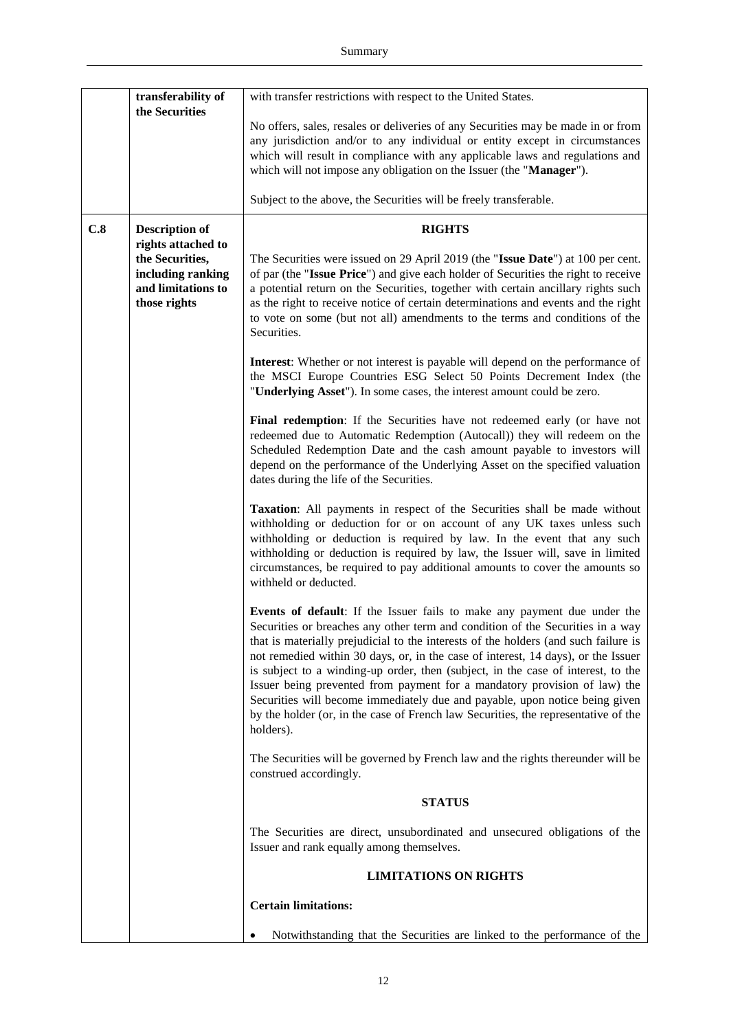|     | transferability of<br>the Securities                                                             | with transfer restrictions with respect to the United States.                                                                                                                                                                                                                                                                                                                                                                                                                                                                                                                                                                                                                             |
|-----|--------------------------------------------------------------------------------------------------|-------------------------------------------------------------------------------------------------------------------------------------------------------------------------------------------------------------------------------------------------------------------------------------------------------------------------------------------------------------------------------------------------------------------------------------------------------------------------------------------------------------------------------------------------------------------------------------------------------------------------------------------------------------------------------------------|
|     |                                                                                                  | No offers, sales, resales or deliveries of any Securities may be made in or from<br>any jurisdiction and/or to any individual or entity except in circumstances<br>which will result in compliance with any applicable laws and regulations and<br>which will not impose any obligation on the Issuer (the "Manager").                                                                                                                                                                                                                                                                                                                                                                    |
|     |                                                                                                  | Subject to the above, the Securities will be freely transferable.                                                                                                                                                                                                                                                                                                                                                                                                                                                                                                                                                                                                                         |
| C.8 | <b>Description of</b>                                                                            | <b>RIGHTS</b>                                                                                                                                                                                                                                                                                                                                                                                                                                                                                                                                                                                                                                                                             |
|     | rights attached to<br>the Securities,<br>including ranking<br>and limitations to<br>those rights | The Securities were issued on 29 April 2019 (the "Issue Date") at 100 per cent.<br>of par (the "Issue Price") and give each holder of Securities the right to receive<br>a potential return on the Securities, together with certain ancillary rights such<br>as the right to receive notice of certain determinations and events and the right<br>to vote on some (but not all) amendments to the terms and conditions of the<br>Securities.                                                                                                                                                                                                                                             |
|     |                                                                                                  | Interest: Whether or not interest is payable will depend on the performance of<br>the MSCI Europe Countries ESG Select 50 Points Decrement Index (the<br>"Underlying Asset"). In some cases, the interest amount could be zero.                                                                                                                                                                                                                                                                                                                                                                                                                                                           |
|     |                                                                                                  | Final redemption: If the Securities have not redeemed early (or have not<br>redeemed due to Automatic Redemption (Autocall)) they will redeem on the<br>Scheduled Redemption Date and the cash amount payable to investors will<br>depend on the performance of the Underlying Asset on the specified valuation<br>dates during the life of the Securities.                                                                                                                                                                                                                                                                                                                               |
|     |                                                                                                  | Taxation: All payments in respect of the Securities shall be made without<br>withholding or deduction for or on account of any UK taxes unless such<br>withholding or deduction is required by law. In the event that any such<br>withholding or deduction is required by law, the Issuer will, save in limited<br>circumstances, be required to pay additional amounts to cover the amounts so<br>withheld or deducted.                                                                                                                                                                                                                                                                  |
|     |                                                                                                  | Events of default: If the Issuer fails to make any payment due under the<br>Securities or breaches any other term and condition of the Securities in a way<br>that is materially prejudicial to the interests of the holders (and such failure is<br>not remedied within 30 days, or, in the case of interest, 14 days), or the Issuer<br>is subject to a winding-up order, then (subject, in the case of interest, to the<br>Issuer being prevented from payment for a mandatory provision of law) the<br>Securities will become immediately due and payable, upon notice being given<br>by the holder (or, in the case of French law Securities, the representative of the<br>holders). |
|     |                                                                                                  | The Securities will be governed by French law and the rights thereunder will be<br>construed accordingly.                                                                                                                                                                                                                                                                                                                                                                                                                                                                                                                                                                                 |
|     |                                                                                                  | <b>STATUS</b>                                                                                                                                                                                                                                                                                                                                                                                                                                                                                                                                                                                                                                                                             |
|     |                                                                                                  | The Securities are direct, unsubordinated and unsecured obligations of the<br>Issuer and rank equally among themselves.                                                                                                                                                                                                                                                                                                                                                                                                                                                                                                                                                                   |
|     |                                                                                                  | <b>LIMITATIONS ON RIGHTS</b>                                                                                                                                                                                                                                                                                                                                                                                                                                                                                                                                                                                                                                                              |
|     |                                                                                                  | <b>Certain limitations:</b>                                                                                                                                                                                                                                                                                                                                                                                                                                                                                                                                                                                                                                                               |
|     |                                                                                                  | Notwithstanding that the Securities are linked to the performance of the                                                                                                                                                                                                                                                                                                                                                                                                                                                                                                                                                                                                                  |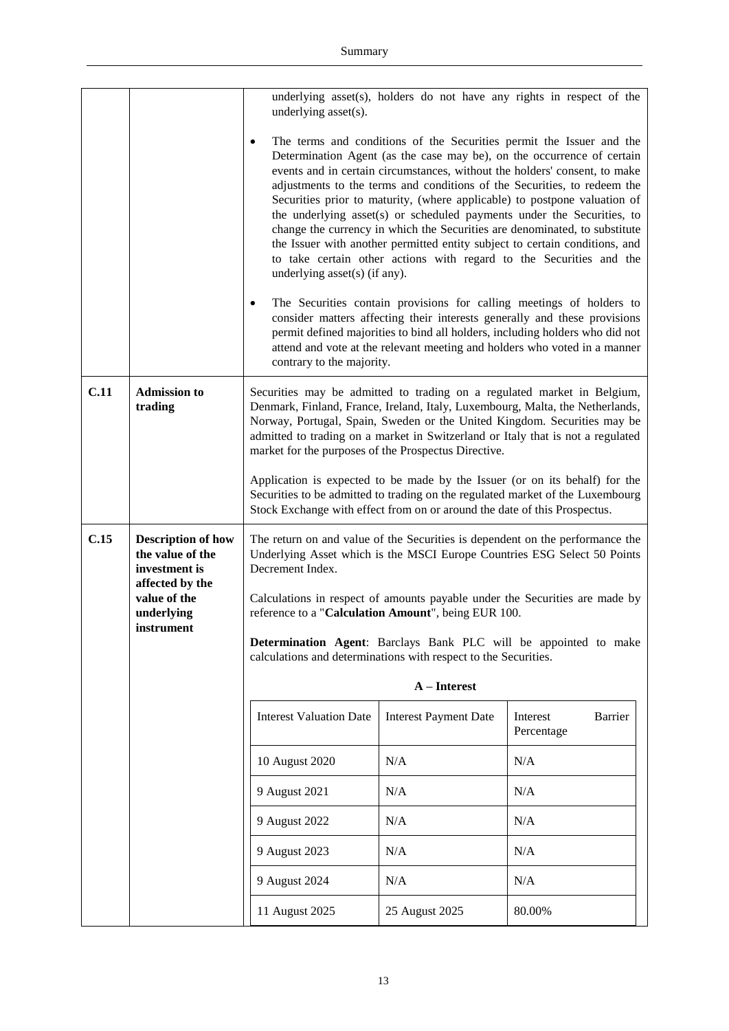|      |                                                                | underlying asset(s).                                                 |                                                                           | underlying asset(s), holders do not have any rights in respect of the                                                                                                                                                                                                                                                                                                                                                                                                                                                                                                                                                                                                                                                                                                                                                                                                                                                                                                                                                 |
|------|----------------------------------------------------------------|----------------------------------------------------------------------|---------------------------------------------------------------------------|-----------------------------------------------------------------------------------------------------------------------------------------------------------------------------------------------------------------------------------------------------------------------------------------------------------------------------------------------------------------------------------------------------------------------------------------------------------------------------------------------------------------------------------------------------------------------------------------------------------------------------------------------------------------------------------------------------------------------------------------------------------------------------------------------------------------------------------------------------------------------------------------------------------------------------------------------------------------------------------------------------------------------|
|      |                                                                | ٠<br>underlying asset(s) (if any).<br>٠<br>contrary to the majority. |                                                                           | The terms and conditions of the Securities permit the Issuer and the<br>Determination Agent (as the case may be), on the occurrence of certain<br>events and in certain circumstances, without the holders' consent, to make<br>adjustments to the terms and conditions of the Securities, to redeem the<br>Securities prior to maturity, (where applicable) to postpone valuation of<br>the underlying asset(s) or scheduled payments under the Securities, to<br>change the currency in which the Securities are denominated, to substitute<br>the Issuer with another permitted entity subject to certain conditions, and<br>to take certain other actions with regard to the Securities and the<br>The Securities contain provisions for calling meetings of holders to<br>consider matters affecting their interests generally and these provisions<br>permit defined majorities to bind all holders, including holders who did not<br>attend and vote at the relevant meeting and holders who voted in a manner |
| C.11 | <b>Admission to</b>                                            |                                                                      |                                                                           | Securities may be admitted to trading on a regulated market in Belgium,                                                                                                                                                                                                                                                                                                                                                                                                                                                                                                                                                                                                                                                                                                                                                                                                                                                                                                                                               |
|      | trading                                                        |                                                                      | market for the purposes of the Prospectus Directive.                      | Denmark, Finland, France, Ireland, Italy, Luxembourg, Malta, the Netherlands,<br>Norway, Portugal, Spain, Sweden or the United Kingdom. Securities may be<br>admitted to trading on a market in Switzerland or Italy that is not a regulated                                                                                                                                                                                                                                                                                                                                                                                                                                                                                                                                                                                                                                                                                                                                                                          |
|      |                                                                |                                                                      | Stock Exchange with effect from on or around the date of this Prospectus. | Application is expected to be made by the Issuer (or on its behalf) for the<br>Securities to be admitted to trading on the regulated market of the Luxembourg                                                                                                                                                                                                                                                                                                                                                                                                                                                                                                                                                                                                                                                                                                                                                                                                                                                         |
| C.15 | <b>Description of how</b><br>the value of the<br>investment is | Decrement Index.                                                     |                                                                           | The return on and value of the Securities is dependent on the performance the<br>Underlying Asset which is the MSCI Europe Countries ESG Select 50 Points                                                                                                                                                                                                                                                                                                                                                                                                                                                                                                                                                                                                                                                                                                                                                                                                                                                             |
|      | affected by the<br>value of the<br>underlying<br>instrument    | reference to a "Calculation Amount", being EUR 100.                  |                                                                           | Calculations in respect of amounts payable under the Securities are made by                                                                                                                                                                                                                                                                                                                                                                                                                                                                                                                                                                                                                                                                                                                                                                                                                                                                                                                                           |
|      |                                                                | calculations and determinations with respect to the Securities.      |                                                                           | Determination Agent: Barclays Bank PLC will be appointed to make                                                                                                                                                                                                                                                                                                                                                                                                                                                                                                                                                                                                                                                                                                                                                                                                                                                                                                                                                      |
|      |                                                                |                                                                      | A - Interest                                                              |                                                                                                                                                                                                                                                                                                                                                                                                                                                                                                                                                                                                                                                                                                                                                                                                                                                                                                                                                                                                                       |
|      |                                                                | <b>Interest Valuation Date</b>                                       | <b>Interest Payment Date</b>                                              | Barrier<br>Interest<br>Percentage                                                                                                                                                                                                                                                                                                                                                                                                                                                                                                                                                                                                                                                                                                                                                                                                                                                                                                                                                                                     |
|      |                                                                | 10 August 2020                                                       | N/A                                                                       | N/A                                                                                                                                                                                                                                                                                                                                                                                                                                                                                                                                                                                                                                                                                                                                                                                                                                                                                                                                                                                                                   |
|      |                                                                | 9 August 2021                                                        | N/A                                                                       | N/A                                                                                                                                                                                                                                                                                                                                                                                                                                                                                                                                                                                                                                                                                                                                                                                                                                                                                                                                                                                                                   |
|      |                                                                | 9 August 2022                                                        | N/A                                                                       | N/A                                                                                                                                                                                                                                                                                                                                                                                                                                                                                                                                                                                                                                                                                                                                                                                                                                                                                                                                                                                                                   |
|      |                                                                | 9 August 2023                                                        | N/A                                                                       | N/A                                                                                                                                                                                                                                                                                                                                                                                                                                                                                                                                                                                                                                                                                                                                                                                                                                                                                                                                                                                                                   |
|      |                                                                | 9 August 2024                                                        | N/A                                                                       | N/A                                                                                                                                                                                                                                                                                                                                                                                                                                                                                                                                                                                                                                                                                                                                                                                                                                                                                                                                                                                                                   |
|      |                                                                | 11 August 2025                                                       | 25 August 2025                                                            | 80.00%                                                                                                                                                                                                                                                                                                                                                                                                                                                                                                                                                                                                                                                                                                                                                                                                                                                                                                                                                                                                                |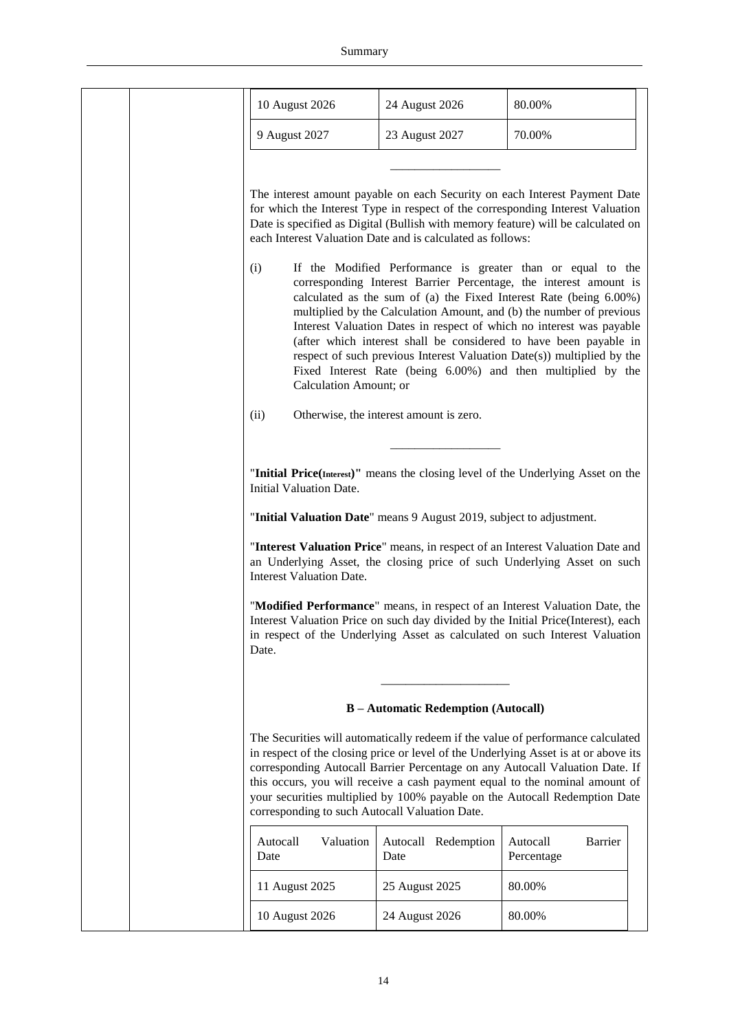| 10 August 2026                                 | 24 August 2026                                                       | 80.00%                                                                                                                                                                                                                                                                                                                                                                                                                                                                                                                                                                |
|------------------------------------------------|----------------------------------------------------------------------|-----------------------------------------------------------------------------------------------------------------------------------------------------------------------------------------------------------------------------------------------------------------------------------------------------------------------------------------------------------------------------------------------------------------------------------------------------------------------------------------------------------------------------------------------------------------------|
| 9 August 2027                                  | 23 August 2027                                                       | 70.00%                                                                                                                                                                                                                                                                                                                                                                                                                                                                                                                                                                |
|                                                |                                                                      |                                                                                                                                                                                                                                                                                                                                                                                                                                                                                                                                                                       |
|                                                | each Interest Valuation Date and is calculated as follows:           | The interest amount payable on each Security on each Interest Payment Date<br>for which the Interest Type in respect of the corresponding Interest Valuation<br>Date is specified as Digital (Bullish with memory feature) will be calculated on                                                                                                                                                                                                                                                                                                                      |
| (i)<br>Calculation Amount; or                  |                                                                      | If the Modified Performance is greater than or equal to the<br>corresponding Interest Barrier Percentage, the interest amount is<br>calculated as the sum of (a) the Fixed Interest Rate (being 6.00%)<br>multiplied by the Calculation Amount, and (b) the number of previous<br>Interest Valuation Dates in respect of which no interest was payable<br>(after which interest shall be considered to have been payable in<br>respect of such previous Interest Valuation Date(s)) multiplied by the<br>Fixed Interest Rate (being 6.00%) and then multiplied by the |
| (ii)                                           | Otherwise, the interest amount is zero.                              |                                                                                                                                                                                                                                                                                                                                                                                                                                                                                                                                                                       |
|                                                |                                                                      |                                                                                                                                                                                                                                                                                                                                                                                                                                                                                                                                                                       |
| Initial Valuation Date.                        |                                                                      | "Initial Price(Interest)" means the closing level of the Underlying Asset on the                                                                                                                                                                                                                                                                                                                                                                                                                                                                                      |
|                                                | "Initial Valuation Date" means 9 August 2019, subject to adjustment. |                                                                                                                                                                                                                                                                                                                                                                                                                                                                                                                                                                       |
| <b>Interest Valuation Date.</b>                |                                                                      | "Interest Valuation Price" means, in respect of an Interest Valuation Date and<br>an Underlying Asset, the closing price of such Underlying Asset on such                                                                                                                                                                                                                                                                                                                                                                                                             |
| Date.                                          |                                                                      | "Modified Performance" means, in respect of an Interest Valuation Date, the<br>Interest Valuation Price on such day divided by the Initial Price(Interest), each<br>in respect of the Underlying Asset as calculated on such Interest Valuation                                                                                                                                                                                                                                                                                                                       |
|                                                |                                                                      |                                                                                                                                                                                                                                                                                                                                                                                                                                                                                                                                                                       |
|                                                | <b>B</b> - Automatic Redemption (Autocall)                           |                                                                                                                                                                                                                                                                                                                                                                                                                                                                                                                                                                       |
| corresponding to such Autocall Valuation Date. |                                                                      | The Securities will automatically redeem if the value of performance calculated<br>in respect of the closing price or level of the Underlying Asset is at or above its<br>corresponding Autocall Barrier Percentage on any Autocall Valuation Date. If<br>this occurs, you will receive a cash payment equal to the nominal amount of<br>your securities multiplied by 100% payable on the Autocall Redemption Date                                                                                                                                                   |
| Valuation<br>Autocall<br>Date                  | Autocall Redemption<br>Date                                          | Autocall<br><b>Barrier</b><br>Percentage                                                                                                                                                                                                                                                                                                                                                                                                                                                                                                                              |
| 11 August 2025                                 | 25 August 2025                                                       | 80.00%                                                                                                                                                                                                                                                                                                                                                                                                                                                                                                                                                                |
| 10 August 2026                                 | 24 August 2026                                                       | 80.00%                                                                                                                                                                                                                                                                                                                                                                                                                                                                                                                                                                |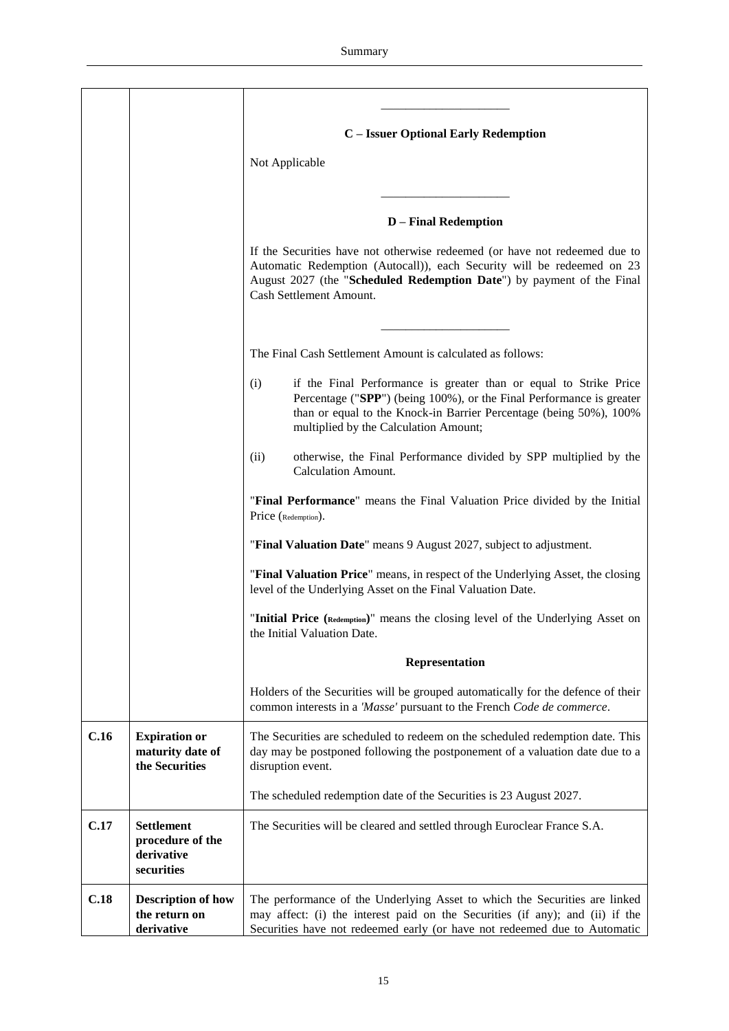|      |                                                                   | C - Issuer Optional Early Redemption<br>Not Applicable                                                                                                                                                                                                          |
|------|-------------------------------------------------------------------|-----------------------------------------------------------------------------------------------------------------------------------------------------------------------------------------------------------------------------------------------------------------|
|      |                                                                   | <b>D</b> – Final Redemption                                                                                                                                                                                                                                     |
|      |                                                                   | If the Securities have not otherwise redeemed (or have not redeemed due to<br>Automatic Redemption (Autocall)), each Security will be redeemed on 23<br>August 2027 (the "Scheduled Redemption Date") by payment of the Final<br>Cash Settlement Amount.        |
|      |                                                                   | The Final Cash Settlement Amount is calculated as follows:                                                                                                                                                                                                      |
|      |                                                                   | if the Final Performance is greater than or equal to Strike Price<br>(i)<br>Percentage ("SPP") (being 100%), or the Final Performance is greater<br>than or equal to the Knock-in Barrier Percentage (being 50%), 100%<br>multiplied by the Calculation Amount; |
|      |                                                                   | otherwise, the Final Performance divided by SPP multiplied by the<br>(ii)<br><b>Calculation Amount.</b>                                                                                                                                                         |
|      |                                                                   | "Final Performance" means the Final Valuation Price divided by the Initial<br>Price (Redemption).                                                                                                                                                               |
|      |                                                                   | "Final Valuation Date" means 9 August 2027, subject to adjustment.                                                                                                                                                                                              |
|      |                                                                   | "Final Valuation Price" means, in respect of the Underlying Asset, the closing<br>level of the Underlying Asset on the Final Valuation Date.                                                                                                                    |
|      |                                                                   | "Initial Price (Redemption)" means the closing level of the Underlying Asset on<br>the Initial Valuation Date.                                                                                                                                                  |
|      |                                                                   | Representation                                                                                                                                                                                                                                                  |
|      |                                                                   | Holders of the Securities will be grouped automatically for the defence of their<br>common interests in a 'Masse' pursuant to the French Code de commerce.                                                                                                      |
| C.16 | <b>Expiration or</b><br>maturity date of<br>the Securities        | The Securities are scheduled to redeem on the scheduled redemption date. This<br>day may be postponed following the postponement of a valuation date due to a<br>disruption event.                                                                              |
|      |                                                                   | The scheduled redemption date of the Securities is 23 August 2027.                                                                                                                                                                                              |
| C.17 | <b>Settlement</b><br>procedure of the<br>derivative<br>securities | The Securities will be cleared and settled through Euroclear France S.A.                                                                                                                                                                                        |
| C.18 | <b>Description of how</b><br>the return on<br>derivative          | The performance of the Underlying Asset to which the Securities are linked<br>may affect: (i) the interest paid on the Securities (if any); and (ii) if the<br>Securities have not redeemed early (or have not redeemed due to Automatic                        |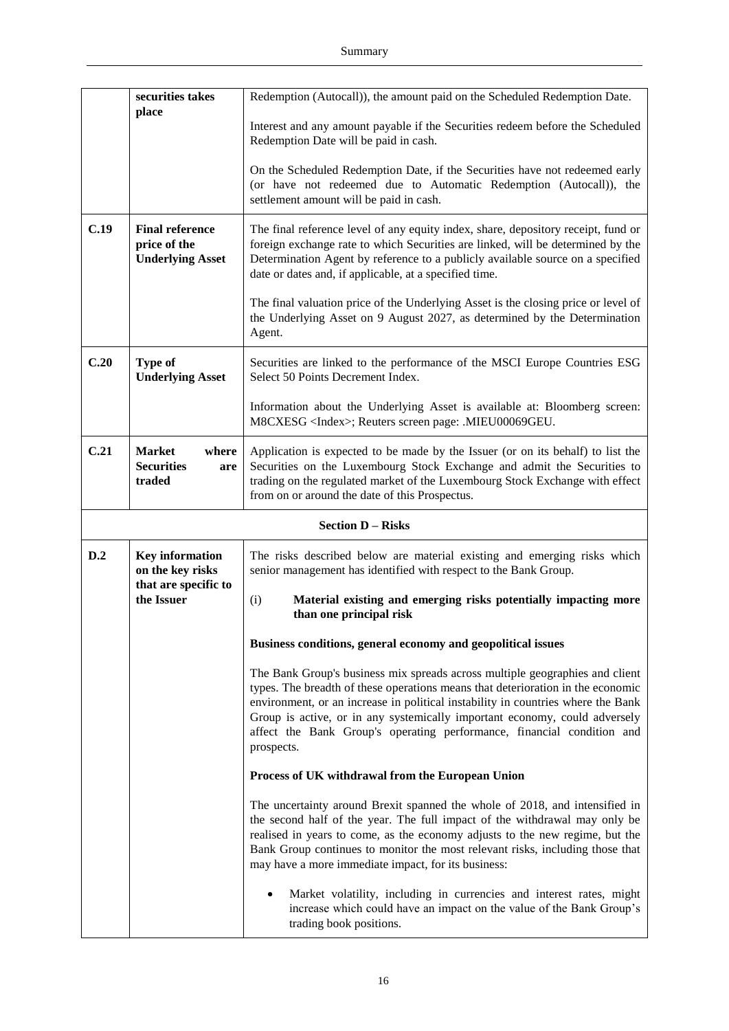|      | securities takes                                                  | Redemption (Autocall)), the amount paid on the Scheduled Redemption Date.                                                                                                                                                                                                                                                                                                                                                 |  |
|------|-------------------------------------------------------------------|---------------------------------------------------------------------------------------------------------------------------------------------------------------------------------------------------------------------------------------------------------------------------------------------------------------------------------------------------------------------------------------------------------------------------|--|
|      | place                                                             | Interest and any amount payable if the Securities redeem before the Scheduled<br>Redemption Date will be paid in cash.                                                                                                                                                                                                                                                                                                    |  |
|      |                                                                   | On the Scheduled Redemption Date, if the Securities have not redeemed early<br>(or have not redeemed due to Automatic Redemption (Autocall)), the<br>settlement amount will be paid in cash.                                                                                                                                                                                                                              |  |
| C.19 | <b>Final reference</b><br>price of the<br><b>Underlying Asset</b> | The final reference level of any equity index, share, depository receipt, fund or<br>foreign exchange rate to which Securities are linked, will be determined by the<br>Determination Agent by reference to a publicly available source on a specified<br>date or dates and, if applicable, at a specified time.                                                                                                          |  |
|      |                                                                   | The final valuation price of the Underlying Asset is the closing price or level of<br>the Underlying Asset on 9 August 2027, as determined by the Determination<br>Agent.                                                                                                                                                                                                                                                 |  |
| C.20 | <b>Type of</b><br><b>Underlying Asset</b>                         | Securities are linked to the performance of the MSCI Europe Countries ESG<br>Select 50 Points Decrement Index.                                                                                                                                                                                                                                                                                                            |  |
|      |                                                                   | Information about the Underlying Asset is available at: Bloomberg screen:<br>M8CXESG <index>; Reuters screen page: .MIEU00069GEU.</index>                                                                                                                                                                                                                                                                                 |  |
| C.21 | <b>Market</b><br>where<br><b>Securities</b><br>are<br>traded      | Application is expected to be made by the Issuer (or on its behalf) to list the<br>Securities on the Luxembourg Stock Exchange and admit the Securities to<br>trading on the regulated market of the Luxembourg Stock Exchange with effect<br>from on or around the date of this Prospectus.                                                                                                                              |  |
|      |                                                                   |                                                                                                                                                                                                                                                                                                                                                                                                                           |  |
|      |                                                                   | <b>Section D - Risks</b>                                                                                                                                                                                                                                                                                                                                                                                                  |  |
| D.2  | Key information<br>on the key risks                               | The risks described below are material existing and emerging risks which<br>senior management has identified with respect to the Bank Group.                                                                                                                                                                                                                                                                              |  |
|      | that are specific to<br>the Issuer                                | (i)<br>Material existing and emerging risks potentially impacting more<br>than one principal risk                                                                                                                                                                                                                                                                                                                         |  |
|      |                                                                   | Business conditions, general economy and geopolitical issues                                                                                                                                                                                                                                                                                                                                                              |  |
|      |                                                                   | The Bank Group's business mix spreads across multiple geographies and client<br>types. The breadth of these operations means that deterioration in the economic<br>environment, or an increase in political instability in countries where the Bank<br>Group is active, or in any systemically important economy, could adversely<br>affect the Bank Group's operating performance, financial condition and<br>prospects. |  |
|      |                                                                   | Process of UK withdrawal from the European Union                                                                                                                                                                                                                                                                                                                                                                          |  |
|      |                                                                   | The uncertainty around Brexit spanned the whole of 2018, and intensified in<br>the second half of the year. The full impact of the withdrawal may only be<br>realised in years to come, as the economy adjusts to the new regime, but the<br>Bank Group continues to monitor the most relevant risks, including those that<br>may have a more immediate impact, for its business:                                         |  |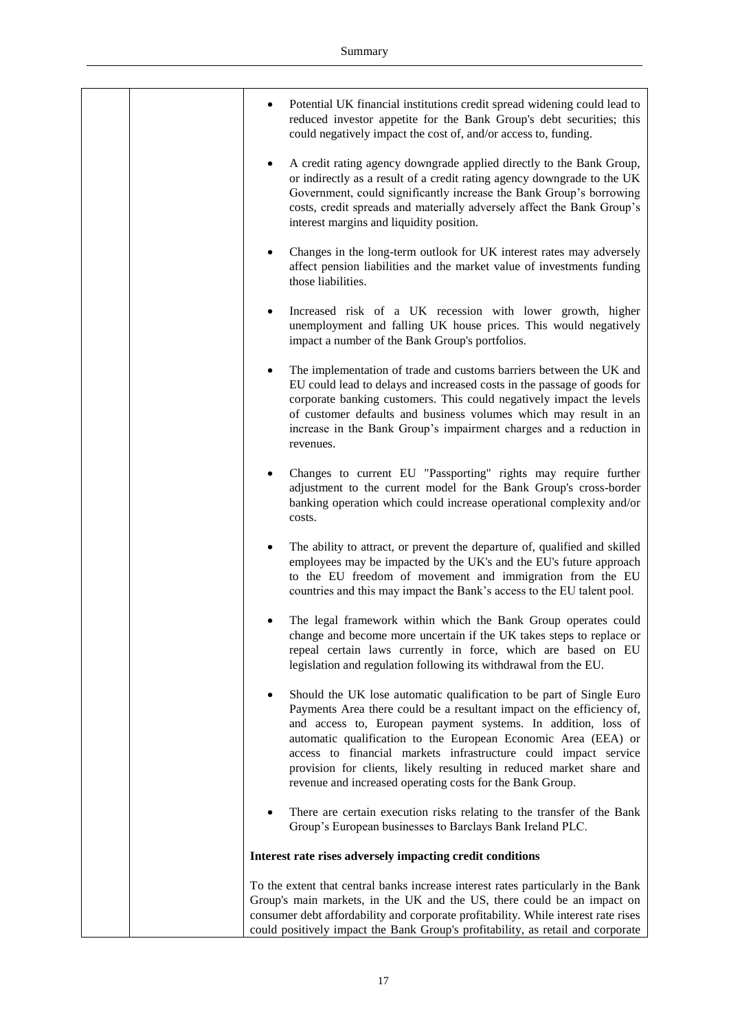|  | Potential UK financial institutions credit spread widening could lead to<br>reduced investor appetite for the Bank Group's debt securities; this<br>could negatively impact the cost of, and/or access to, funding.                                                                                                                                                                                                                                                                                  |
|--|------------------------------------------------------------------------------------------------------------------------------------------------------------------------------------------------------------------------------------------------------------------------------------------------------------------------------------------------------------------------------------------------------------------------------------------------------------------------------------------------------|
|  | A credit rating agency downgrade applied directly to the Bank Group,<br>or indirectly as a result of a credit rating agency downgrade to the UK<br>Government, could significantly increase the Bank Group's borrowing<br>costs, credit spreads and materially adversely affect the Bank Group's<br>interest margins and liquidity position.                                                                                                                                                         |
|  | Changes in the long-term outlook for UK interest rates may adversely<br>affect pension liabilities and the market value of investments funding<br>those liabilities.                                                                                                                                                                                                                                                                                                                                 |
|  | Increased risk of a UK recession with lower growth, higher<br>unemployment and falling UK house prices. This would negatively<br>impact a number of the Bank Group's portfolios.                                                                                                                                                                                                                                                                                                                     |
|  | The implementation of trade and customs barriers between the UK and<br>EU could lead to delays and increased costs in the passage of goods for<br>corporate banking customers. This could negatively impact the levels<br>of customer defaults and business volumes which may result in an<br>increase in the Bank Group's impairment charges and a reduction in<br>revenues.                                                                                                                        |
|  | Changes to current EU "Passporting" rights may require further<br>adjustment to the current model for the Bank Group's cross-border<br>banking operation which could increase operational complexity and/or<br>costs.                                                                                                                                                                                                                                                                                |
|  | The ability to attract, or prevent the departure of, qualified and skilled<br>employees may be impacted by the UK's and the EU's future approach<br>to the EU freedom of movement and immigration from the EU<br>countries and this may impact the Bank's access to the EU talent pool.                                                                                                                                                                                                              |
|  | The legal framework within which the Bank Group operates could<br>change and become more uncertain if the UK takes steps to replace or<br>repeal certain laws currently in force, which are based on EU<br>legislation and regulation following its withdrawal from the EU.                                                                                                                                                                                                                          |
|  | Should the UK lose automatic qualification to be part of Single Euro<br>$\bullet$<br>Payments Area there could be a resultant impact on the efficiency of,<br>and access to, European payment systems. In addition, loss of<br>automatic qualification to the European Economic Area (EEA) or<br>access to financial markets infrastructure could impact service<br>provision for clients, likely resulting in reduced market share and<br>revenue and increased operating costs for the Bank Group. |
|  | There are certain execution risks relating to the transfer of the Bank<br>$\bullet$<br>Group's European businesses to Barclays Bank Ireland PLC.                                                                                                                                                                                                                                                                                                                                                     |
|  | Interest rate rises adversely impacting credit conditions                                                                                                                                                                                                                                                                                                                                                                                                                                            |
|  | To the extent that central banks increase interest rates particularly in the Bank<br>Group's main markets, in the UK and the US, there could be an impact on<br>consumer debt affordability and corporate profitability. While interest rate rises<br>could positively impact the Bank Group's profitability, as retail and corporate                                                                                                                                                                |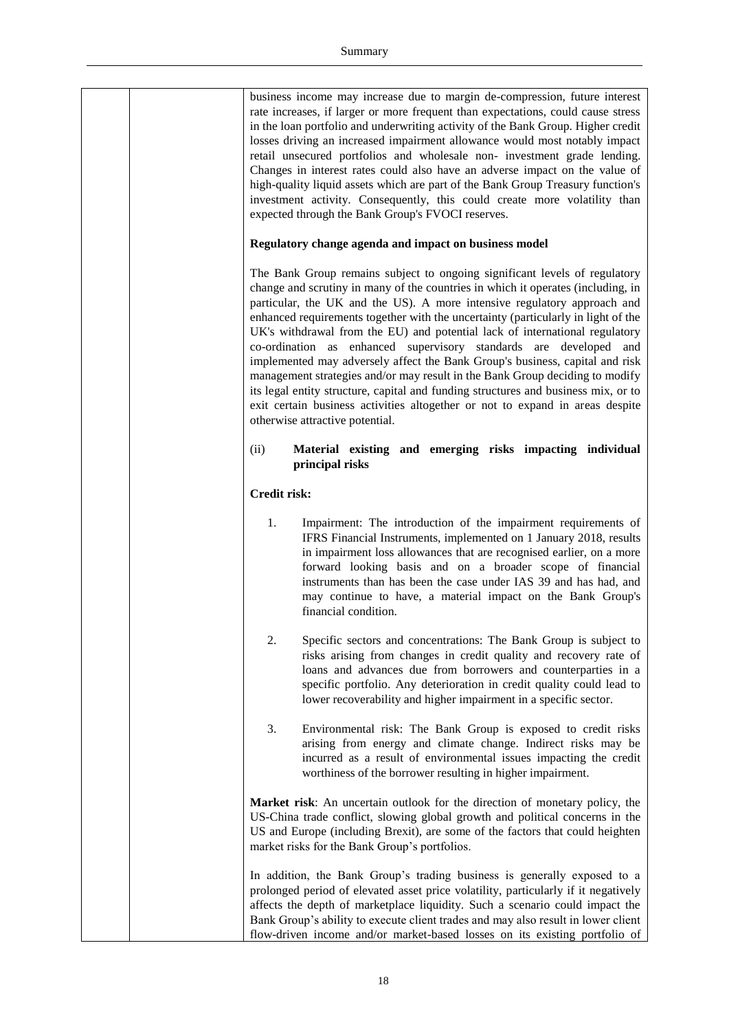| business income may increase due to margin de-compression, future interest<br>rate increases, if larger or more frequent than expectations, could cause stress<br>in the loan portfolio and underwriting activity of the Bank Group. Higher credit<br>losses driving an increased impairment allowance would most notably impact<br>retail unsecured portfolios and wholesale non- investment grade lending.<br>Changes in interest rates could also have an adverse impact on the value of<br>high-quality liquid assets which are part of the Bank Group Treasury function's<br>investment activity. Consequently, this could create more volatility than<br>expected through the Bank Group's FVOCI reserves.                                                                                                                                              |
|---------------------------------------------------------------------------------------------------------------------------------------------------------------------------------------------------------------------------------------------------------------------------------------------------------------------------------------------------------------------------------------------------------------------------------------------------------------------------------------------------------------------------------------------------------------------------------------------------------------------------------------------------------------------------------------------------------------------------------------------------------------------------------------------------------------------------------------------------------------|
| Regulatory change agenda and impact on business model                                                                                                                                                                                                                                                                                                                                                                                                                                                                                                                                                                                                                                                                                                                                                                                                         |
| The Bank Group remains subject to ongoing significant levels of regulatory<br>change and scrutiny in many of the countries in which it operates (including, in<br>particular, the UK and the US). A more intensive regulatory approach and<br>enhanced requirements together with the uncertainty (particularly in light of the<br>UK's withdrawal from the EU) and potential lack of international regulatory<br>co-ordination as enhanced supervisory standards are developed and<br>implemented may adversely affect the Bank Group's business, capital and risk<br>management strategies and/or may result in the Bank Group deciding to modify<br>its legal entity structure, capital and funding structures and business mix, or to<br>exit certain business activities altogether or not to expand in areas despite<br>otherwise attractive potential. |
| Material existing and emerging risks impacting individual<br>(ii)<br>principal risks                                                                                                                                                                                                                                                                                                                                                                                                                                                                                                                                                                                                                                                                                                                                                                          |
| <b>Credit risk:</b>                                                                                                                                                                                                                                                                                                                                                                                                                                                                                                                                                                                                                                                                                                                                                                                                                                           |
| 1.<br>Impairment: The introduction of the impairment requirements of<br>IFRS Financial Instruments, implemented on 1 January 2018, results<br>in impairment loss allowances that are recognised earlier, on a more<br>forward looking basis and on a broader scope of financial<br>instruments than has been the case under IAS 39 and has had, and<br>may continue to have, a material impact on the Bank Group's<br>financial condition.                                                                                                                                                                                                                                                                                                                                                                                                                    |
| 2.<br>Specific sectors and concentrations: The Bank Group is subject to<br>risks arising from changes in credit quality and recovery rate of<br>loans and advances due from borrowers and counterparties in a<br>specific portfolio. Any deterioration in credit quality could lead to<br>lower recoverability and higher impairment in a specific sector.                                                                                                                                                                                                                                                                                                                                                                                                                                                                                                    |
| 3.<br>Environmental risk: The Bank Group is exposed to credit risks<br>arising from energy and climate change. Indirect risks may be<br>incurred as a result of environmental issues impacting the credit<br>worthiness of the borrower resulting in higher impairment.                                                                                                                                                                                                                                                                                                                                                                                                                                                                                                                                                                                       |
| Market risk: An uncertain outlook for the direction of monetary policy, the<br>US-China trade conflict, slowing global growth and political concerns in the<br>US and Europe (including Brexit), are some of the factors that could heighten<br>market risks for the Bank Group's portfolios.                                                                                                                                                                                                                                                                                                                                                                                                                                                                                                                                                                 |
| In addition, the Bank Group's trading business is generally exposed to a<br>prolonged period of elevated asset price volatility, particularly if it negatively<br>affects the depth of marketplace liquidity. Such a scenario could impact the<br>Bank Group's ability to execute client trades and may also result in lower client<br>flow-driven income and/or market-based losses on its existing portfolio of                                                                                                                                                                                                                                                                                                                                                                                                                                             |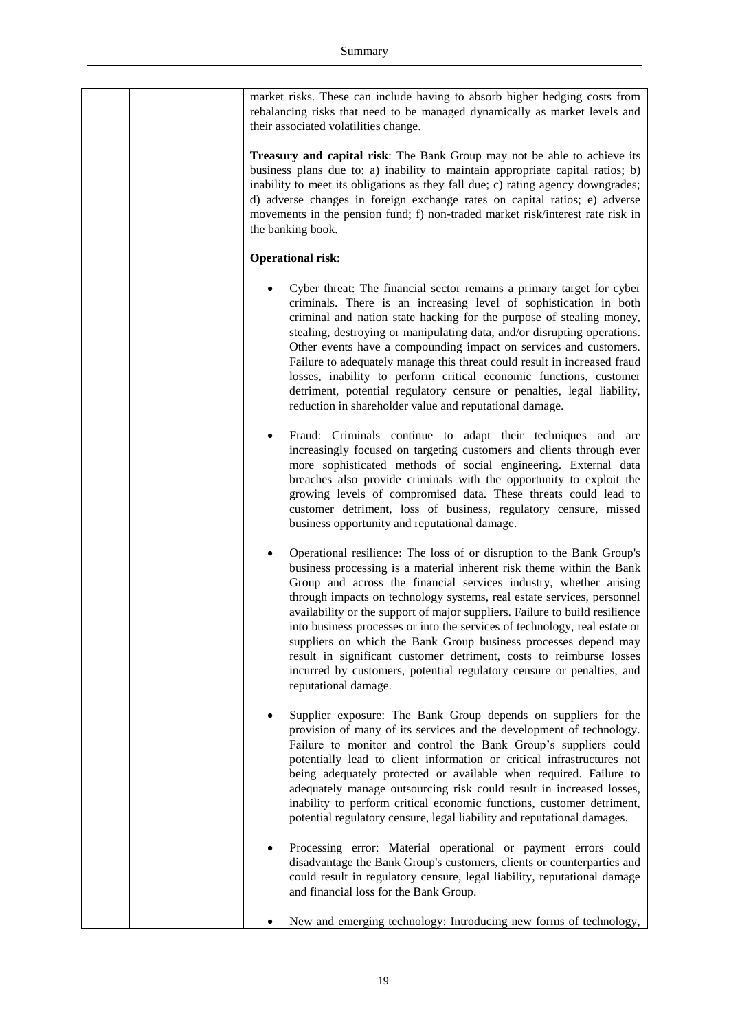|  | market risks. These can include having to absorb higher hedging costs from<br>rebalancing risks that need to be managed dynamically as market levels and<br>their associated volatilities change.                                                                                                                                                                                                                                                                                                                                                                                                                                                                                                     |
|--|-------------------------------------------------------------------------------------------------------------------------------------------------------------------------------------------------------------------------------------------------------------------------------------------------------------------------------------------------------------------------------------------------------------------------------------------------------------------------------------------------------------------------------------------------------------------------------------------------------------------------------------------------------------------------------------------------------|
|  | Treasury and capital risk: The Bank Group may not be able to achieve its<br>business plans due to: a) inability to maintain appropriate capital ratios; b)<br>inability to meet its obligations as they fall due; c) rating agency downgrades;<br>d) adverse changes in foreign exchange rates on capital ratios; e) adverse<br>movements in the pension fund; f) non-traded market risk/interest rate risk in<br>the banking book.                                                                                                                                                                                                                                                                   |
|  | <b>Operational risk:</b>                                                                                                                                                                                                                                                                                                                                                                                                                                                                                                                                                                                                                                                                              |
|  | Cyber threat: The financial sector remains a primary target for cyber<br>criminals. There is an increasing level of sophistication in both<br>criminal and nation state hacking for the purpose of stealing money,<br>stealing, destroying or manipulating data, and/or disrupting operations.<br>Other events have a compounding impact on services and customers.<br>Failure to adequately manage this threat could result in increased fraud<br>losses, inability to perform critical economic functions, customer<br>detriment, potential regulatory censure or penalties, legal liability,<br>reduction in shareholder value and reputational damage.                                            |
|  | Fraud: Criminals continue to adapt their techniques and are<br>increasingly focused on targeting customers and clients through ever<br>more sophisticated methods of social engineering. External data<br>breaches also provide criminals with the opportunity to exploit the<br>growing levels of compromised data. These threats could lead to<br>customer detriment, loss of business, regulatory censure, missed<br>business opportunity and reputational damage.                                                                                                                                                                                                                                 |
|  | Operational resilience: The loss of or disruption to the Bank Group's<br>business processing is a material inherent risk theme within the Bank<br>Group and across the financial services industry, whether arising<br>through impacts on technology systems, real estate services, personnel<br>availability or the support of major suppliers. Failure to build resilience<br>into business processes or into the services of technology, real estate or<br>suppliers on which the Bank Group business processes depend may<br>result in significant customer detriment, costs to reimburse losses<br>incurred by customers, potential regulatory censure or penalties, and<br>reputational damage. |
|  | Supplier exposure: The Bank Group depends on suppliers for the<br>٠<br>provision of many of its services and the development of technology.<br>Failure to monitor and control the Bank Group's suppliers could<br>potentially lead to client information or critical infrastructures not<br>being adequately protected or available when required. Failure to<br>adequately manage outsourcing risk could result in increased losses,<br>inability to perform critical economic functions, customer detriment,<br>potential regulatory censure, legal liability and reputational damages.                                                                                                             |
|  | Processing error: Material operational or payment errors could<br>disadvantage the Bank Group's customers, clients or counterparties and<br>could result in regulatory censure, legal liability, reputational damage<br>and financial loss for the Bank Group.                                                                                                                                                                                                                                                                                                                                                                                                                                        |
|  | New and emerging technology: Introducing new forms of technology,                                                                                                                                                                                                                                                                                                                                                                                                                                                                                                                                                                                                                                     |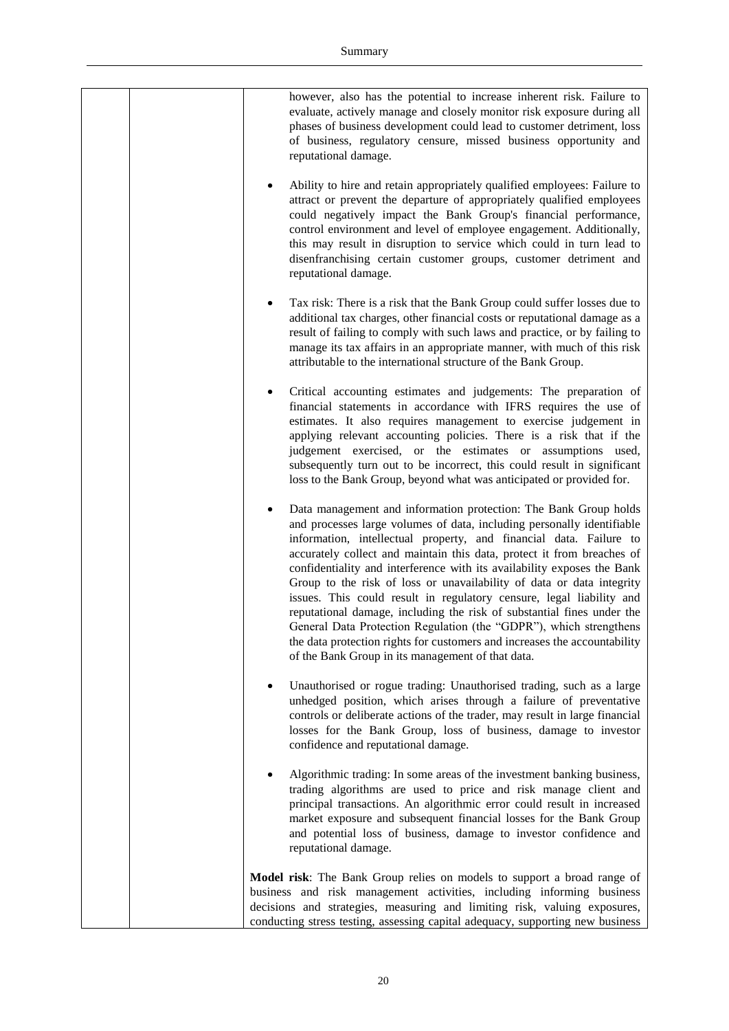| however, also has the potential to increase inherent risk. Failure to<br>evaluate, actively manage and closely monitor risk exposure during all<br>phases of business development could lead to customer detriment, loss<br>of business, regulatory censure, missed business opportunity and<br>reputational damage.                                                                                                                                                                                                                                                                                                                                                                                                                                                                                     |
|----------------------------------------------------------------------------------------------------------------------------------------------------------------------------------------------------------------------------------------------------------------------------------------------------------------------------------------------------------------------------------------------------------------------------------------------------------------------------------------------------------------------------------------------------------------------------------------------------------------------------------------------------------------------------------------------------------------------------------------------------------------------------------------------------------|
| Ability to hire and retain appropriately qualified employees: Failure to<br>attract or prevent the departure of appropriately qualified employees<br>could negatively impact the Bank Group's financial performance,<br>control environment and level of employee engagement. Additionally,<br>this may result in disruption to service which could in turn lead to<br>disenfranchising certain customer groups, customer detriment and<br>reputational damage.                                                                                                                                                                                                                                                                                                                                          |
| Tax risk: There is a risk that the Bank Group could suffer losses due to<br>additional tax charges, other financial costs or reputational damage as a<br>result of failing to comply with such laws and practice, or by failing to<br>manage its tax affairs in an appropriate manner, with much of this risk<br>attributable to the international structure of the Bank Group.                                                                                                                                                                                                                                                                                                                                                                                                                          |
| Critical accounting estimates and judgements: The preparation of<br>٠<br>financial statements in accordance with IFRS requires the use of<br>estimates. It also requires management to exercise judgement in<br>applying relevant accounting policies. There is a risk that if the<br>judgement exercised, or the estimates or assumptions used,<br>subsequently turn out to be incorrect, this could result in significant<br>loss to the Bank Group, beyond what was anticipated or provided for.                                                                                                                                                                                                                                                                                                      |
| Data management and information protection: The Bank Group holds<br>and processes large volumes of data, including personally identifiable<br>information, intellectual property, and financial data. Failure to<br>accurately collect and maintain this data, protect it from breaches of<br>confidentiality and interference with its availability exposes the Bank<br>Group to the risk of loss or unavailability of data or data integrity<br>issues. This could result in regulatory censure, legal liability and<br>reputational damage, including the risk of substantial fines under the<br>General Data Protection Regulation (the "GDPR"), which strengthens<br>the data protection rights for customers and increases the accountability<br>of the Bank Group in its management of that data. |
| Unauthorised or rogue trading: Unauthorised trading, such as a large<br>٠<br>unhedged position, which arises through a failure of preventative<br>controls or deliberate actions of the trader, may result in large financial<br>losses for the Bank Group, loss of business, damage to investor<br>confidence and reputational damage.                                                                                                                                                                                                                                                                                                                                                                                                                                                                  |
| Algorithmic trading: In some areas of the investment banking business,<br>trading algorithms are used to price and risk manage client and<br>principal transactions. An algorithmic error could result in increased<br>market exposure and subsequent financial losses for the Bank Group<br>and potential loss of business, damage to investor confidence and<br>reputational damage.                                                                                                                                                                                                                                                                                                                                                                                                                   |
| Model risk: The Bank Group relies on models to support a broad range of<br>business and risk management activities, including informing business<br>decisions and strategies, measuring and limiting risk, valuing exposures,<br>conducting stress testing, assessing capital adequacy, supporting new business                                                                                                                                                                                                                                                                                                                                                                                                                                                                                          |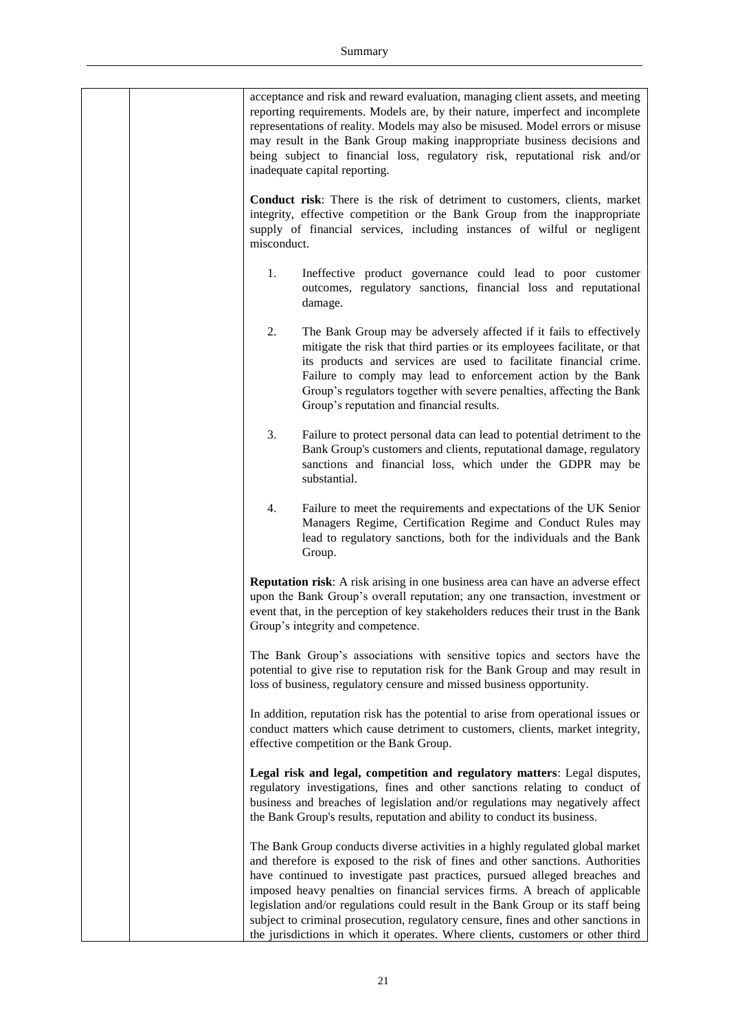|  |             | acceptance and risk and reward evaluation, managing client assets, and meeting<br>reporting requirements. Models are, by their nature, imperfect and incomplete<br>representations of reality. Models may also be misused. Model errors or misuse<br>may result in the Bank Group making inappropriate business decisions and<br>being subject to financial loss, regulatory risk, reputational risk and/or<br>inadequate capital reporting.                                                                                                                                              |
|--|-------------|-------------------------------------------------------------------------------------------------------------------------------------------------------------------------------------------------------------------------------------------------------------------------------------------------------------------------------------------------------------------------------------------------------------------------------------------------------------------------------------------------------------------------------------------------------------------------------------------|
|  | misconduct. | <b>Conduct risk:</b> There is the risk of detriment to customers, clients, market<br>integrity, effective competition or the Bank Group from the inappropriate<br>supply of financial services, including instances of wilful or negligent                                                                                                                                                                                                                                                                                                                                                |
|  | 1.          | Ineffective product governance could lead to poor customer<br>outcomes, regulatory sanctions, financial loss and reputational<br>damage.                                                                                                                                                                                                                                                                                                                                                                                                                                                  |
|  | 2.          | The Bank Group may be adversely affected if it fails to effectively<br>mitigate the risk that third parties or its employees facilitate, or that<br>its products and services are used to facilitate financial crime.<br>Failure to comply may lead to enforcement action by the Bank<br>Group's regulators together with severe penalties, affecting the Bank<br>Group's reputation and financial results.                                                                                                                                                                               |
|  | 3.          | Failure to protect personal data can lead to potential detriment to the<br>Bank Group's customers and clients, reputational damage, regulatory<br>sanctions and financial loss, which under the GDPR may be<br>substantial.                                                                                                                                                                                                                                                                                                                                                               |
|  | 4.          | Failure to meet the requirements and expectations of the UK Senior<br>Managers Regime, Certification Regime and Conduct Rules may<br>lead to regulatory sanctions, both for the individuals and the Bank<br>Group.                                                                                                                                                                                                                                                                                                                                                                        |
|  |             | <b>Reputation risk:</b> A risk arising in one business area can have an adverse effect<br>upon the Bank Group's overall reputation; any one transaction, investment or<br>event that, in the perception of key stakeholders reduces their trust in the Bank<br>Group's integrity and competence.                                                                                                                                                                                                                                                                                          |
|  |             | The Bank Group's associations with sensitive topics and sectors have the<br>potential to give rise to reputation risk for the Bank Group and may result in<br>loss of business, regulatory censure and missed business opportunity.                                                                                                                                                                                                                                                                                                                                                       |
|  |             | In addition, reputation risk has the potential to arise from operational issues or<br>conduct matters which cause detriment to customers, clients, market integrity,<br>effective competition or the Bank Group.                                                                                                                                                                                                                                                                                                                                                                          |
|  |             | Legal risk and legal, competition and regulatory matters: Legal disputes,<br>regulatory investigations, fines and other sanctions relating to conduct of<br>business and breaches of legislation and/or regulations may negatively affect<br>the Bank Group's results, reputation and ability to conduct its business.                                                                                                                                                                                                                                                                    |
|  |             | The Bank Group conducts diverse activities in a highly regulated global market<br>and therefore is exposed to the risk of fines and other sanctions. Authorities<br>have continued to investigate past practices, pursued alleged breaches and<br>imposed heavy penalties on financial services firms. A breach of applicable<br>legislation and/or regulations could result in the Bank Group or its staff being<br>subject to criminal prosecution, regulatory censure, fines and other sanctions in<br>the jurisdictions in which it operates. Where clients, customers or other third |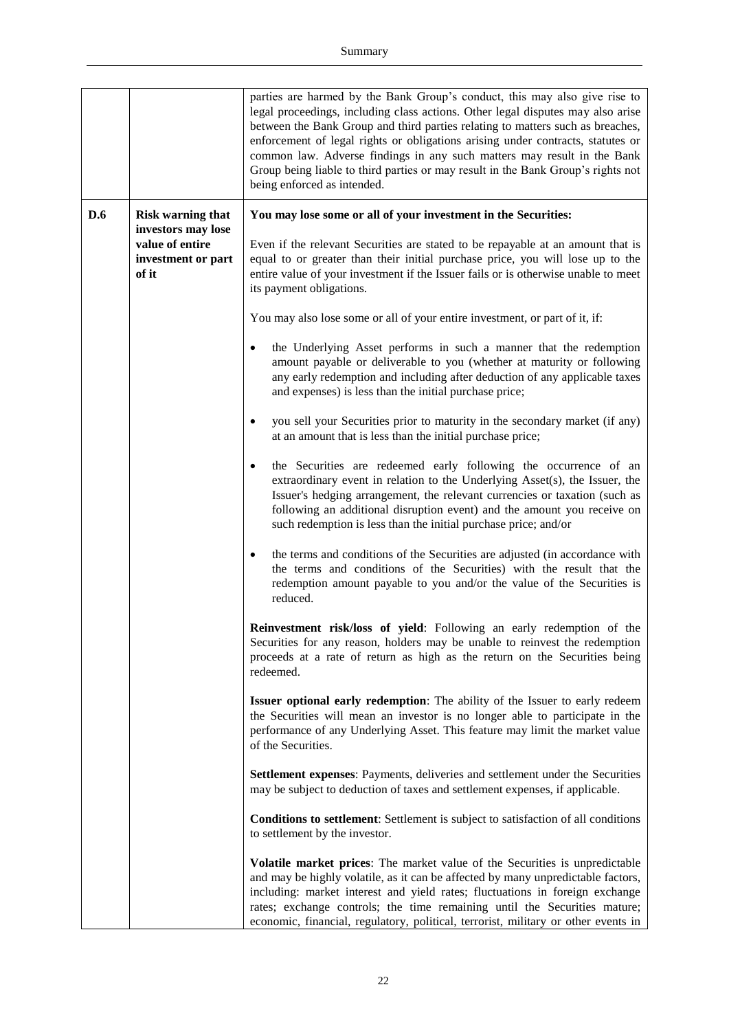|     |                                                | parties are harmed by the Bank Group's conduct, this may also give rise to<br>legal proceedings, including class actions. Other legal disputes may also arise<br>between the Bank Group and third parties relating to matters such as breaches,<br>enforcement of legal rights or obligations arising under contracts, statutes or<br>common law. Adverse findings in any such matters may result in the Bank<br>Group being liable to third parties or may result in the Bank Group's rights not<br>being enforced as intended. |
|-----|------------------------------------------------|----------------------------------------------------------------------------------------------------------------------------------------------------------------------------------------------------------------------------------------------------------------------------------------------------------------------------------------------------------------------------------------------------------------------------------------------------------------------------------------------------------------------------------|
| D.6 | <b>Risk warning that</b><br>investors may lose | You may lose some or all of your investment in the Securities:                                                                                                                                                                                                                                                                                                                                                                                                                                                                   |
|     | value of entire<br>investment or part<br>of it | Even if the relevant Securities are stated to be repayable at an amount that is<br>equal to or greater than their initial purchase price, you will lose up to the<br>entire value of your investment if the Issuer fails or is otherwise unable to meet<br>its payment obligations.                                                                                                                                                                                                                                              |
|     |                                                | You may also lose some or all of your entire investment, or part of it, if:                                                                                                                                                                                                                                                                                                                                                                                                                                                      |
|     |                                                | the Underlying Asset performs in such a manner that the redemption<br>amount payable or deliverable to you (whether at maturity or following<br>any early redemption and including after deduction of any applicable taxes<br>and expenses) is less than the initial purchase price;                                                                                                                                                                                                                                             |
|     |                                                | you sell your Securities prior to maturity in the secondary market (if any)<br>$\bullet$<br>at an amount that is less than the initial purchase price;                                                                                                                                                                                                                                                                                                                                                                           |
|     |                                                | the Securities are redeemed early following the occurrence of an<br>$\bullet$<br>extraordinary event in relation to the Underlying Asset(s), the Issuer, the<br>Issuer's hedging arrangement, the relevant currencies or taxation (such as<br>following an additional disruption event) and the amount you receive on<br>such redemption is less than the initial purchase price; and/or                                                                                                                                         |
|     |                                                | the terms and conditions of the Securities are adjusted (in accordance with<br>the terms and conditions of the Securities) with the result that the<br>redemption amount payable to you and/or the value of the Securities is<br>reduced.                                                                                                                                                                                                                                                                                        |
|     |                                                | Reinvestment risk/loss of yield: Following an early redemption of the<br>Securities for any reason, holders may be unable to reinvest the redemption<br>proceeds at a rate of return as high as the return on the Securities being<br>redeemed.                                                                                                                                                                                                                                                                                  |
|     |                                                | Issuer optional early redemption: The ability of the Issuer to early redeem<br>the Securities will mean an investor is no longer able to participate in the<br>performance of any Underlying Asset. This feature may limit the market value<br>of the Securities.                                                                                                                                                                                                                                                                |
|     |                                                | Settlement expenses: Payments, deliveries and settlement under the Securities<br>may be subject to deduction of taxes and settlement expenses, if applicable.                                                                                                                                                                                                                                                                                                                                                                    |
|     |                                                | <b>Conditions to settlement:</b> Settlement is subject to satisfaction of all conditions<br>to settlement by the investor.                                                                                                                                                                                                                                                                                                                                                                                                       |
|     |                                                | Volatile market prices: The market value of the Securities is unpredictable<br>and may be highly volatile, as it can be affected by many unpredictable factors,<br>including: market interest and yield rates; fluctuations in foreign exchange<br>rates; exchange controls; the time remaining until the Securities mature;<br>economic, financial, regulatory, political, terrorist, military or other events in                                                                                                               |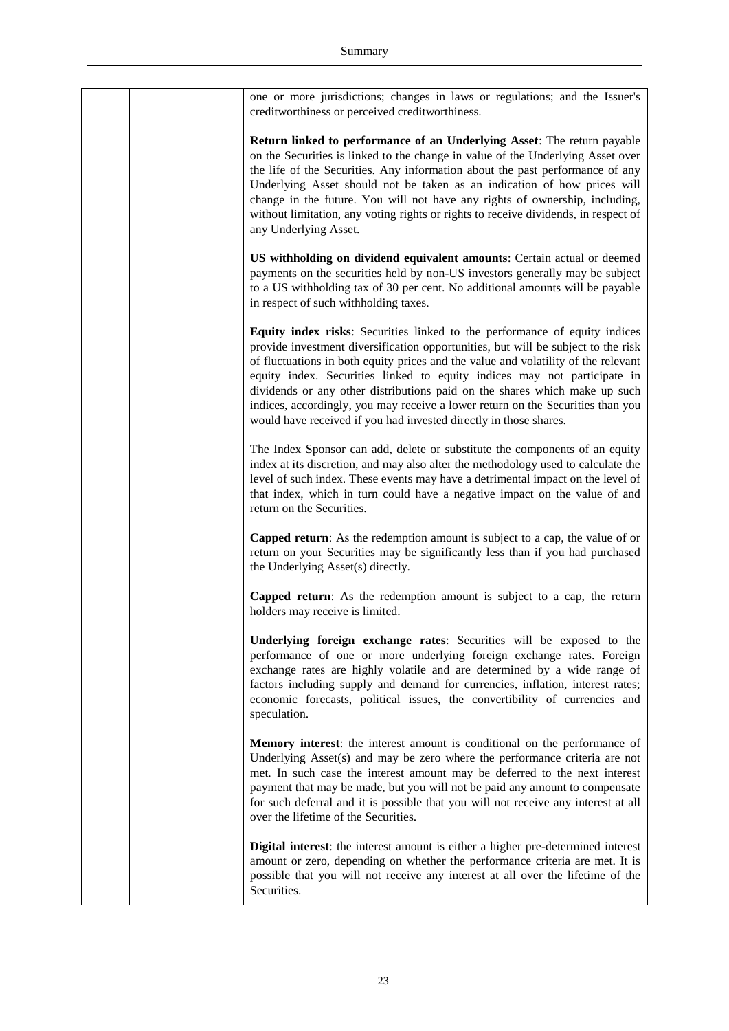|  | one or more jurisdictions; changes in laws or regulations; and the Issuer's<br>creditworthiness or perceived creditworthiness.                                                                                                                                                                                                                                                                                                                                                                                                                                          |
|--|-------------------------------------------------------------------------------------------------------------------------------------------------------------------------------------------------------------------------------------------------------------------------------------------------------------------------------------------------------------------------------------------------------------------------------------------------------------------------------------------------------------------------------------------------------------------------|
|  | <b>Return linked to performance of an Underlying Asset:</b> The return payable<br>on the Securities is linked to the change in value of the Underlying Asset over<br>the life of the Securities. Any information about the past performance of any<br>Underlying Asset should not be taken as an indication of how prices will<br>change in the future. You will not have any rights of ownership, including,<br>without limitation, any voting rights or rights to receive dividends, in respect of<br>any Underlying Asset.                                           |
|  | US withholding on dividend equivalent amounts: Certain actual or deemed<br>payments on the securities held by non-US investors generally may be subject<br>to a US withholding tax of 30 per cent. No additional amounts will be payable<br>in respect of such withholding taxes.                                                                                                                                                                                                                                                                                       |
|  | Equity index risks: Securities linked to the performance of equity indices<br>provide investment diversification opportunities, but will be subject to the risk<br>of fluctuations in both equity prices and the value and volatility of the relevant<br>equity index. Securities linked to equity indices may not participate in<br>dividends or any other distributions paid on the shares which make up such<br>indices, accordingly, you may receive a lower return on the Securities than you<br>would have received if you had invested directly in those shares. |
|  | The Index Sponsor can add, delete or substitute the components of an equity<br>index at its discretion, and may also alter the methodology used to calculate the<br>level of such index. These events may have a detrimental impact on the level of<br>that index, which in turn could have a negative impact on the value of and<br>return on the Securities.                                                                                                                                                                                                          |
|  | <b>Capped return:</b> As the redemption amount is subject to a cap, the value of or<br>return on your Securities may be significantly less than if you had purchased<br>the Underlying Asset(s) directly.                                                                                                                                                                                                                                                                                                                                                               |
|  | Capped return: As the redemption amount is subject to a cap, the return<br>holders may receive is limited.                                                                                                                                                                                                                                                                                                                                                                                                                                                              |
|  | Underlying foreign exchange rates: Securities will be exposed to the<br>performance of one or more underlying foreign exchange rates. Foreign<br>exchange rates are highly volatile and are determined by a wide range of<br>factors including supply and demand for currencies, inflation, interest rates;<br>economic forecasts, political issues, the convertibility of currencies and<br>speculation.                                                                                                                                                               |
|  | <b>Memory interest:</b> the interest amount is conditional on the performance of<br>Underlying Asset(s) and may be zero where the performance criteria are not<br>met. In such case the interest amount may be deferred to the next interest<br>payment that may be made, but you will not be paid any amount to compensate<br>for such deferral and it is possible that you will not receive any interest at all<br>over the lifetime of the Securities.                                                                                                               |
|  | <b>Digital interest</b> : the interest amount is either a higher pre-determined interest<br>amount or zero, depending on whether the performance criteria are met. It is<br>possible that you will not receive any interest at all over the lifetime of the<br>Securities.                                                                                                                                                                                                                                                                                              |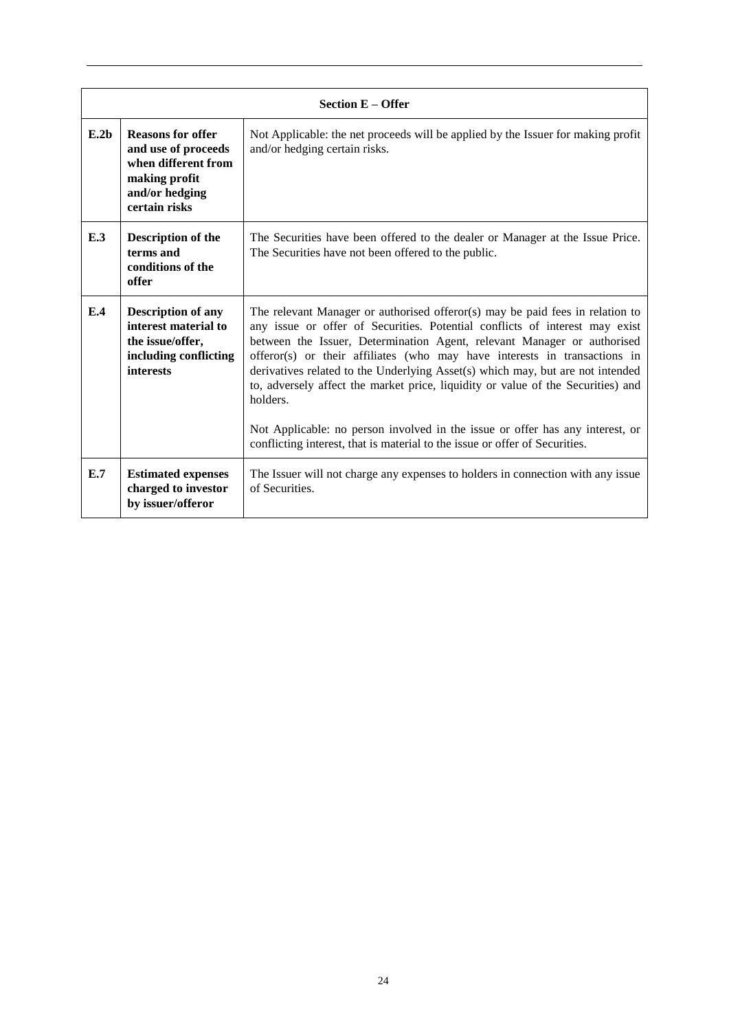|      | <b>Section E - Offer</b>                                                                                                   |                                                                                                                                                                                                                                                                                                                                                                                                                                                                                                                                                                                                                                                                        |  |
|------|----------------------------------------------------------------------------------------------------------------------------|------------------------------------------------------------------------------------------------------------------------------------------------------------------------------------------------------------------------------------------------------------------------------------------------------------------------------------------------------------------------------------------------------------------------------------------------------------------------------------------------------------------------------------------------------------------------------------------------------------------------------------------------------------------------|--|
| E.2b | <b>Reasons for offer</b><br>and use of proceeds<br>when different from<br>making profit<br>and/or hedging<br>certain risks | Not Applicable: the net proceeds will be applied by the Issuer for making profit<br>and/or hedging certain risks.                                                                                                                                                                                                                                                                                                                                                                                                                                                                                                                                                      |  |
| E.3  | Description of the<br>terms and<br>conditions of the<br>offer                                                              | The Securities have been offered to the dealer or Manager at the Issue Price.<br>The Securities have not been offered to the public.                                                                                                                                                                                                                                                                                                                                                                                                                                                                                                                                   |  |
| E.4  | <b>Description of any</b><br>interest material to<br>the issue/offer,<br>including conflicting<br>interests                | The relevant Manager or authorised offeror(s) may be paid fees in relation to<br>any issue or offer of Securities. Potential conflicts of interest may exist<br>between the Issuer, Determination Agent, relevant Manager or authorised<br>offeror(s) or their affiliates (who may have interests in transactions in<br>derivatives related to the Underlying Asset(s) which may, but are not intended<br>to, adversely affect the market price, liquidity or value of the Securities) and<br>holders.<br>Not Applicable: no person involved in the issue or offer has any interest, or<br>conflicting interest, that is material to the issue or offer of Securities. |  |
| E.7  | <b>Estimated expenses</b><br>charged to investor<br>by issuer/offeror                                                      | The Issuer will not charge any expenses to holders in connection with any issue<br>of Securities.                                                                                                                                                                                                                                                                                                                                                                                                                                                                                                                                                                      |  |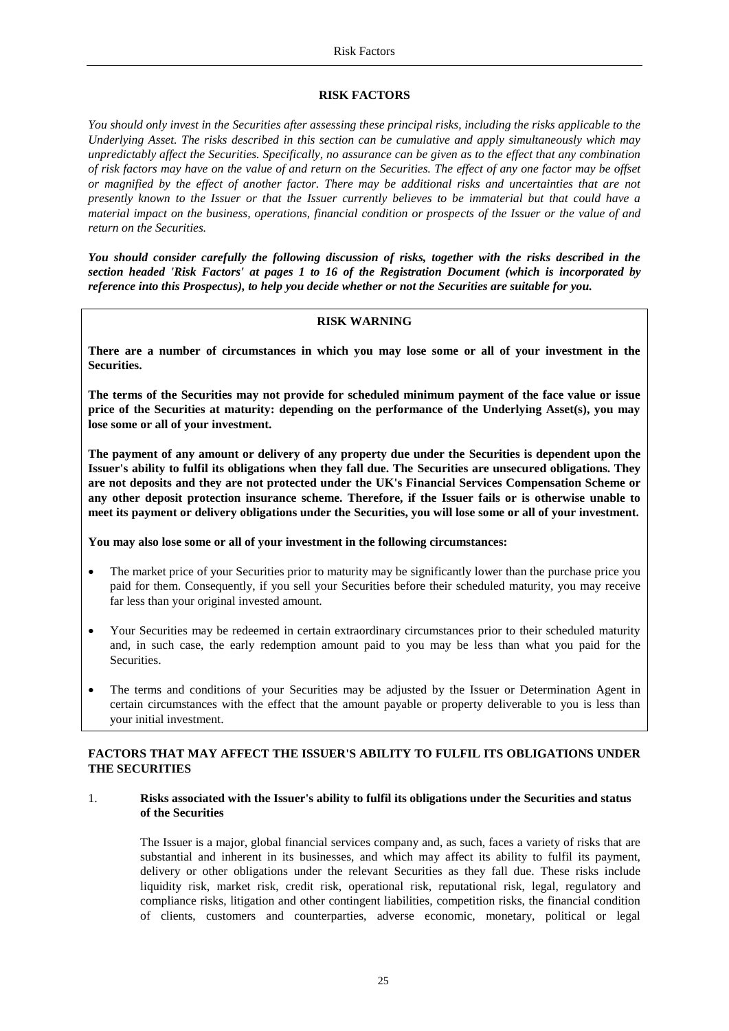## <span id="page-24-1"></span>**RISK FACTORS**

<span id="page-24-0"></span>*You should only invest in the Securities after assessing these principal risks, including the risks applicable to the Underlying Asset. The risks described in this section can be cumulative and apply simultaneously which may unpredictably affect the Securities. Specifically, no assurance can be given as to the effect that any combination of risk factors may have on the value of and return on the Securities. The effect of any one factor may be offset or magnified by the effect of another factor. There may be additional risks and uncertainties that are not presently known to the Issuer or that the Issuer currently believes to be immaterial but that could have a material impact on the business, operations, financial condition or prospects of the Issuer or the value of and return on the Securities.*

*You should consider carefully the following discussion of risks, together with the risks described in the section headed 'Risk Factors' at pages 1 to 16 of the Registration Document (which is incorporated by reference into this Prospectus), to help you decide whether or not the Securities are suitable for you.*

#### **RISK WARNING**

**There are a number of circumstances in which you may lose some or all of your investment in the Securities.**

**The terms of the Securities may not provide for scheduled minimum payment of the face value or issue price of the Securities at maturity: depending on the performance of the Underlying Asset(s), you may lose some or all of your investment.**

**The payment of any amount or delivery of any property due under the Securities is dependent upon the Issuer's ability to fulfil its obligations when they fall due. The Securities are unsecured obligations. They are not deposits and they are not protected under the UK's Financial Services Compensation Scheme or any other deposit protection insurance scheme. Therefore, if the Issuer fails or is otherwise unable to meet its payment or delivery obligations under the Securities, you will lose some or all of your investment.**

**You may also lose some or all of your investment in the following circumstances:**

- The market price of your Securities prior to maturity may be significantly lower than the purchase price you paid for them. Consequently, if you sell your Securities before their scheduled maturity, you may receive far less than your original invested amount.
- Your Securities may be redeemed in certain extraordinary circumstances prior to their scheduled maturity and, in such case, the early redemption amount paid to you may be less than what you paid for the Securities.
- The terms and conditions of your Securities may be adjusted by the Issuer or Determination Agent in certain circumstances with the effect that the amount payable or property deliverable to you is less than your initial investment.

# **FACTORS THAT MAY AFFECT THE ISSUER'S ABILITY TO FULFIL ITS OBLIGATIONS UNDER THE SECURITIES**

# 1. **Risks associated with the Issuer's ability to fulfil its obligations under the Securities and status of the Securities**

The Issuer is a major, global financial services company and, as such, faces a variety of risks that are substantial and inherent in its businesses, and which may affect its ability to fulfil its payment, delivery or other obligations under the relevant Securities as they fall due. These risks include liquidity risk, market risk, credit risk, operational risk, reputational risk, legal, regulatory and compliance risks, litigation and other contingent liabilities, competition risks, the financial condition of clients, customers and counterparties, adverse economic, monetary, political or legal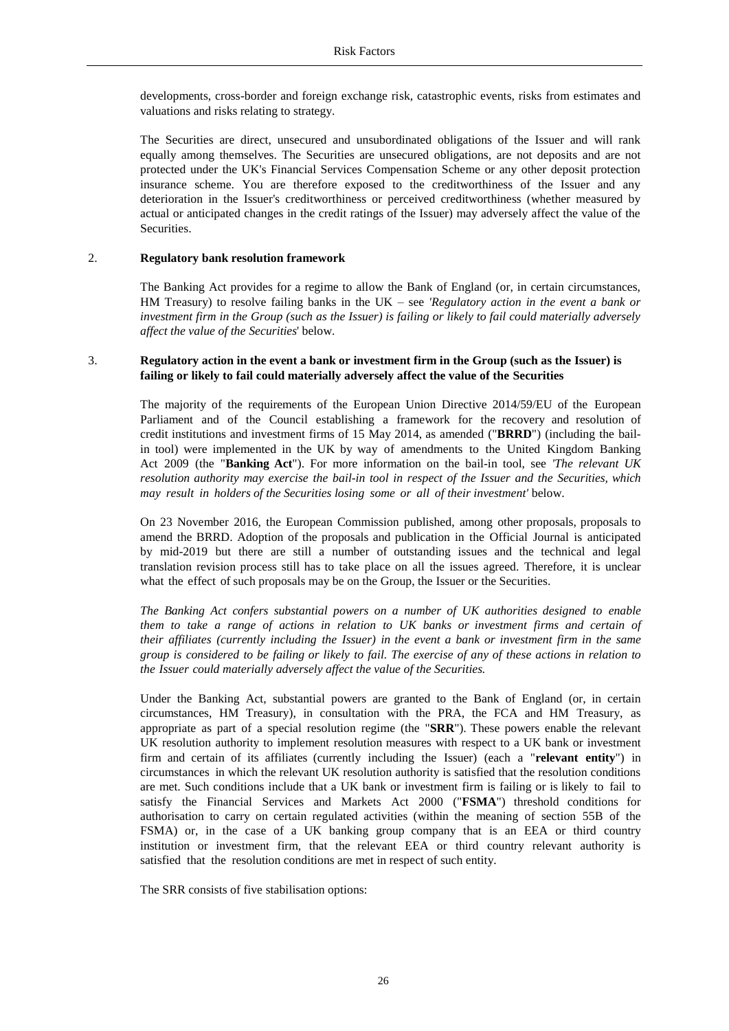developments, cross-border and foreign exchange risk, catastrophic events, risks from estimates and valuations and risks relating to strategy.

The Securities are direct, unsecured and unsubordinated obligations of the Issuer and will rank equally among themselves. The Securities are unsecured obligations, are not deposits and are not protected under the UK's Financial Services Compensation Scheme or any other deposit protection insurance scheme. You are therefore exposed to the creditworthiness of the Issuer and any deterioration in the Issuer's creditworthiness or perceived creditworthiness (whether measured by actual or anticipated changes in the credit ratings of the Issuer) may adversely affect the value of the Securities.

#### 2. **Regulatory bank resolution framework**

The Banking Act provides for a regime to allow the Bank of England (or, in certain circumstances, HM Treasury) to resolve failing banks in the UK – see *'Regulatory action in the event a bank or investment firm in the Group (such as the Issuer) is failing or likely to fail could materially adversely affect the value of the Securities*' below.

## 3. **Regulatory action in the event a bank or investment firm in the Group (such as the Issuer) is failing or likely to fail could materially adversely affect the value of the Securities**

The majority of the requirements of the European Union Directive 2014/59/EU of the European Parliament and of the Council establishing a framework for the recovery and resolution of credit institutions and investment firms of 15 May 2014, as amended ("**BRRD**") (including the bailin tool) were implemented in the UK by way of amendments to the United Kingdom Banking Act 2009 (the "**Banking Act**"). For more information on the bail-in tool, see *'The relevant UK resolution authority may exercise the bail-in tool in respect of the Issuer and the Securities, which may result in holders of the Securities losing some or all of their investment'* below.

On 23 November 2016, the European Commission published, among other proposals, proposals to amend the BRRD. Adoption of the proposals and publication in the Official Journal is anticipated by mid-2019 but there are still a number of outstanding issues and the technical and legal translation revision process still has to take place on all the issues agreed. Therefore, it is unclear what the effect of such proposals may be on the Group, the Issuer or the Securities.

*The Banking Act confers substantial powers on a number of UK authorities designed to enable them to take a range of actions in relation to UK banks or investment firms and certain of their affiliates (currently including the Issuer) in the event a bank or investment firm in the same* group is considered to be failing or likely to fail. The exercise of any of these actions in relation to *the Issuer could materially adversely affect the value of the Securities.*

Under the Banking Act, substantial powers are granted to the Bank of England (or, in certain circumstances, HM Treasury), in consultation with the PRA, the FCA and HM Treasury, as appropriate as part of a special resolution regime (the "**SRR**"). These powers enable the relevant UK resolution authority to implement resolution measures with respect to a UK bank or investment firm and certain of its affiliates (currently including the Issuer) (each a "**relevant entity**") in circumstances in which the relevant UK resolution authority is satisfied that the resolution conditions are met. Such conditions include that a UK bank or investment firm is failing or is likely to fail to satisfy the Financial Services and Markets Act 2000 ("**FSMA**") threshold conditions for authorisation to carry on certain regulated activities (within the meaning of section 55B of the FSMA) or, in the case of a UK banking group company that is an EEA or third country institution or investment firm, that the relevant EEA or third country relevant authority is satisfied that the resolution conditions are met in respect of such entity.

The SRR consists of five stabilisation options: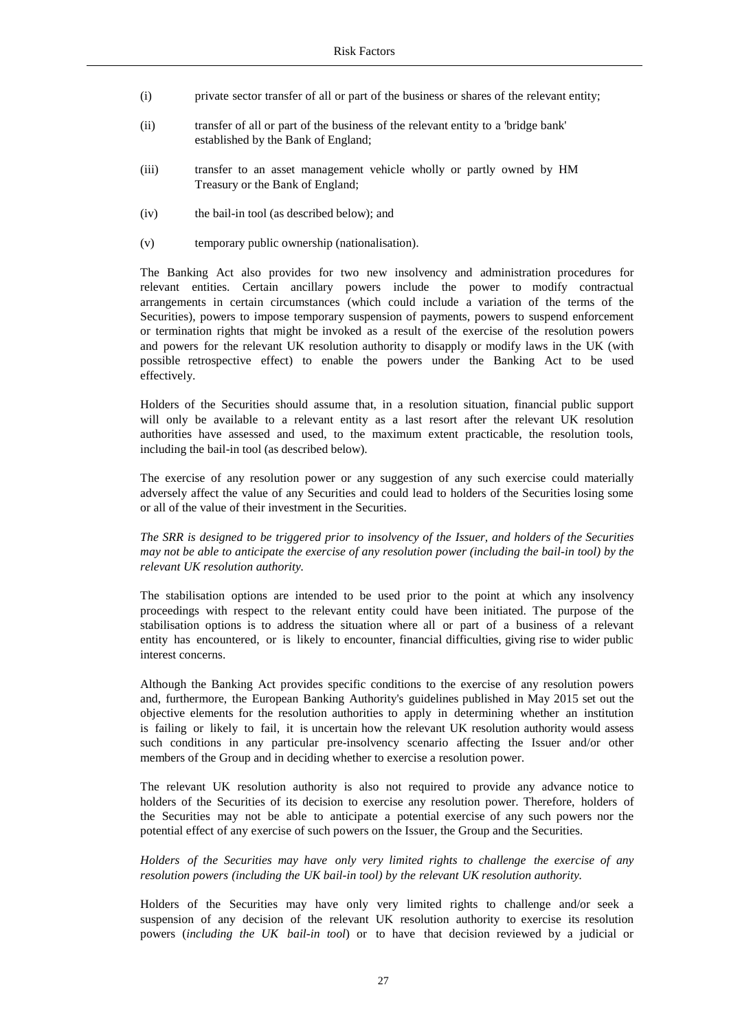- (i) private sector transfer of all or part of the business or shares of the relevant entity;
- (ii) transfer of all or part of the business of the relevant entity to a 'bridge bank' established by the Bank of England;
- (iii) transfer to an asset management vehicle wholly or partly owned by HM Treasury or the Bank of England;
- (iv) the bail-in tool (as described below); and
- (v) temporary public ownership (nationalisation).

The Banking Act also provides for two new insolvency and administration procedures for relevant entities. Certain ancillary powers include the power to modify contractual arrangements in certain circumstances (which could include a variation of the terms of the Securities), powers to impose temporary suspension of payments, powers to suspend enforcement or termination rights that might be invoked as a result of the exercise of the resolution powers and powers for the relevant UK resolution authority to disapply or modify laws in the UK (with possible retrospective effect) to enable the powers under the Banking Act to be used effectively.

Holders of the Securities should assume that, in a resolution situation, financial public support will only be available to a relevant entity as a last resort after the relevant UK resolution authorities have assessed and used, to the maximum extent practicable, the resolution tools, including the bail-in tool (as described below).

The exercise of any resolution power or any suggestion of any such exercise could materially adversely affect the value of any Securities and could lead to holders of the Securities losing some or all of the value of their investment in the Securities.

*The SRR is designed to be triggered prior to insolvency of the Issuer, and holders of the Securities may not be able to anticipate the exercise of any resolution power (including the bail-in tool) by the relevant UK resolution authority.*

The stabilisation options are intended to be used prior to the point at which any insolvency proceedings with respect to the relevant entity could have been initiated. The purpose of the stabilisation options is to address the situation where all or part of a business of a relevant entity has encountered, or is likely to encounter, financial difficulties, giving rise to wider public interest concerns.

Although the Banking Act provides specific conditions to the exercise of any resolution powers and, furthermore, the European Banking Authority's guidelines published in May 2015 set out the objective elements for the resolution authorities to apply in determining whether an institution is failing or likely to fail, it is uncertain how the relevant UK resolution authority would assess such conditions in any particular pre-insolvency scenario affecting the Issuer and/or other members of the Group and in deciding whether to exercise a resolution power.

The relevant UK resolution authority is also not required to provide any advance notice to holders of the Securities of its decision to exercise any resolution power. Therefore, holders of the Securities may not be able to anticipate a potential exercise of any such powers nor the potential effect of any exercise of such powers on the Issuer, the Group and the Securities.

*Holders of the Securities may have only very limited rights to challenge the exercise of any resolution powers (including the UK bail-in tool) by the relevant UK resolution authority.*

Holders of the Securities may have only very limited rights to challenge and/or seek a suspension of any decision of the relevant UK resolution authority to exercise its resolution powers (*including the UK bail-in tool*) or to have that decision reviewed by a judicial or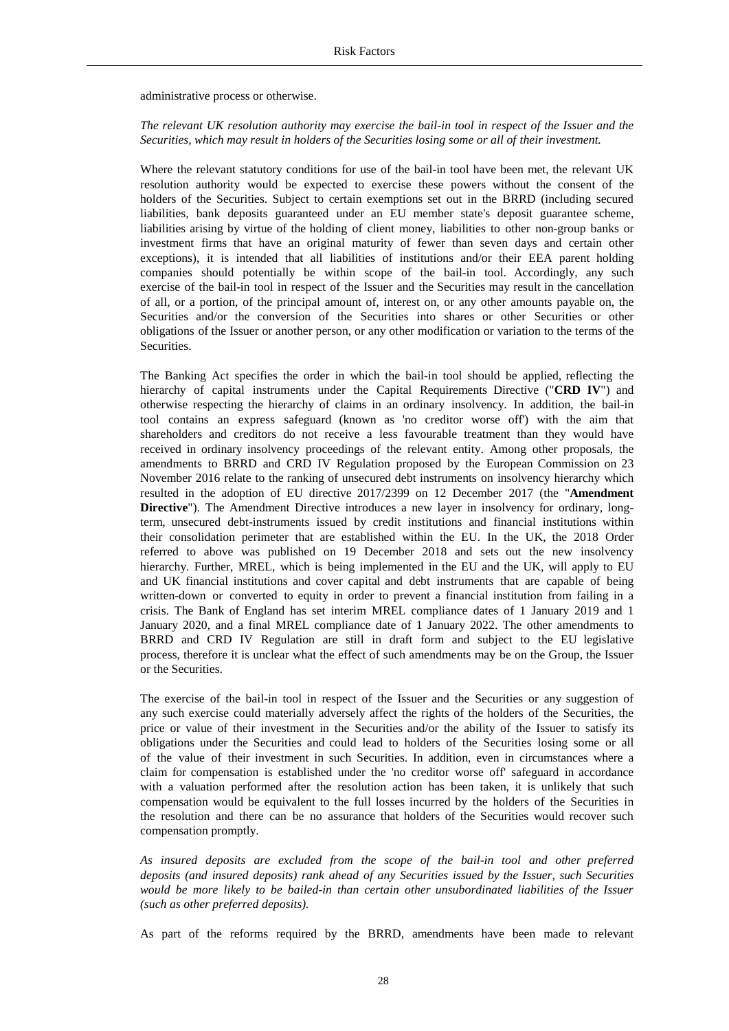administrative process or otherwise.

*The relevant UK resolution authority may exercise the bail-in tool in respect of the Issuer and the Securities, which may result in holders of the Securities losing some or all of their investment.*

Where the relevant statutory conditions for use of the bail-in tool have been met, the relevant UK resolution authority would be expected to exercise these powers without the consent of the holders of the Securities. Subject to certain exemptions set out in the BRRD (including secured liabilities, bank deposits guaranteed under an EU member state's deposit guarantee scheme, liabilities arising by virtue of the holding of client money, liabilities to other non-group banks or investment firms that have an original maturity of fewer than seven days and certain other exceptions), it is intended that all liabilities of institutions and/or their EEA parent holding companies should potentially be within scope of the bail-in tool. Accordingly, any such exercise of the bail-in tool in respect of the Issuer and the Securities may result in the cancellation of all, or a portion, of the principal amount of, interest on, or any other amounts payable on, the Securities and/or the conversion of the Securities into shares or other Securities or other obligations of the Issuer or another person, or any other modification or variation to the terms of the Securities.

The Banking Act specifies the order in which the bail-in tool should be applied, reflecting the hierarchy of capital instruments under the Capital Requirements Directive ("**CRD IV**") and otherwise respecting the hierarchy of claims in an ordinary insolvency. In addition, the bail-in tool contains an express safeguard (known as 'no creditor worse off') with the aim that shareholders and creditors do not receive a less favourable treatment than they would have received in ordinary insolvency proceedings of the relevant entity. Among other proposals, the amendments to BRRD and CRD IV Regulation proposed by the European Commission on 23 November 2016 relate to the ranking of unsecured debt instruments on insolvency hierarchy which resulted in the adoption of EU directive 2017/2399 on 12 December 2017 (the "**Amendment Directive**"). The Amendment Directive introduces a new layer in insolvency for ordinary, longterm, unsecured debt-instruments issued by credit institutions and financial institutions within their consolidation perimeter that are established within the EU. In the UK, the 2018 Order referred to above was published on 19 December 2018 and sets out the new insolvency hierarchy. Further, MREL, which is being implemented in the EU and the UK, will apply to EU and UK financial institutions and cover capital and debt instruments that are capable of being written-down or converted to equity in order to prevent a financial institution from failing in a crisis. The Bank of England has set interim MREL compliance dates of 1 January 2019 and 1 January 2020, and a final MREL compliance date of 1 January 2022. The other amendments to BRRD and CRD IV Regulation are still in draft form and subject to the EU legislative process, therefore it is unclear what the effect of such amendments may be on the Group, the Issuer or the Securities.

The exercise of the bail-in tool in respect of the Issuer and the Securities or any suggestion of any such exercise could materially adversely affect the rights of the holders of the Securities, the price or value of their investment in the Securities and/or the ability of the Issuer to satisfy its obligations under the Securities and could lead to holders of the Securities losing some or all of the value of their investment in such Securities. In addition, even in circumstances where a claim for compensation is established under the 'no creditor worse off' safeguard in accordance with a valuation performed after the resolution action has been taken, it is unlikely that such compensation would be equivalent to the full losses incurred by the holders of the Securities in the resolution and there can be no assurance that holders of the Securities would recover such compensation promptly.

*As insured deposits are excluded from the scope of the bail-in tool and other preferred deposits (and insured deposits) rank ahead of any Securities issued by the Issuer, such Securities would be more likely to be bailed-in than certain other unsubordinated liabilities of the Issuer (such as other preferred deposits).*

As part of the reforms required by the BRRD, amendments have been made to relevant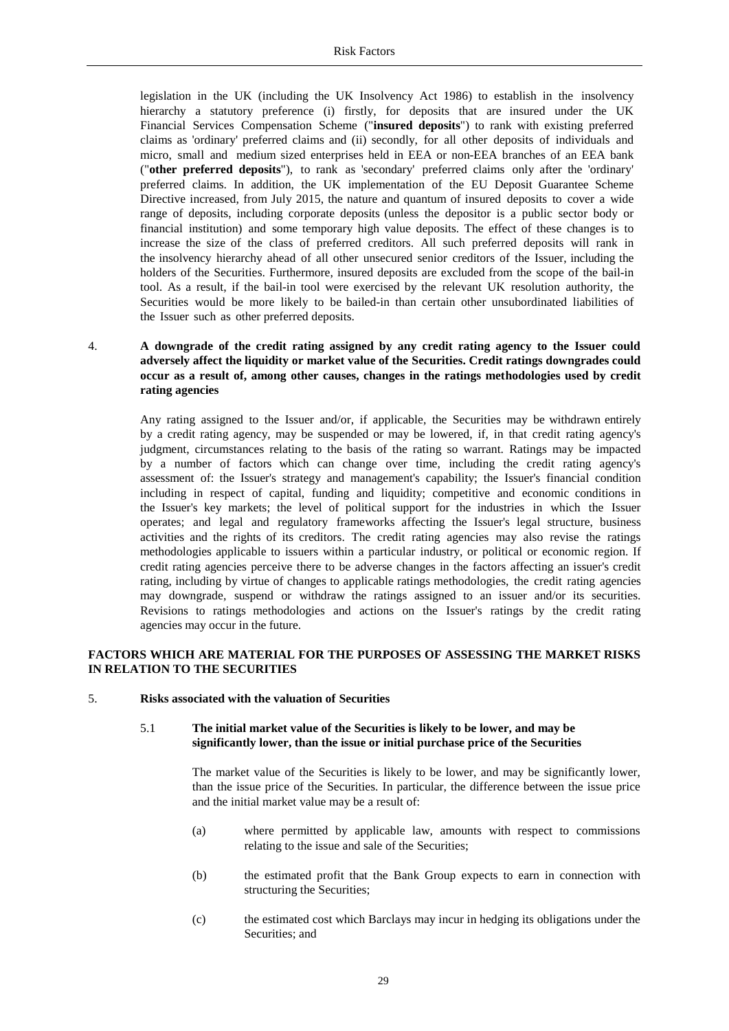legislation in the UK (including the UK Insolvency Act 1986) to establish in the insolvency hierarchy a statutory preference (i) firstly, for deposits that are insured under the UK Financial Services Compensation Scheme ("**insured deposits**") to rank with existing preferred claims as 'ordinary' preferred claims and (ii) secondly, for all other deposits of individuals and micro, small and medium sized enterprises held in EEA or non-EEA branches of an EEA bank ("**other preferred deposits**"), to rank as 'secondary' preferred claims only after the 'ordinary' preferred claims. In addition, the UK implementation of the EU Deposit Guarantee Scheme Directive increased, from July 2015, the nature and quantum of insured deposits to cover a wide range of deposits, including corporate deposits (unless the depositor is a public sector body or financial institution) and some temporary high value deposits. The effect of these changes is to increase the size of the class of preferred creditors. All such preferred deposits will rank in the insolvency hierarchy ahead of all other unsecured senior creditors of the Issuer, including the holders of the Securities. Furthermore, insured deposits are excluded from the scope of the bail-in tool. As a result, if the bail-in tool were exercised by the relevant UK resolution authority, the Securities would be more likely to be bailed-in than certain other unsubordinated liabilities of the Issuer such as other preferred deposits.

# 4. **A downgrade of the credit rating assigned by any credit rating agency to the Issuer could adversely affect the liquidity or market value of the Securities. Credit ratings downgrades could occur as a result of, among other causes, changes in the ratings methodologies used by credit rating agencies**

Any rating assigned to the Issuer and/or, if applicable, the Securities may be withdrawn entirely by a credit rating agency, may be suspended or may be lowered, if, in that credit rating agency's judgment, circumstances relating to the basis of the rating so warrant. Ratings may be impacted by a number of factors which can change over time, including the credit rating agency's assessment of: the Issuer's strategy and management's capability; the Issuer's financial condition including in respect of capital, funding and liquidity; competitive and economic conditions in the Issuer's key markets; the level of political support for the industries in which the Issuer operates; and legal and regulatory frameworks affecting the Issuer's legal structure, business activities and the rights of its creditors. The credit rating agencies may also revise the ratings methodologies applicable to issuers within a particular industry, or political or economic region. If credit rating agencies perceive there to be adverse changes in the factors affecting an issuer's credit rating, including by virtue of changes to applicable ratings methodologies, the credit rating agencies may downgrade, suspend or withdraw the ratings assigned to an issuer and/or its securities. Revisions to ratings methodologies and actions on the Issuer's ratings by the credit rating agencies may occur in the future.

# **FACTORS WHICH ARE MATERIAL FOR THE PURPOSES OF ASSESSING THE MARKET RISKS IN RELATION TO THE SECURITIES**

#### 5. **Risks associated with the valuation of Securities**

#### 5.1 **The initial market value of the Securities is likely to be lower, and may be significantly lower, than the issue or initial purchase price of the Securities**

The market value of the Securities is likely to be lower, and may be significantly lower, than the issue price of the Securities. In particular, the difference between the issue price and the initial market value may be a result of:

- (a) where permitted by applicable law, amounts with respect to commissions relating to the issue and sale of the Securities;
- (b) the estimated profit that the Bank Group expects to earn in connection with structuring the Securities;
- (c) the estimated cost which Barclays may incur in hedging its obligations under the Securities; and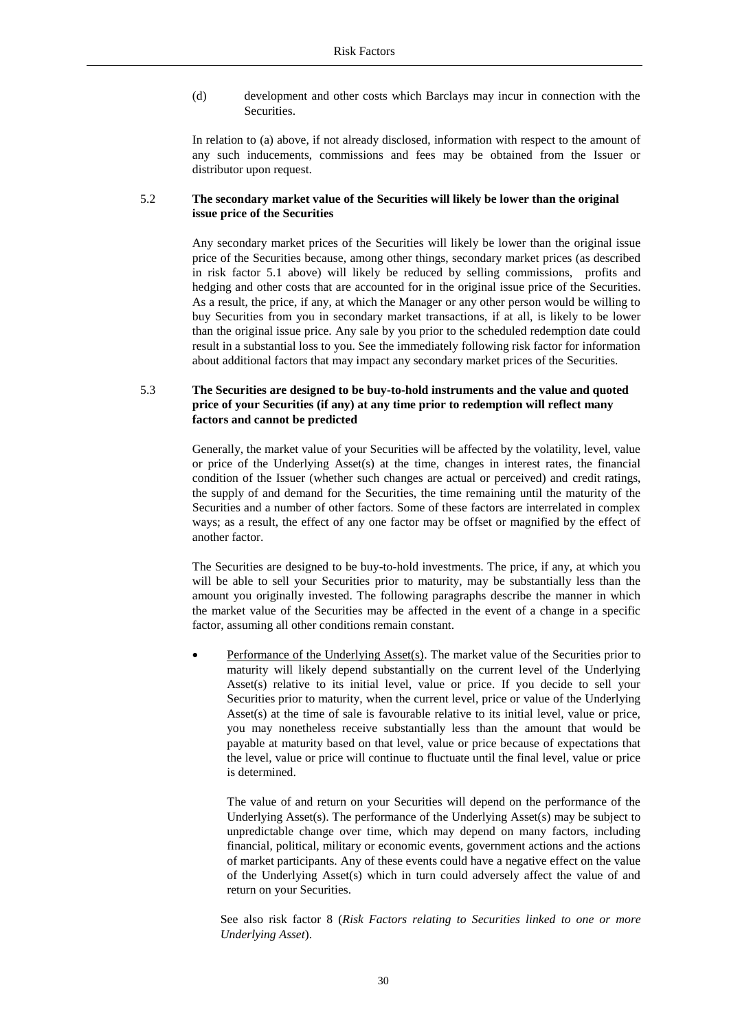(d) development and other costs which Barclays may incur in connection with the Securities.

In relation to (a) above, if not already disclosed, information with respect to the amount of any such inducements, commissions and fees may be obtained from the Issuer or distributor upon request.

#### 5.2 **The secondary market value of the Securities will likely be lower than the original issue price of the Securities**

Any secondary market prices of the Securities will likely be lower than the original issue price of the Securities because, among other things, secondary market prices (as described in risk factor 5.1 above) will likely be reduced by selling commissions, profits and hedging and other costs that are accounted for in the original issue price of the Securities. As a result, the price, if any, at which the Manager or any other person would be willing to buy Securities from you in secondary market transactions, if at all, is likely to be lower than the original issue price. Any sale by you prior to the scheduled redemption date could result in a substantial loss to you. See the immediately following risk factor for information about additional factors that may impact any secondary market prices of the Securities.

# 5.3 **The Securities are designed to be buy-to-hold instruments and the value and quoted price of your Securities (if any) at any time prior to redemption will reflect many factors and cannot be predicted**

Generally, the market value of your Securities will be affected by the volatility, level, value or price of the Underlying Asset(s) at the time, changes in interest rates, the financial condition of the Issuer (whether such changes are actual or perceived) and credit ratings, the supply of and demand for the Securities, the time remaining until the maturity of the Securities and a number of other factors. Some of these factors are interrelated in complex ways; as a result, the effect of any one factor may be offset or magnified by the effect of another factor.

The Securities are designed to be buy-to-hold investments. The price, if any, at which you will be able to sell your Securities prior to maturity, may be substantially less than the amount you originally invested. The following paragraphs describe the manner in which the market value of the Securities may be affected in the event of a change in a specific factor, assuming all other conditions remain constant.

Performance of the Underlying Asset(s). The market value of the Securities prior to maturity will likely depend substantially on the current level of the Underlying Asset(s) relative to its initial level, value or price. If you decide to sell your Securities prior to maturity, when the current level, price or value of the Underlying Asset(s) at the time of sale is favourable relative to its initial level, value or price, you may nonetheless receive substantially less than the amount that would be payable at maturity based on that level, value or price because of expectations that the level, value or price will continue to fluctuate until the final level, value or price is determined.

The value of and return on your Securities will depend on the performance of the Underlying Asset(s). The performance of the Underlying Asset(s) may be subject to unpredictable change over time, which may depend on many factors, including financial, political, military or economic events, government actions and the actions of market participants. Any of these events could have a negative effect on the value of the Underlying Asset(s) which in turn could adversely affect the value of and return on your Securities.

See also risk factor 8 (*Risk Factors relating to Securities linked to one or more Underlying Asset*).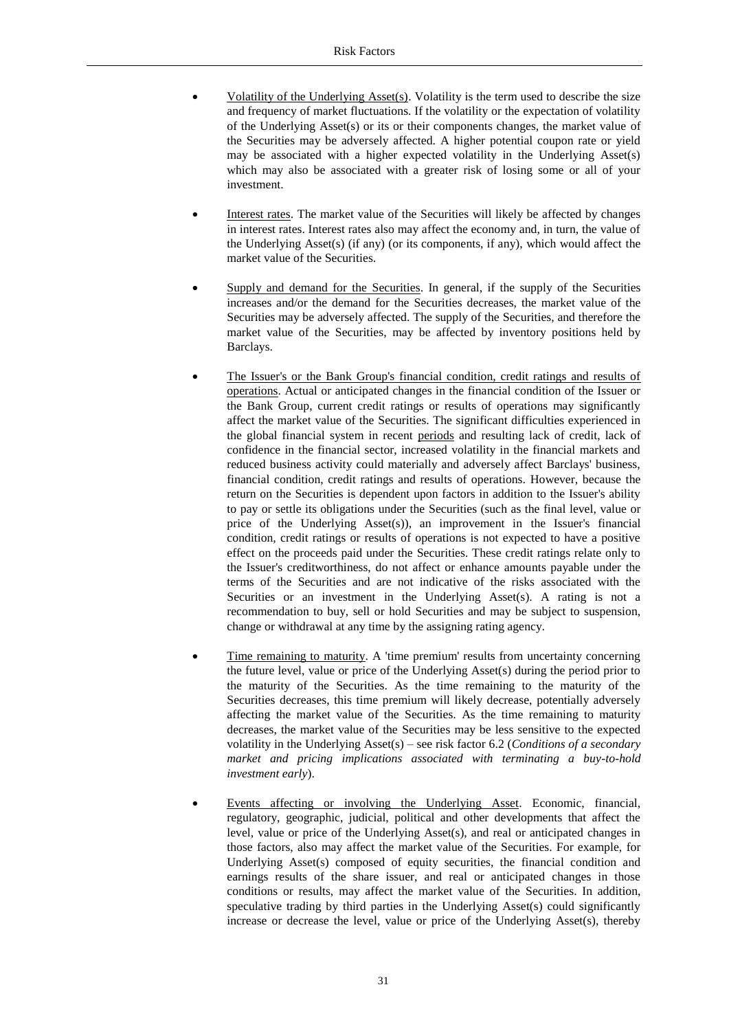- Volatility of the Underlying  $\text{Asset}(s)$ . Volatility is the term used to describe the size and frequency of market fluctuations. If the volatility or the expectation of volatility of the Underlying Asset(s) or its or their components changes, the market value of the Securities may be adversely affected. A higher potential coupon rate or yield may be associated with a higher expected volatility in the Underlying Asset(s) which may also be associated with a greater risk of losing some or all of your investment.
- Interest rates. The market value of the Securities will likely be affected by changes in interest rates. Interest rates also may affect the economy and, in turn, the value of the Underlying Asset(s) (if any) (or its components, if any), which would affect the market value of the Securities.
- Supply and demand for the Securities. In general, if the supply of the Securities increases and/or the demand for the Securities decreases, the market value of the Securities may be adversely affected. The supply of the Securities, and therefore the market value of the Securities, may be affected by inventory positions held by Barclays.
- The Issuer's or the Bank Group's financial condition, credit ratings and results of operations. Actual or anticipated changes in the financial condition of the Issuer or the Bank Group, current credit ratings or results of operations may significantly affect the market value of the Securities. The significant difficulties experienced in the global financial system in recent periods and resulting lack of credit, lack of confidence in the financial sector, increased volatility in the financial markets and reduced business activity could materially and adversely affect Barclays' business, financial condition, credit ratings and results of operations. However, because the return on the Securities is dependent upon factors in addition to the Issuer's ability to pay or settle its obligations under the Securities (such as the final level, value or price of the Underlying Asset(s)), an improvement in the Issuer's financial condition, credit ratings or results of operations is not expected to have a positive effect on the proceeds paid under the Securities. These credit ratings relate only to the Issuer's creditworthiness, do not affect or enhance amounts payable under the terms of the Securities and are not indicative of the risks associated with the Securities or an investment in the Underlying Asset(s). A rating is not a recommendation to buy, sell or hold Securities and may be subject to suspension, change or withdrawal at any time by the assigning rating agency.
- Time remaining to maturity. A 'time premium' results from uncertainty concerning the future level, value or price of the Underlying Asset(s) during the period prior to the maturity of the Securities. As the time remaining to the maturity of the Securities decreases, this time premium will likely decrease, potentially adversely affecting the market value of the Securities. As the time remaining to maturity decreases, the market value of the Securities may be less sensitive to the expected volatility in the Underlying Asset(s) – see risk factor 6.2 (*Conditions of a secondary market and pricing implications associated with terminating a buy-to-hold investment early*).
- Events affecting or involving the Underlying Asset. Economic, financial, regulatory, geographic, judicial, political and other developments that affect the level, value or price of the Underlying Asset(s), and real or anticipated changes in those factors, also may affect the market value of the Securities. For example, for Underlying Asset(s) composed of equity securities, the financial condition and earnings results of the share issuer, and real or anticipated changes in those conditions or results, may affect the market value of the Securities. In addition, speculative trading by third parties in the Underlying Asset(s) could significantly increase or decrease the level, value or price of the Underlying Asset(s), thereby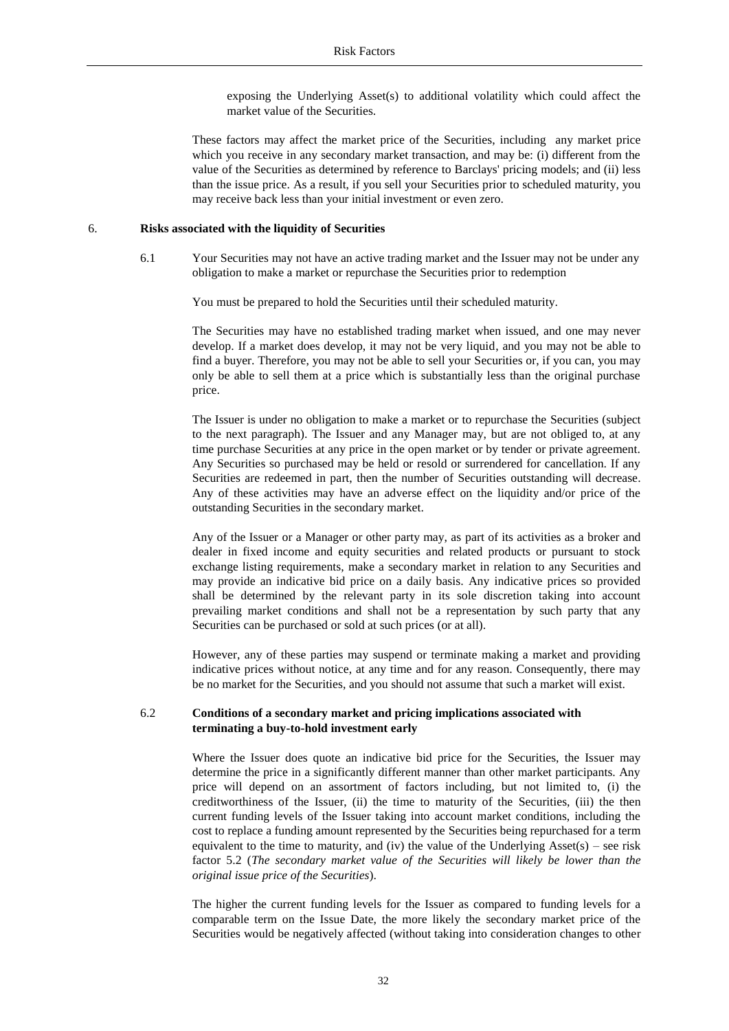exposing the Underlying Asset(s) to additional volatility which could affect the market value of the Securities.

These factors may affect the market price of the Securities, including any market price which you receive in any secondary market transaction, and may be: (i) different from the value of the Securities as determined by reference to Barclays' pricing models; and (ii) less than the issue price. As a result, if you sell your Securities prior to scheduled maturity, you may receive back less than your initial investment or even zero.

#### 6. **Risks associated with the liquidity of Securities**

6.1 Your Securities may not have an active trading market and the Issuer may not be under any obligation to make a market or repurchase the Securities prior to redemption

You must be prepared to hold the Securities until their scheduled maturity.

The Securities may have no established trading market when issued, and one may never develop. If a market does develop, it may not be very liquid, and you may not be able to find a buyer. Therefore, you may not be able to sell your Securities or, if you can, you may only be able to sell them at a price which is substantially less than the original purchase price.

The Issuer is under no obligation to make a market or to repurchase the Securities (subject to the next paragraph). The Issuer and any Manager may, but are not obliged to, at any time purchase Securities at any price in the open market or by tender or private agreement. Any Securities so purchased may be held or resold or surrendered for cancellation. If any Securities are redeemed in part, then the number of Securities outstanding will decrease. Any of these activities may have an adverse effect on the liquidity and/or price of the outstanding Securities in the secondary market.

Any of the Issuer or a Manager or other party may, as part of its activities as a broker and dealer in fixed income and equity securities and related products or pursuant to stock exchange listing requirements, make a secondary market in relation to any Securities and may provide an indicative bid price on a daily basis. Any indicative prices so provided shall be determined by the relevant party in its sole discretion taking into account prevailing market conditions and shall not be a representation by such party that any Securities can be purchased or sold at such prices (or at all).

However, any of these parties may suspend or terminate making a market and providing indicative prices without notice, at any time and for any reason. Consequently, there may be no market for the Securities, and you should not assume that such a market will exist.

#### 6.2 **Conditions of a secondary market and pricing implications associated with terminating a buy-to-hold investment early**

Where the Issuer does quote an indicative bid price for the Securities, the Issuer may determine the price in a significantly different manner than other market participants. Any price will depend on an assortment of factors including, but not limited to, (i) the creditworthiness of the Issuer, (ii) the time to maturity of the Securities, (iii) the then current funding levels of the Issuer taking into account market conditions, including the cost to replace a funding amount represented by the Securities being repurchased for a term equivalent to the time to maturity, and (iv) the value of the Underlying Asset( $s$ ) – see risk factor 5.2 (*The secondary market value of the Securities will likely be lower than the original issue price of the Securities*).

The higher the current funding levels for the Issuer as compared to funding levels for a comparable term on the Issue Date, the more likely the secondary market price of the Securities would be negatively affected (without taking into consideration changes to other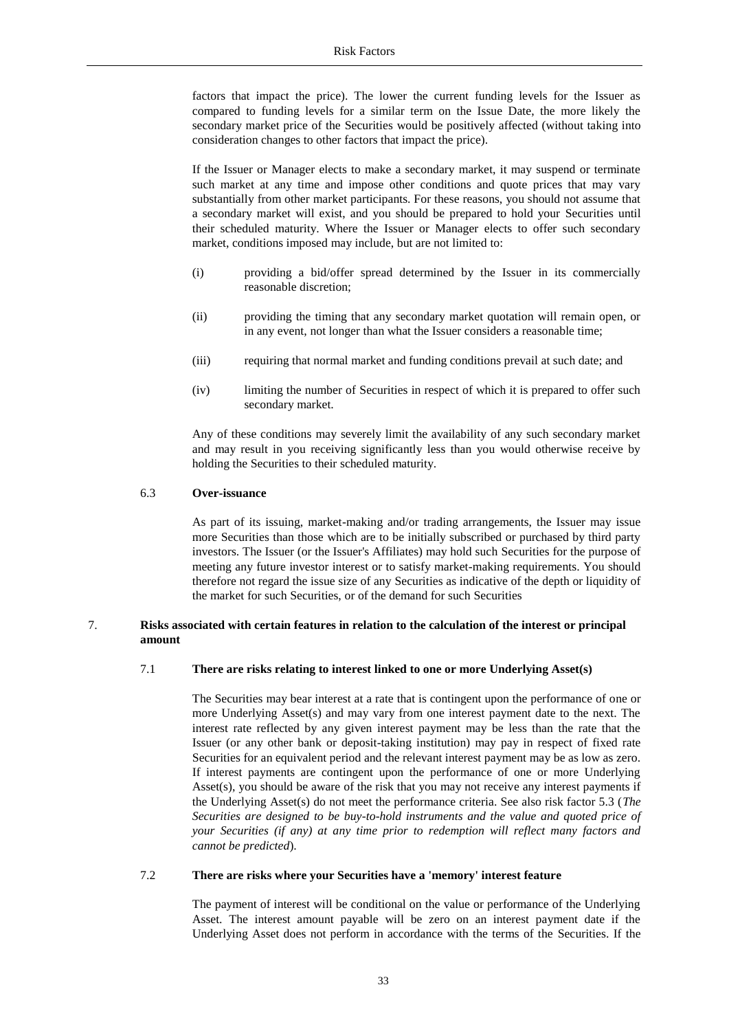factors that impact the price). The lower the current funding levels for the Issuer as compared to funding levels for a similar term on the Issue Date, the more likely the secondary market price of the Securities would be positively affected (without taking into consideration changes to other factors that impact the price).

If the Issuer or Manager elects to make a secondary market, it may suspend or terminate such market at any time and impose other conditions and quote prices that may vary substantially from other market participants. For these reasons, you should not assume that a secondary market will exist, and you should be prepared to hold your Securities until their scheduled maturity. Where the Issuer or Manager elects to offer such secondary market, conditions imposed may include, but are not limited to:

- (i) providing a bid/offer spread determined by the Issuer in its commercially reasonable discretion;
- (ii) providing the timing that any secondary market quotation will remain open, or in any event, not longer than what the Issuer considers a reasonable time;
- (iii) requiring that normal market and funding conditions prevail at such date; and
- (iv) limiting the number of Securities in respect of which it is prepared to offer such secondary market.

Any of these conditions may severely limit the availability of any such secondary market and may result in you receiving significantly less than you would otherwise receive by holding the Securities to their scheduled maturity.

#### 6.3 **Over-issuance**

As part of its issuing, market-making and/or trading arrangements, the Issuer may issue more Securities than those which are to be initially subscribed or purchased by third party investors. The Issuer (or the Issuer's Affiliates) may hold such Securities for the purpose of meeting any future investor interest or to satisfy market-making requirements. You should therefore not regard the issue size of any Securities as indicative of the depth or liquidity of the market for such Securities, or of the demand for such Securities

# 7. **Risks associated with certain features in relation to the calculation of the interest or principal amount**

## 7.1 **There are risks relating to interest linked to one or more Underlying Asset(s)**

The Securities may bear interest at a rate that is contingent upon the performance of one or more Underlying Asset(s) and may vary from one interest payment date to the next. The interest rate reflected by any given interest payment may be less than the rate that the Issuer (or any other bank or deposit-taking institution) may pay in respect of fixed rate Securities for an equivalent period and the relevant interest payment may be as low as zero. If interest payments are contingent upon the performance of one or more Underlying Asset(s), you should be aware of the risk that you may not receive any interest payments if the Underlying Asset(s) do not meet the performance criteria. See also risk factor 5.3 (*The Securities are designed to be buy-to-hold instruments and the value and quoted price of your Securities (if any) at any time prior to redemption will reflect many factors and cannot be predicted*).

#### 7.2 **There are risks where your Securities have a 'memory' interest feature**

The payment of interest will be conditional on the value or performance of the Underlying Asset. The interest amount payable will be zero on an interest payment date if the Underlying Asset does not perform in accordance with the terms of the Securities. If the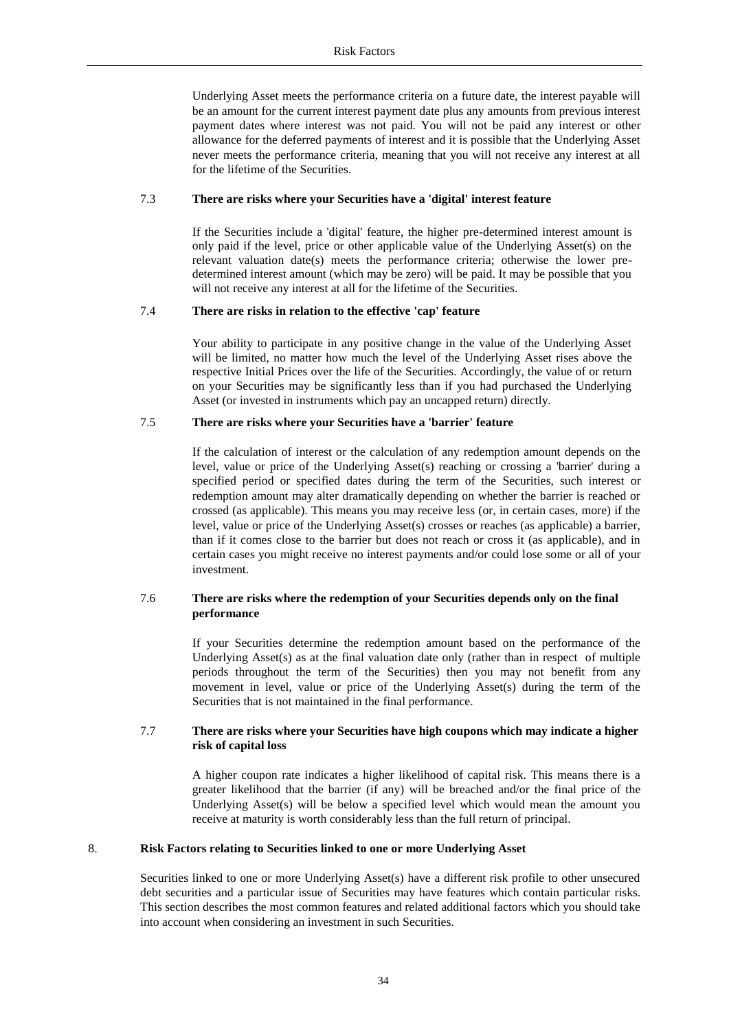Underlying Asset meets the performance criteria on a future date, the interest payable will be an amount for the current interest payment date plus any amounts from previous interest payment dates where interest was not paid. You will not be paid any interest or other allowance for the deferred payments of interest and it is possible that the Underlying Asset never meets the performance criteria, meaning that you will not receive any interest at all for the lifetime of the Securities.

#### 7.3 **There are risks where your Securities have a 'digital' interest feature**

If the Securities include a 'digital' feature, the higher pre-determined interest amount is only paid if the level, price or other applicable value of the Underlying Asset(s) on the relevant valuation date(s) meets the performance criteria; otherwise the lower predetermined interest amount (which may be zero) will be paid. It may be possible that you will not receive any interest at all for the lifetime of the Securities.

#### 7.4 **There are risks in relation to the effective 'cap' feature**

Your ability to participate in any positive change in the value of the Underlying Asset will be limited, no matter how much the level of the Underlying Asset rises above the respective Initial Prices over the life of the Securities. Accordingly, the value of or return on your Securities may be significantly less than if you had purchased the Underlying Asset (or invested in instruments which pay an uncapped return) directly.

#### 7.5 **There are risks where your Securities have a 'barrier' feature**

If the calculation of interest or the calculation of any redemption amount depends on the level, value or price of the Underlying Asset(s) reaching or crossing a 'barrier' during a specified period or specified dates during the term of the Securities, such interest or redemption amount may alter dramatically depending on whether the barrier is reached or crossed (as applicable). This means you may receive less (or, in certain cases, more) if the level, value or price of the Underlying Asset(s) crosses or reaches (as applicable) a barrier, than if it comes close to the barrier but does not reach or cross it (as applicable), and in certain cases you might receive no interest payments and/or could lose some or all of your investment.

## 7.6 **There are risks where the redemption of your Securities depends only on the final performance**

If your Securities determine the redemption amount based on the performance of the Underlying Asset(s) as at the final valuation date only (rather than in respect of multiple periods throughout the term of the Securities) then you may not benefit from any movement in level, value or price of the Underlying Asset(s) during the term of the Securities that is not maintained in the final performance.

#### 7.7 **There are risks where your Securities have high coupons which may indicate a higher risk of capital loss**

A higher coupon rate indicates a higher likelihood of capital risk. This means there is a greater likelihood that the barrier (if any) will be breached and/or the final price of the Underlying Asset(s) will be below a specified level which would mean the amount you receive at maturity is worth considerably less than the full return of principal.

### 8. **Risk Factors relating to Securities linked to one or more Underlying Asset**

Securities linked to one or more Underlying Asset(s) have a different risk profile to other unsecured debt securities and a particular issue of Securities may have features which contain particular risks. This section describes the most common features and related additional factors which you should take into account when considering an investment in such Securities.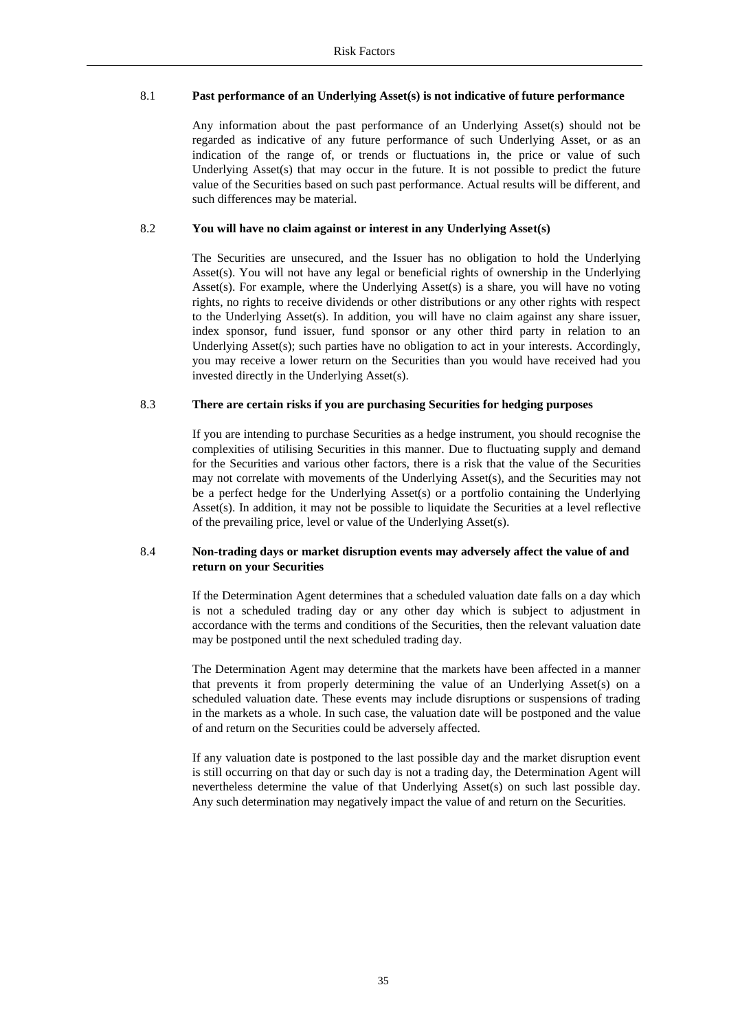# 8.1 **Past performance of an Underlying Asset(s) is not indicative of future performance**

Any information about the past performance of an Underlying Asset(s) should not be regarded as indicative of any future performance of such Underlying Asset, or as an indication of the range of, or trends or fluctuations in, the price or value of such Underlying Asset(s) that may occur in the future. It is not possible to predict the future value of the Securities based on such past performance. Actual results will be different, and such differences may be material.

## 8.2 **You will have no claim against or interest in any Underlying Asset(s)**

The Securities are unsecured, and the Issuer has no obligation to hold the Underlying Asset(s). You will not have any legal or beneficial rights of ownership in the Underlying Asset(s). For example, where the Underlying Asset(s) is a share, you will have no voting rights, no rights to receive dividends or other distributions or any other rights with respect to the Underlying Asset(s). In addition, you will have no claim against any share issuer, index sponsor, fund issuer, fund sponsor or any other third party in relation to an Underlying Asset(s); such parties have no obligation to act in your interests. Accordingly, you may receive a lower return on the Securities than you would have received had you invested directly in the Underlying Asset(s).

## 8.3 **There are certain risks if you are purchasing Securities for hedging purposes**

If you are intending to purchase Securities as a hedge instrument, you should recognise the complexities of utilising Securities in this manner. Due to fluctuating supply and demand for the Securities and various other factors, there is a risk that the value of the Securities may not correlate with movements of the Underlying Asset(s), and the Securities may not be a perfect hedge for the Underlying Asset(s) or a portfolio containing the Underlying Asset(s). In addition, it may not be possible to liquidate the Securities at a level reflective of the prevailing price, level or value of the Underlying Asset(s).

# 8.4 **Non-trading days or market disruption events may adversely affect the value of and return on your Securities**

If the Determination Agent determines that a scheduled valuation date falls on a day which is not a scheduled trading day or any other day which is subject to adjustment in accordance with the terms and conditions of the Securities, then the relevant valuation date may be postponed until the next scheduled trading day.

The Determination Agent may determine that the markets have been affected in a manner that prevents it from properly determining the value of an Underlying Asset(s) on a scheduled valuation date. These events may include disruptions or suspensions of trading in the markets as a whole. In such case, the valuation date will be postponed and the value of and return on the Securities could be adversely affected.

If any valuation date is postponed to the last possible day and the market disruption event is still occurring on that day or such day is not a trading day, the Determination Agent will nevertheless determine the value of that Underlying Asset(s) on such last possible day. Any such determination may negatively impact the value of and return on the Securities.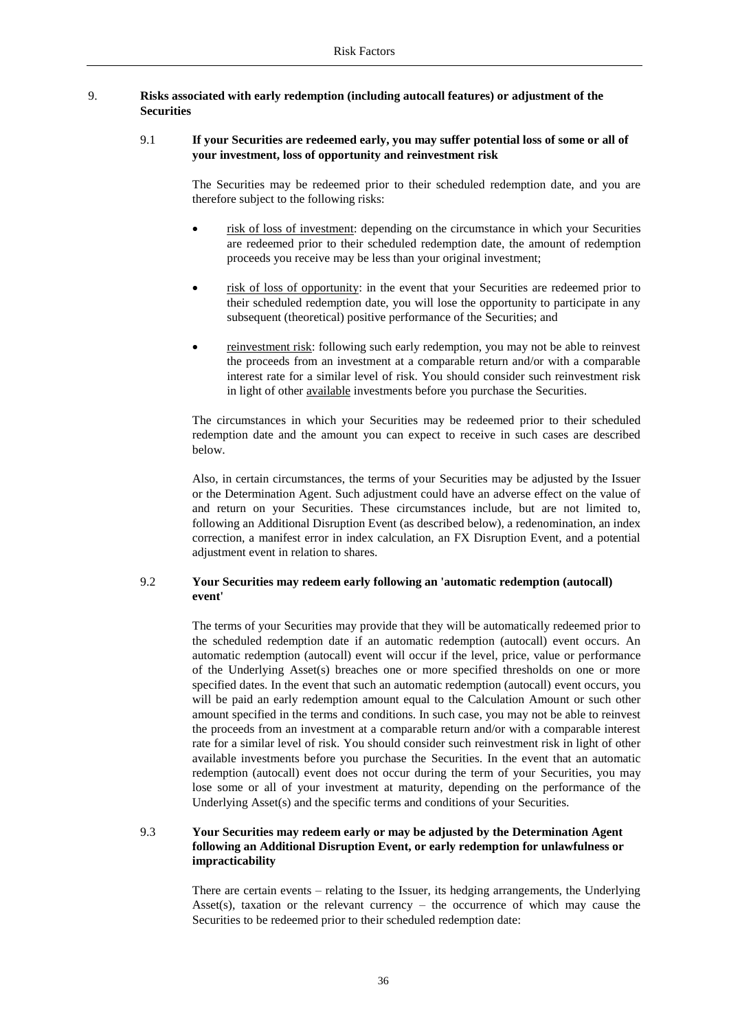## 9. **Risks associated with early redemption (including autocall features) or adjustment of the Securities**

## 9.1 **If your Securities are redeemed early, you may suffer potential loss of some or all of your investment, loss of opportunity and reinvestment risk**

The Securities may be redeemed prior to their scheduled redemption date, and you are therefore subject to the following risks:

- risk of loss of investment: depending on the circumstance in which your Securities are redeemed prior to their scheduled redemption date, the amount of redemption proceeds you receive may be less than your original investment;
- risk of loss of opportunity: in the event that your Securities are redeemed prior to their scheduled redemption date, you will lose the opportunity to participate in any subsequent (theoretical) positive performance of the Securities; and
- reinvestment risk: following such early redemption, you may not be able to reinvest the proceeds from an investment at a comparable return and/or with a comparable interest rate for a similar level of risk. You should consider such reinvestment risk in light of other available investments before you purchase the Securities.

The circumstances in which your Securities may be redeemed prior to their scheduled redemption date and the amount you can expect to receive in such cases are described below.

Also, in certain circumstances, the terms of your Securities may be adjusted by the Issuer or the Determination Agent. Such adjustment could have an adverse effect on the value of and return on your Securities. These circumstances include, but are not limited to, following an Additional Disruption Event (as described below), a redenomination, an index correction, a manifest error in index calculation, an FX Disruption Event, and a potential adjustment event in relation to shares.

## 9.2 **Your Securities may redeem early following an 'automatic redemption (autocall) event'**

The terms of your Securities may provide that they will be automatically redeemed prior to the scheduled redemption date if an automatic redemption (autocall) event occurs. An automatic redemption (autocall) event will occur if the level, price, value or performance of the Underlying Asset(s) breaches one or more specified thresholds on one or more specified dates. In the event that such an automatic redemption (autocall) event occurs, you will be paid an early redemption amount equal to the Calculation Amount or such other amount specified in the terms and conditions. In such case, you may not be able to reinvest the proceeds from an investment at a comparable return and/or with a comparable interest rate for a similar level of risk. You should consider such reinvestment risk in light of other available investments before you purchase the Securities. In the event that an automatic redemption (autocall) event does not occur during the term of your Securities, you may lose some or all of your investment at maturity, depending on the performance of the Underlying Asset(s) and the specific terms and conditions of your Securities.

## 9.3 **Your Securities may redeem early or may be adjusted by the Determination Agent following an Additional Disruption Event, or early redemption for unlawfulness or impracticability**

There are certain events – relating to the Issuer, its hedging arrangements, the Underlying Asset(s), taxation or the relevant currency – the occurrence of which may cause the Securities to be redeemed prior to their scheduled redemption date: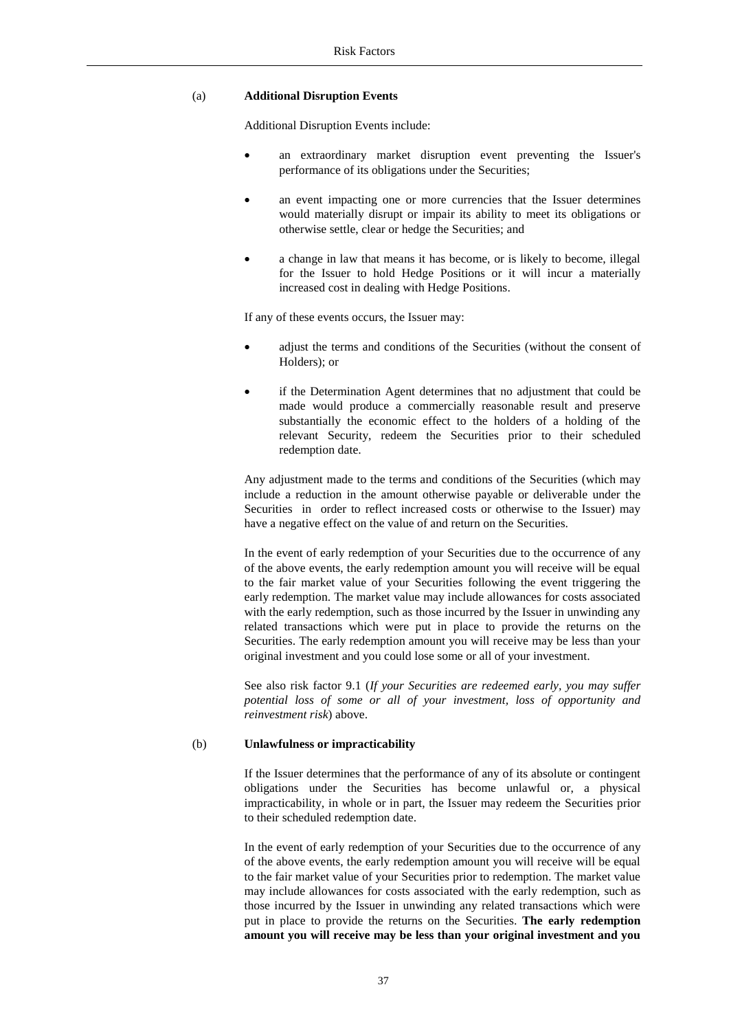### (a) **Additional Disruption Events**

Additional Disruption Events include:

- an extraordinary market disruption event preventing the Issuer's performance of its obligations under the Securities;
- an event impacting one or more currencies that the Issuer determines would materially disrupt or impair its ability to meet its obligations or otherwise settle, clear or hedge the Securities; and
- a change in law that means it has become, or is likely to become, illegal for the Issuer to hold Hedge Positions or it will incur a materially increased cost in dealing with Hedge Positions.

If any of these events occurs, the Issuer may:

- adjust the terms and conditions of the Securities (without the consent of Holders); or
- if the Determination Agent determines that no adjustment that could be made would produce a commercially reasonable result and preserve substantially the economic effect to the holders of a holding of the relevant Security, redeem the Securities prior to their scheduled redemption date.

Any adjustment made to the terms and conditions of the Securities (which may include a reduction in the amount otherwise payable or deliverable under the Securities in order to reflect increased costs or otherwise to the Issuer) may have a negative effect on the value of and return on the Securities.

In the event of early redemption of your Securities due to the occurrence of any of the above events, the early redemption amount you will receive will be equal to the fair market value of your Securities following the event triggering the early redemption. The market value may include allowances for costs associated with the early redemption, such as those incurred by the Issuer in unwinding any related transactions which were put in place to provide the returns on the Securities. The early redemption amount you will receive may be less than your original investment and you could lose some or all of your investment.

See also risk factor 9.1 (*If your Securities are redeemed early, you may suffer potential loss of some or all of your investment, loss of opportunity and reinvestment risk*) above.

#### (b) **Unlawfulness or impracticability**

If the Issuer determines that the performance of any of its absolute or contingent obligations under the Securities has become unlawful or, a physical impracticability, in whole or in part, the Issuer may redeem the Securities prior to their scheduled redemption date.

In the event of early redemption of your Securities due to the occurrence of any of the above events, the early redemption amount you will receive will be equal to the fair market value of your Securities prior to redemption. The market value may include allowances for costs associated with the early redemption, such as those incurred by the Issuer in unwinding any related transactions which were put in place to provide the returns on the Securities. **The early redemption amount you will receive may be less than your original investment and you**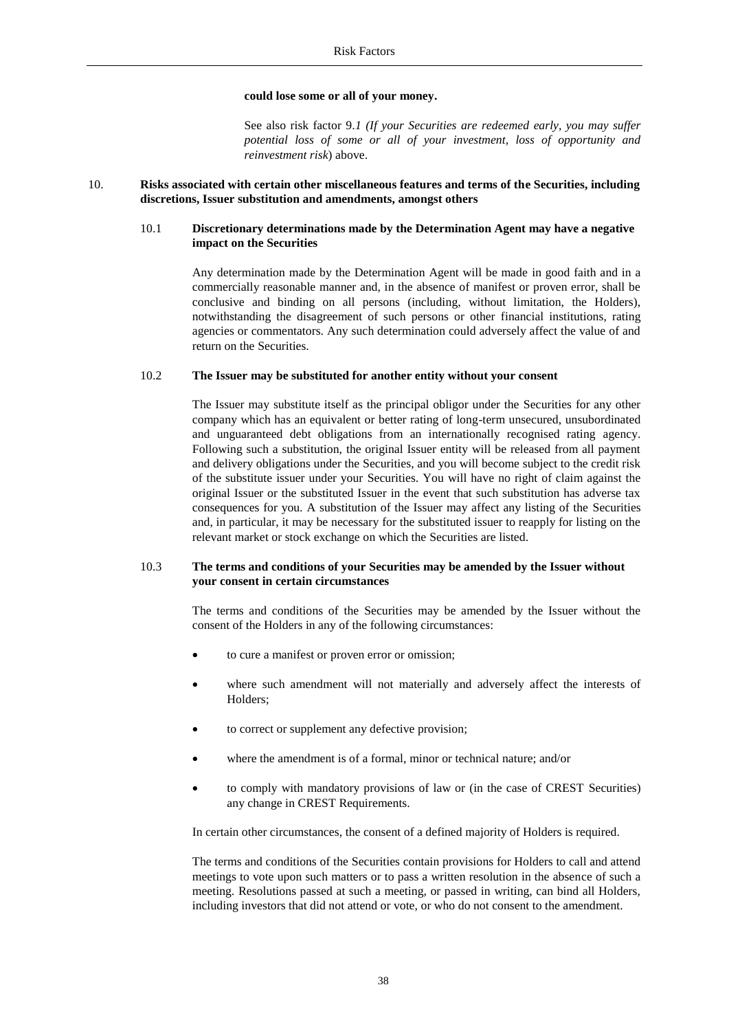#### **could lose some or all of your money.**

See also risk factor 9.*1 (If your Securities are redeemed early, you may suffer potential loss of some or all of your investment, loss of opportunity and reinvestment risk*) above.

## 10. **Risks associated with certain other miscellaneous features and terms of the Securities, including discretions, Issuer substitution and amendments, amongst others**

#### 10.1 **Discretionary determinations made by the Determination Agent may have a negative impact on the Securities**

Any determination made by the Determination Agent will be made in good faith and in a commercially reasonable manner and, in the absence of manifest or proven error, shall be conclusive and binding on all persons (including, without limitation, the Holders), notwithstanding the disagreement of such persons or other financial institutions, rating agencies or commentators. Any such determination could adversely affect the value of and return on the Securities.

#### 10.2 **The Issuer may be substituted for another entity without your consent**

The Issuer may substitute itself as the principal obligor under the Securities for any other company which has an equivalent or better rating of long-term unsecured, unsubordinated and unguaranteed debt obligations from an internationally recognised rating agency. Following such a substitution, the original Issuer entity will be released from all payment and delivery obligations under the Securities, and you will become subject to the credit risk of the substitute issuer under your Securities. You will have no right of claim against the original Issuer or the substituted Issuer in the event that such substitution has adverse tax consequences for you. A substitution of the Issuer may affect any listing of the Securities and, in particular, it may be necessary for the substituted issuer to reapply for listing on the relevant market or stock exchange on which the Securities are listed.

#### 10.3 **The terms and conditions of your Securities may be amended by the Issuer without your consent in certain circumstances**

The terms and conditions of the Securities may be amended by the Issuer without the consent of the Holders in any of the following circumstances:

- to cure a manifest or proven error or omission;
- where such amendment will not materially and adversely affect the interests of Holders;
- to correct or supplement any defective provision;
- where the amendment is of a formal, minor or technical nature; and/or
- to comply with mandatory provisions of law or (in the case of CREST Securities) any change in CREST Requirements.

In certain other circumstances, the consent of a defined majority of Holders is required.

The terms and conditions of the Securities contain provisions for Holders to call and attend meetings to vote upon such matters or to pass a written resolution in the absence of such a meeting. Resolutions passed at such a meeting, or passed in writing, can bind all Holders, including investors that did not attend or vote, or who do not consent to the amendment.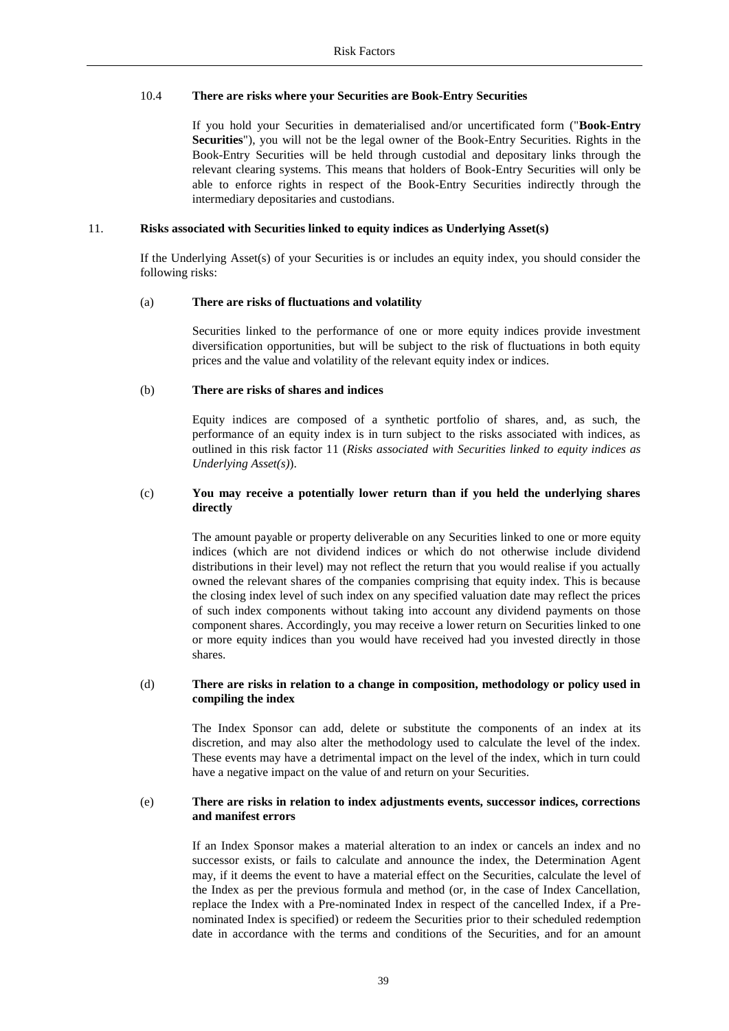#### 10.4 **There are risks where your Securities are Book-Entry Securities**

If you hold your Securities in dematerialised and/or uncertificated form ("**Book-Entry Securities**"), you will not be the legal owner of the Book-Entry Securities. Rights in the Book-Entry Securities will be held through custodial and depositary links through the relevant clearing systems. This means that holders of Book-Entry Securities will only be able to enforce rights in respect of the Book-Entry Securities indirectly through the intermediary depositaries and custodians.

#### 11. **Risks associated with Securities linked to equity indices as Underlying Asset(s)**

If the Underlying Asset(s) of your Securities is or includes an equity index, you should consider the following risks:

#### (a) **There are risks of fluctuations and volatility**

Securities linked to the performance of one or more equity indices provide investment diversification opportunities, but will be subject to the risk of fluctuations in both equity prices and the value and volatility of the relevant equity index or indices.

#### (b) **There are risks of shares and indices**

Equity indices are composed of a synthetic portfolio of shares, and, as such, the performance of an equity index is in turn subject to the risks associated with indices, as outlined in this risk factor 11 (*Risks associated with Securities linked to equity indices as Underlying Asset(s)*).

#### (c) **You may receive a potentially lower return than if you held the underlying shares directly**

The amount payable or property deliverable on any Securities linked to one or more equity indices (which are not dividend indices or which do not otherwise include dividend distributions in their level) may not reflect the return that you would realise if you actually owned the relevant shares of the companies comprising that equity index. This is because the closing index level of such index on any specified valuation date may reflect the prices of such index components without taking into account any dividend payments on those component shares. Accordingly, you may receive a lower return on Securities linked to one or more equity indices than you would have received had you invested directly in those shares.

#### (d) **There are risks in relation to a change in composition, methodology or policy used in compiling the index**

The Index Sponsor can add, delete or substitute the components of an index at its discretion, and may also alter the methodology used to calculate the level of the index. These events may have a detrimental impact on the level of the index, which in turn could have a negative impact on the value of and return on your Securities.

#### (e) **There are risks in relation to index adjustments events, successor indices, corrections and manifest errors**

If an Index Sponsor makes a material alteration to an index or cancels an index and no successor exists, or fails to calculate and announce the index, the Determination Agent may, if it deems the event to have a material effect on the Securities, calculate the level of the Index as per the previous formula and method (or, in the case of Index Cancellation, replace the Index with a Pre-nominated Index in respect of the cancelled Index, if a Prenominated Index is specified) or redeem the Securities prior to their scheduled redemption date in accordance with the terms and conditions of the Securities, and for an amount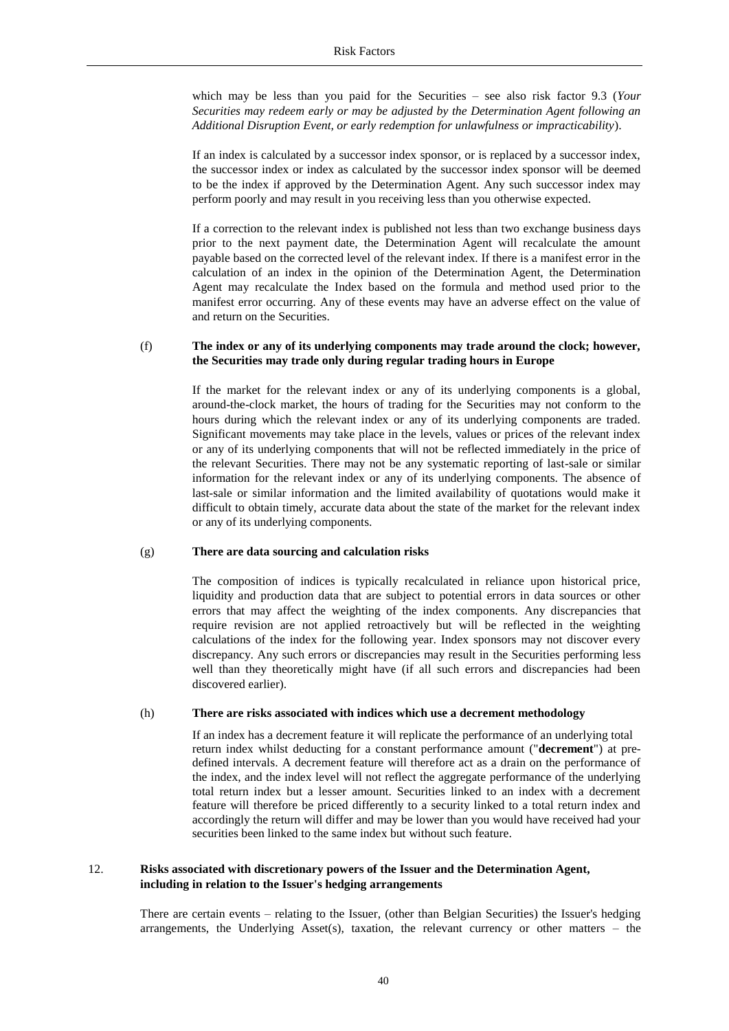which may be less than you paid for the Securities – see also risk factor 9.3 (*Your Securities may redeem early or may be adjusted by the Determination Agent following an Additional Disruption Event, or early redemption for unlawfulness or impracticability*).

If an index is calculated by a successor index sponsor, or is replaced by a successor index, the successor index or index as calculated by the successor index sponsor will be deemed to be the index if approved by the Determination Agent. Any such successor index may perform poorly and may result in you receiving less than you otherwise expected.

If a correction to the relevant index is published not less than two exchange business days prior to the next payment date, the Determination Agent will recalculate the amount payable based on the corrected level of the relevant index. If there is a manifest error in the calculation of an index in the opinion of the Determination Agent, the Determination Agent may recalculate the Index based on the formula and method used prior to the manifest error occurring. Any of these events may have an adverse effect on the value of and return on the Securities.

#### (f) **The index or any of its underlying components may trade around the clock; however, the Securities may trade only during regular trading hours in Europe**

If the market for the relevant index or any of its underlying components is a global, around-the-clock market, the hours of trading for the Securities may not conform to the hours during which the relevant index or any of its underlying components are traded. Significant movements may take place in the levels, values or prices of the relevant index or any of its underlying components that will not be reflected immediately in the price of the relevant Securities. There may not be any systematic reporting of last-sale or similar information for the relevant index or any of its underlying components. The absence of last-sale or similar information and the limited availability of quotations would make it difficult to obtain timely, accurate data about the state of the market for the relevant index or any of its underlying components.

#### (g) **There are data sourcing and calculation risks**

The composition of indices is typically recalculated in reliance upon historical price, liquidity and production data that are subject to potential errors in data sources or other errors that may affect the weighting of the index components. Any discrepancies that require revision are not applied retroactively but will be reflected in the weighting calculations of the index for the following year. Index sponsors may not discover every discrepancy. Any such errors or discrepancies may result in the Securities performing less well than they theoretically might have (if all such errors and discrepancies had been discovered earlier).

#### (h) **There are risks associated with indices which use a decrement methodology**

If an index has a decrement feature it will replicate the performance of an underlying total return index whilst deducting for a constant performance amount ("**decrement**") at predefined intervals. A decrement feature will therefore act as a drain on the performance of the index, and the index level will not reflect the aggregate performance of the underlying total return index but a lesser amount. Securities linked to an index with a decrement feature will therefore be priced differently to a security linked to a total return index and accordingly the return will differ and may be lower than you would have received had your securities been linked to the same index but without such feature.

#### 12. **Risks associated with discretionary powers of the Issuer and the Determination Agent, including in relation to the Issuer's hedging arrangements**

There are certain events – relating to the Issuer, (other than Belgian Securities) the Issuer's hedging arrangements, the Underlying Asset(s), taxation, the relevant currency or other matters – the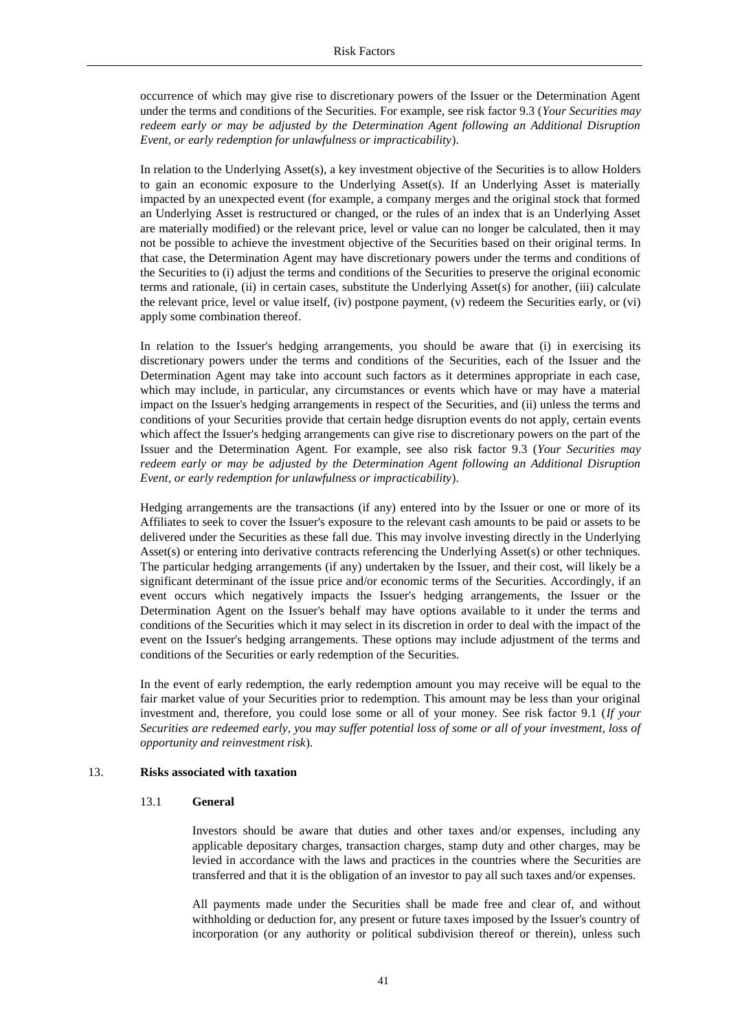occurrence of which may give rise to discretionary powers of the Issuer or the Determination Agent under the terms and conditions of the Securities. For example, see risk factor 9.3 (*Your Securities may redeem early or may be adjusted by the Determination Agent following an Additional Disruption Event, or early redemption for unlawfulness or impracticability*).

In relation to the Underlying Asset(s), a key investment objective of the Securities is to allow Holders to gain an economic exposure to the Underlying Asset(s). If an Underlying Asset is materially impacted by an unexpected event (for example, a company merges and the original stock that formed an Underlying Asset is restructured or changed, or the rules of an index that is an Underlying Asset are materially modified) or the relevant price, level or value can no longer be calculated, then it may not be possible to achieve the investment objective of the Securities based on their original terms. In that case, the Determination Agent may have discretionary powers under the terms and conditions of the Securities to (i) adjust the terms and conditions of the Securities to preserve the original economic terms and rationale, (ii) in certain cases, substitute the Underlying Asset(s) for another, (iii) calculate the relevant price, level or value itself, (iv) postpone payment, (v) redeem the Securities early, or (vi) apply some combination thereof.

In relation to the Issuer's hedging arrangements, you should be aware that (i) in exercising its discretionary powers under the terms and conditions of the Securities, each of the Issuer and the Determination Agent may take into account such factors as it determines appropriate in each case, which may include, in particular, any circumstances or events which have or may have a material impact on the Issuer's hedging arrangements in respect of the Securities, and (ii) unless the terms and conditions of your Securities provide that certain hedge disruption events do not apply, certain events which affect the Issuer's hedging arrangements can give rise to discretionary powers on the part of the Issuer and the Determination Agent. For example, see also risk factor 9.3 (*Your Securities may redeem early or may be adjusted by the Determination Agent following an Additional Disruption Event, or early redemption for unlawfulness or impracticability*).

Hedging arrangements are the transactions (if any) entered into by the Issuer or one or more of its Affiliates to seek to cover the Issuer's exposure to the relevant cash amounts to be paid or assets to be delivered under the Securities as these fall due. This may involve investing directly in the Underlying Asset(s) or entering into derivative contracts referencing the Underlying Asset(s) or other techniques. The particular hedging arrangements (if any) undertaken by the Issuer, and their cost, will likely be a significant determinant of the issue price and/or economic terms of the Securities. Accordingly, if an event occurs which negatively impacts the Issuer's hedging arrangements, the Issuer or the Determination Agent on the Issuer's behalf may have options available to it under the terms and conditions of the Securities which it may select in its discretion in order to deal with the impact of the event on the Issuer's hedging arrangements. These options may include adjustment of the terms and conditions of the Securities or early redemption of the Securities.

In the event of early redemption, the early redemption amount you may receive will be equal to the fair market value of your Securities prior to redemption. This amount may be less than your original investment and, therefore, you could lose some or all of your money. See risk factor 9.1 (*If your Securities are redeemed early, you may suffer potential loss of some or all of your investment, loss of opportunity and reinvestment risk*).

#### 13. **Risks associated with taxation**

#### 13.1 **General**

Investors should be aware that duties and other taxes and/or expenses, including any applicable depositary charges, transaction charges, stamp duty and other charges, may be levied in accordance with the laws and practices in the countries where the Securities are transferred and that it is the obligation of an investor to pay all such taxes and/or expenses.

All payments made under the Securities shall be made free and clear of, and without withholding or deduction for, any present or future taxes imposed by the Issuer's country of incorporation (or any authority or political subdivision thereof or therein), unless such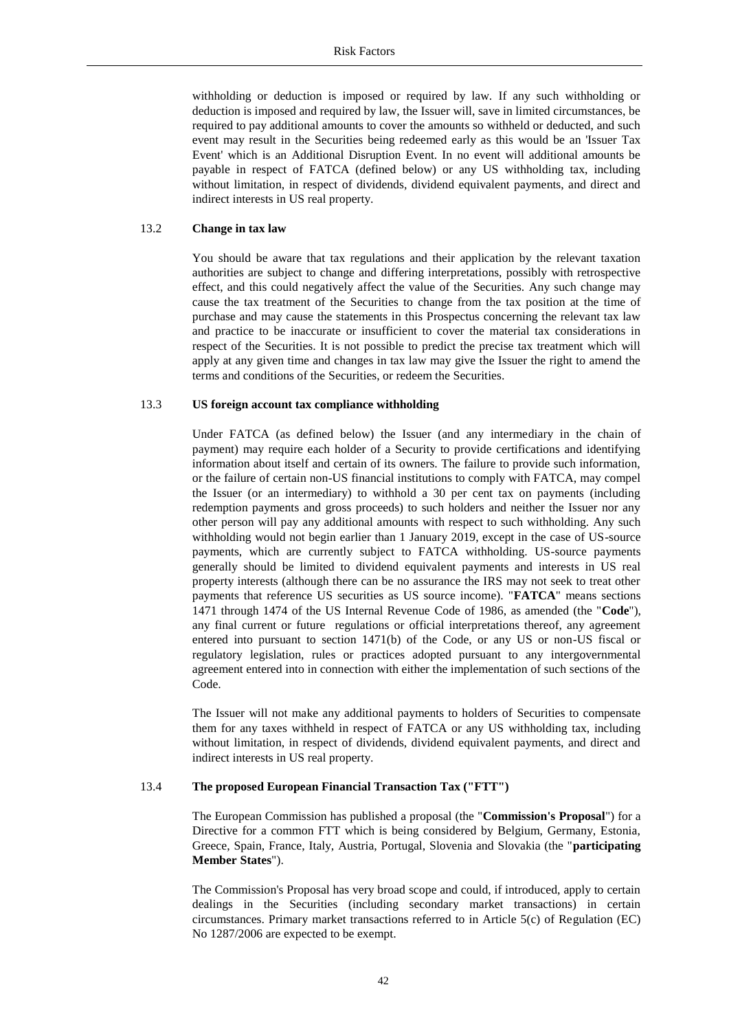withholding or deduction is imposed or required by law. If any such withholding or deduction is imposed and required by law, the Issuer will, save in limited circumstances, be required to pay additional amounts to cover the amounts so withheld or deducted, and such event may result in the Securities being redeemed early as this would be an 'Issuer Tax Event' which is an Additional Disruption Event. In no event will additional amounts be payable in respect of FATCA (defined below) or any US withholding tax, including without limitation, in respect of dividends, dividend equivalent payments, and direct and indirect interests in US real property.

#### 13.2 **Change in tax law**

You should be aware that tax regulations and their application by the relevant taxation authorities are subject to change and differing interpretations, possibly with retrospective effect, and this could negatively affect the value of the Securities. Any such change may cause the tax treatment of the Securities to change from the tax position at the time of purchase and may cause the statements in this Prospectus concerning the relevant tax law and practice to be inaccurate or insufficient to cover the material tax considerations in respect of the Securities. It is not possible to predict the precise tax treatment which will apply at any given time and changes in tax law may give the Issuer the right to amend the terms and conditions of the Securities, or redeem the Securities.

#### 13.3 **US foreign account tax compliance withholding**

Under FATCA (as defined below) the Issuer (and any intermediary in the chain of payment) may require each holder of a Security to provide certifications and identifying information about itself and certain of its owners. The failure to provide such information, or the failure of certain non-US financial institutions to comply with FATCA, may compel the Issuer (or an intermediary) to withhold a 30 per cent tax on payments (including redemption payments and gross proceeds) to such holders and neither the Issuer nor any other person will pay any additional amounts with respect to such withholding. Any such withholding would not begin earlier than 1 January 2019, except in the case of US-source payments, which are currently subject to FATCA withholding. US-source payments generally should be limited to dividend equivalent payments and interests in US real property interests (although there can be no assurance the IRS may not seek to treat other payments that reference US securities as US source income). "**FATCA**" means sections 1471 through 1474 of the US Internal Revenue Code of 1986, as amended (the "**Code**"), any final current or future regulations or official interpretations thereof, any agreement entered into pursuant to section 1471(b) of the Code, or any US or non-US fiscal or regulatory legislation, rules or practices adopted pursuant to any intergovernmental agreement entered into in connection with either the implementation of such sections of the Code.

The Issuer will not make any additional payments to holders of Securities to compensate them for any taxes withheld in respect of FATCA or any US withholding tax, including without limitation, in respect of dividends, dividend equivalent payments, and direct and indirect interests in US real property.

## 13.4 **The proposed European Financial Transaction Tax ("FTT")**

The European Commission has published a proposal (the "**Commission's Proposal**") for a Directive for a common FTT which is being considered by Belgium, Germany, Estonia, Greece, Spain, France, Italy, Austria, Portugal, Slovenia and Slovakia (the "**participating Member States**").

The Commission's Proposal has very broad scope and could, if introduced, apply to certain dealings in the Securities (including secondary market transactions) in certain circumstances. Primary market transactions referred to in Article 5(c) of Regulation (EC) No 1287/2006 are expected to be exempt.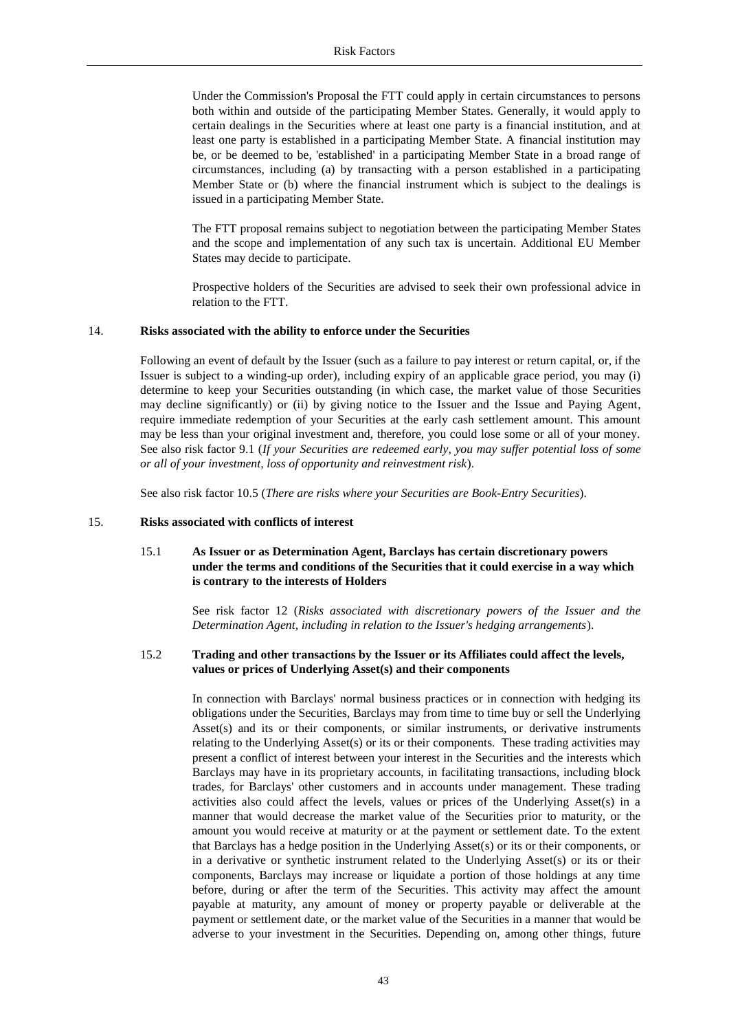Under the Commission's Proposal the FTT could apply in certain circumstances to persons both within and outside of the participating Member States. Generally, it would apply to certain dealings in the Securities where at least one party is a financial institution, and at least one party is established in a participating Member State. A financial institution may be, or be deemed to be, 'established' in a participating Member State in a broad range of circumstances, including (a) by transacting with a person established in a participating Member State or (b) where the financial instrument which is subject to the dealings is issued in a participating Member State.

The FTT proposal remains subject to negotiation between the participating Member States and the scope and implementation of any such tax is uncertain. Additional EU Member States may decide to participate.

Prospective holders of the Securities are advised to seek their own professional advice in relation to the FTT.

# 14. **Risks associated with the ability to enforce under the Securities**

Following an event of default by the Issuer (such as a failure to pay interest or return capital, or, if the Issuer is subject to a winding-up order), including expiry of an applicable grace period, you may (i) determine to keep your Securities outstanding (in which case, the market value of those Securities may decline significantly) or (ii) by giving notice to the Issuer and the Issue and Paying Agent, require immediate redemption of your Securities at the early cash settlement amount. This amount may be less than your original investment and, therefore, you could lose some or all of your money. See also risk factor 9.1 (*If your Securities are redeemed early, you may suffer potential loss of some or all of your investment, loss of opportunity and reinvestment risk*).

See also risk factor 10.5 (*There are risks where your Securities are Book-Entry Securities*).

#### 15. **Risks associated with conflicts of interest**

# 15.1 **As Issuer or as Determination Agent, Barclays has certain discretionary powers under the terms and conditions of the Securities that it could exercise in a way which is contrary to the interests of Holders**

See risk factor 12 (*Risks associated with discretionary powers of the Issuer and the Determination Agent, including in relation to the Issuer's hedging arrangements*).

# 15.2 **Trading and other transactions by the Issuer or its Affiliates could affect the levels, values or prices of Underlying Asset(s) and their components**

In connection with Barclays' normal business practices or in connection with hedging its obligations under the Securities, Barclays may from time to time buy or sell the Underlying Asset(s) and its or their components, or similar instruments, or derivative instruments relating to the Underlying Asset(s) or its or their components. These trading activities may present a conflict of interest between your interest in the Securities and the interests which Barclays may have in its proprietary accounts, in facilitating transactions, including block trades, for Barclays' other customers and in accounts under management. These trading activities also could affect the levels, values or prices of the Underlying Asset(s) in a manner that would decrease the market value of the Securities prior to maturity, or the amount you would receive at maturity or at the payment or settlement date. To the extent that Barclays has a hedge position in the Underlying Asset(s) or its or their components, or in a derivative or synthetic instrument related to the Underlying Asset(s) or its or their components, Barclays may increase or liquidate a portion of those holdings at any time before, during or after the term of the Securities. This activity may affect the amount payable at maturity, any amount of money or property payable or deliverable at the payment or settlement date, or the market value of the Securities in a manner that would be adverse to your investment in the Securities. Depending on, among other things, future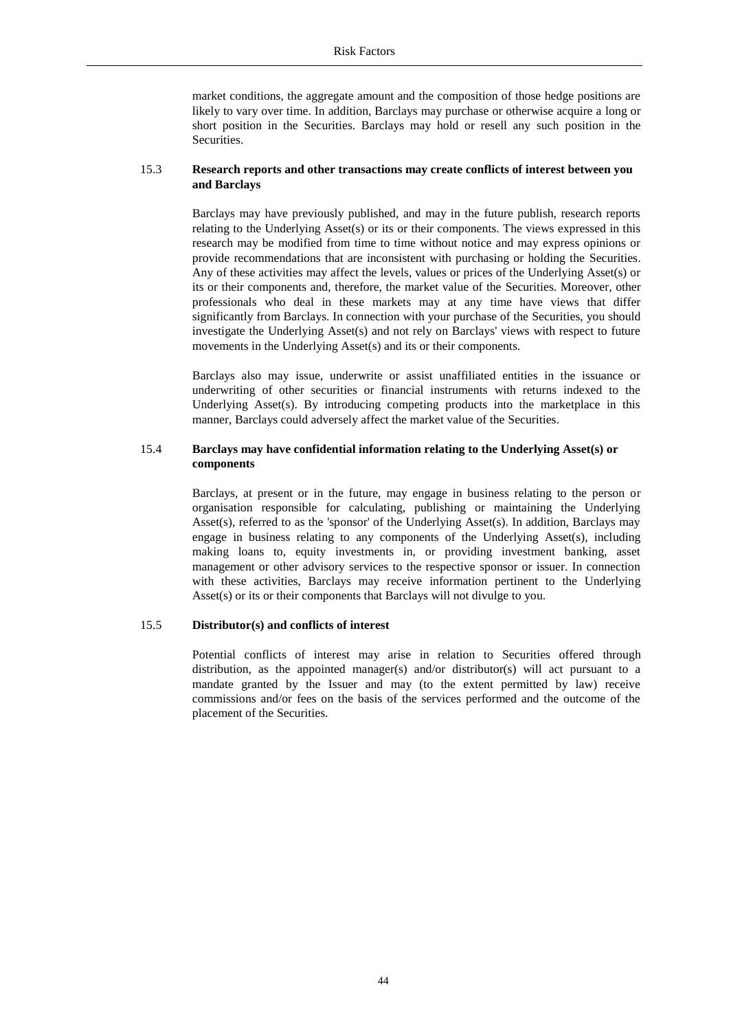market conditions, the aggregate amount and the composition of those hedge positions are likely to vary over time. In addition, Barclays may purchase or otherwise acquire a long or short position in the Securities. Barclays may hold or resell any such position in the Securities.

## 15.3 **Research reports and other transactions may create conflicts of interest between you and Barclays**

Barclays may have previously published, and may in the future publish, research reports relating to the Underlying Asset(s) or its or their components. The views expressed in this research may be modified from time to time without notice and may express opinions or provide recommendations that are inconsistent with purchasing or holding the Securities. Any of these activities may affect the levels, values or prices of the Underlying Asset(s) or its or their components and, therefore, the market value of the Securities. Moreover, other professionals who deal in these markets may at any time have views that differ significantly from Barclays. In connection with your purchase of the Securities, you should investigate the Underlying Asset(s) and not rely on Barclays' views with respect to future movements in the Underlying Asset(s) and its or their components.

Barclays also may issue, underwrite or assist unaffiliated entities in the issuance or underwriting of other securities or financial instruments with returns indexed to the Underlying Asset(s). By introducing competing products into the marketplace in this manner, Barclays could adversely affect the market value of the Securities.

# 15.4 **Barclays may have confidential information relating to the Underlying Asset(s) or components**

Barclays, at present or in the future, may engage in business relating to the person or organisation responsible for calculating, publishing or maintaining the Underlying Asset(s), referred to as the 'sponsor' of the Underlying Asset(s). In addition, Barclays may engage in business relating to any components of the Underlying Asset(s), including making loans to, equity investments in, or providing investment banking, asset management or other advisory services to the respective sponsor or issuer. In connection with these activities, Barclays may receive information pertinent to the Underlying Asset(s) or its or their components that Barclays will not divulge to you.

# 15.5 **Distributor(s) and conflicts of interest**

Potential conflicts of interest may arise in relation to Securities offered through distribution, as the appointed manager(s) and/or distributor(s) will act pursuant to a mandate granted by the Issuer and may (to the extent permitted by law) receive commissions and/or fees on the basis of the services performed and the outcome of the placement of the Securities.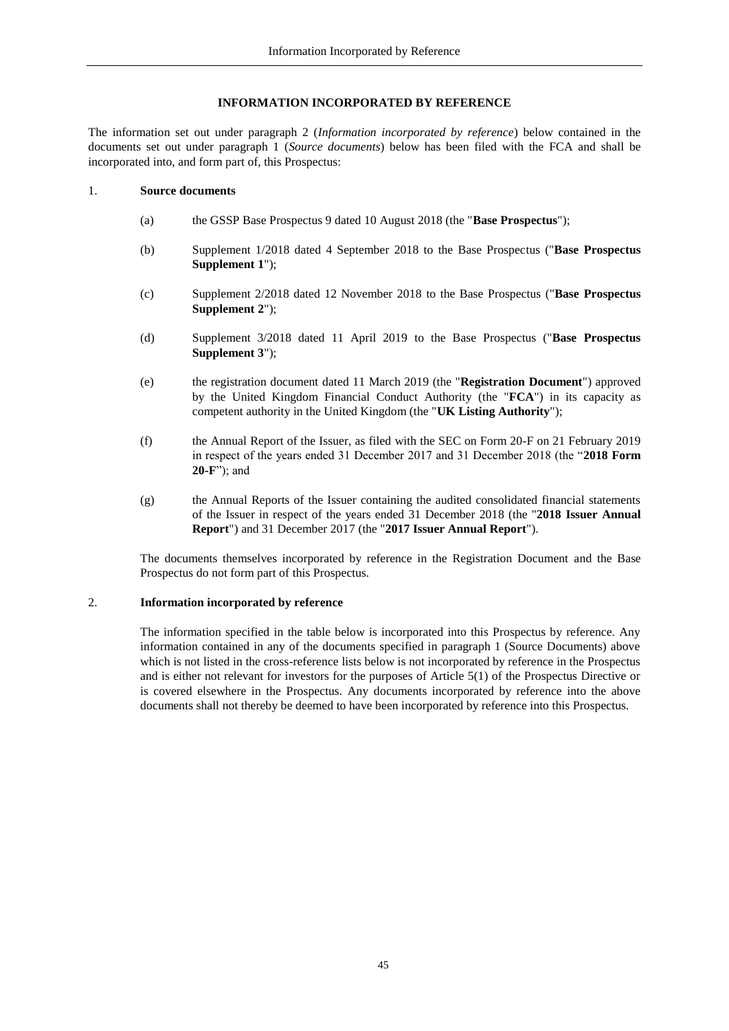## <span id="page-44-1"></span>**INFORMATION INCORPORATED BY REFERENCE**

<span id="page-44-0"></span>The information set out under paragraph 2 (*Information incorporated by reference*) below contained in the documents set out under paragraph 1 (*Source documents*) below has been filed with the FCA and shall be incorporated into, and form part of, this Prospectus:

#### 1. **Source documents**

- (a) the GSSP Base Prospectus 9 dated 10 August 2018 (the "**Base Prospectus**");
- (b) Supplement 1/2018 dated 4 September 2018 to the Base Prospectus ("**Base Prospectus Supplement 1**");
- (c) Supplement 2/2018 dated 12 November 2018 to the Base Prospectus ("**Base Prospectus Supplement 2**");
- (d) Supplement 3/2018 dated 11 April 2019 to the Base Prospectus ("**Base Prospectus Supplement 3**");
- (e) the registration document dated 11 March 2019 (the "**Registration Document**") approved by the United Kingdom Financial Conduct Authority (the "**FCA**") in its capacity as competent authority in the United Kingdom (the "**UK Listing Authority**");
- (f) the Annual Report of the Issuer, as filed with the SEC on Form 20-F on 21 February 2019 in respect of the years ended 31 December 2017 and 31 December 2018 (the "**2018 Form 20-F**"); and
- (g) the Annual Reports of the Issuer containing the audited consolidated financial statements of the Issuer in respect of the years ended 31 December 2018 (the "**2018 Issuer Annual Report**") and 31 December 2017 (the "**2017 Issuer Annual Report**").

The documents themselves incorporated by reference in the Registration Document and the Base Prospectus do not form part of this Prospectus.

## 2. **Information incorporated by reference**

The information specified in the table below is incorporated into this Prospectus by reference. Any information contained in any of the documents specified in paragraph 1 (Source Documents) above which is not listed in the cross-reference lists below is not incorporated by reference in the Prospectus and is either not relevant for investors for the purposes of Article 5(1) of the Prospectus Directive or is covered elsewhere in the Prospectus. Any documents incorporated by reference into the above documents shall not thereby be deemed to have been incorporated by reference into this Prospectus.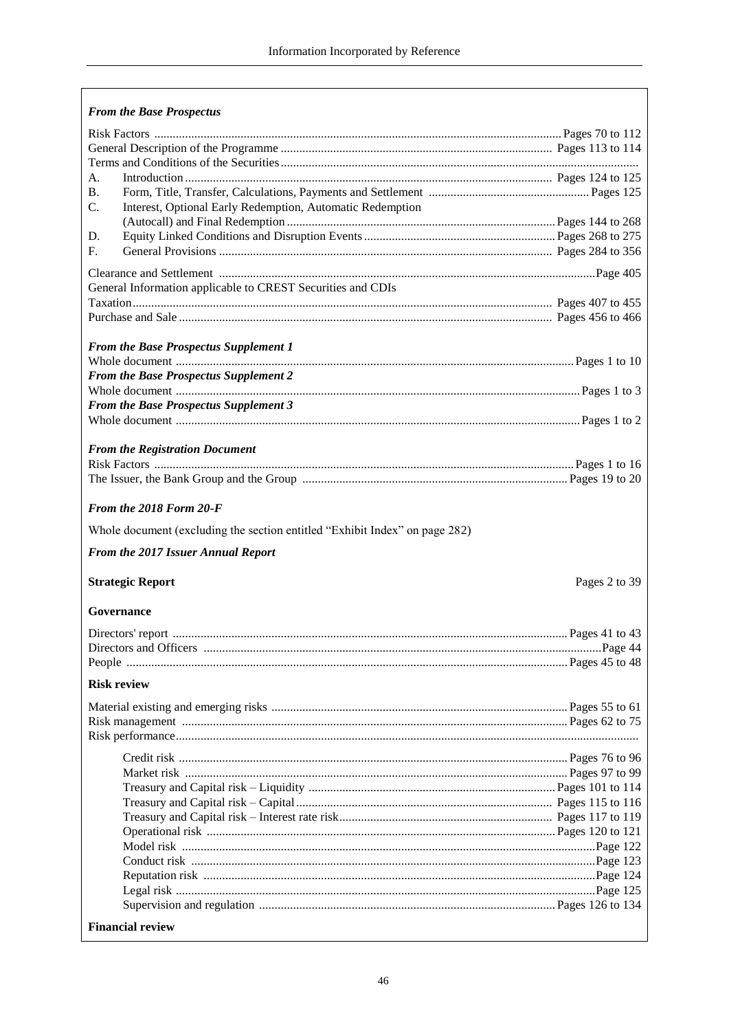| <b>From the Base Prospectus</b>                                             |               |
|-----------------------------------------------------------------------------|---------------|
|                                                                             |               |
|                                                                             |               |
|                                                                             |               |
| A.                                                                          |               |
| В.                                                                          |               |
| $C_{\cdot}$<br>Interest, Optional Early Redemption, Automatic Redemption    |               |
|                                                                             |               |
| D.                                                                          |               |
| F.                                                                          |               |
|                                                                             |               |
|                                                                             |               |
| General Information applicable to CREST Securities and CDIs                 |               |
|                                                                             |               |
|                                                                             |               |
| <b>From the Base Prospectus Supplement 1</b>                                |               |
|                                                                             |               |
| <b>From the Base Prospectus Supplement 2</b>                                |               |
|                                                                             |               |
| From the Base Prospectus Supplement 3                                       |               |
|                                                                             |               |
|                                                                             |               |
| <b>From the Registration Document</b>                                       |               |
|                                                                             |               |
|                                                                             |               |
|                                                                             |               |
| From the 2018 Form 20-F                                                     |               |
|                                                                             |               |
|                                                                             |               |
| Whole document (excluding the section entitled "Exhibit Index" on page 282) |               |
| From the 2017 Issuer Annual Report                                          |               |
|                                                                             |               |
| <b>Strategic Report</b>                                                     | Pages 2 to 39 |
|                                                                             |               |
| <b>Governance</b>                                                           |               |
|                                                                             |               |
|                                                                             |               |
|                                                                             |               |
|                                                                             |               |
| <b>Risk review</b>                                                          |               |
|                                                                             |               |
|                                                                             |               |
|                                                                             |               |
|                                                                             |               |
|                                                                             |               |
|                                                                             |               |
|                                                                             |               |
|                                                                             |               |
|                                                                             |               |
|                                                                             |               |
|                                                                             |               |
|                                                                             |               |
|                                                                             |               |
|                                                                             |               |
| <b>Financial review</b>                                                     |               |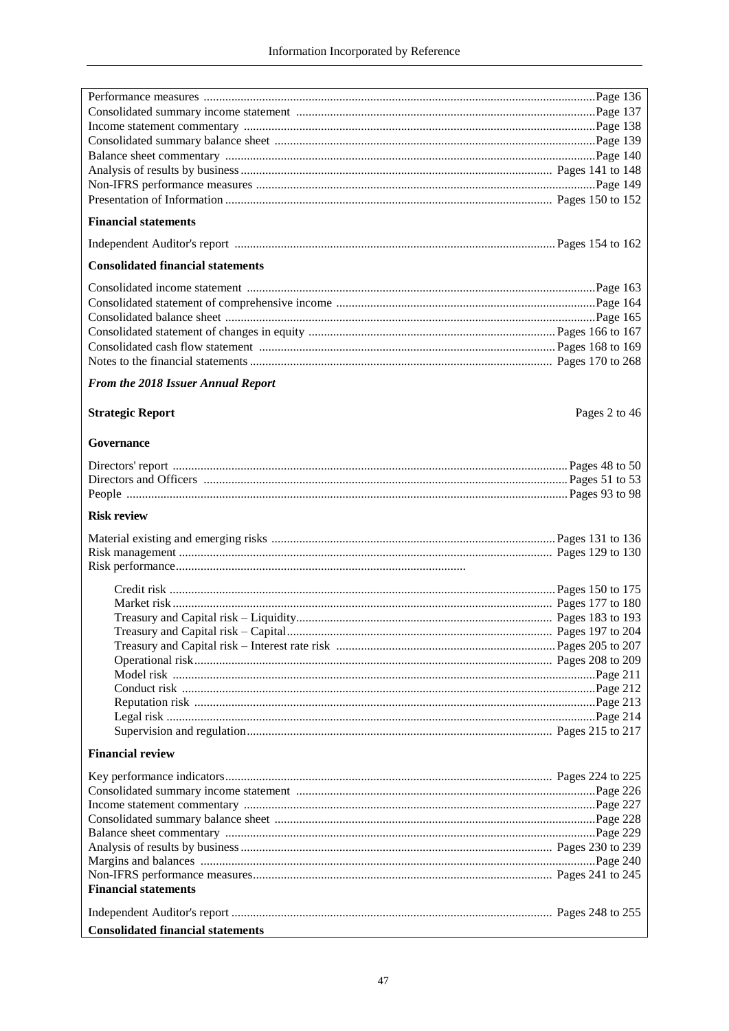| <b>Financial statements</b>              |               |
|------------------------------------------|---------------|
|                                          |               |
| <b>Consolidated financial statements</b> |               |
|                                          |               |
|                                          |               |
|                                          |               |
|                                          |               |
|                                          |               |
|                                          |               |
|                                          |               |
| From the 2018 Issuer Annual Report       |               |
| <b>Strategic Report</b>                  | Pages 2 to 46 |
| Governance                               |               |
|                                          |               |
|                                          |               |
|                                          |               |
| <b>Risk review</b>                       |               |
|                                          |               |
|                                          |               |
|                                          |               |
|                                          |               |
|                                          |               |
|                                          |               |
|                                          |               |
|                                          |               |
|                                          |               |
|                                          |               |
|                                          |               |
|                                          |               |
|                                          |               |
|                                          |               |
|                                          |               |
|                                          |               |
| <b>Financial review</b>                  |               |
|                                          |               |
|                                          |               |
|                                          |               |
|                                          |               |
|                                          |               |
|                                          |               |
|                                          |               |
|                                          |               |
| <b>Financial statements</b>              |               |
|                                          |               |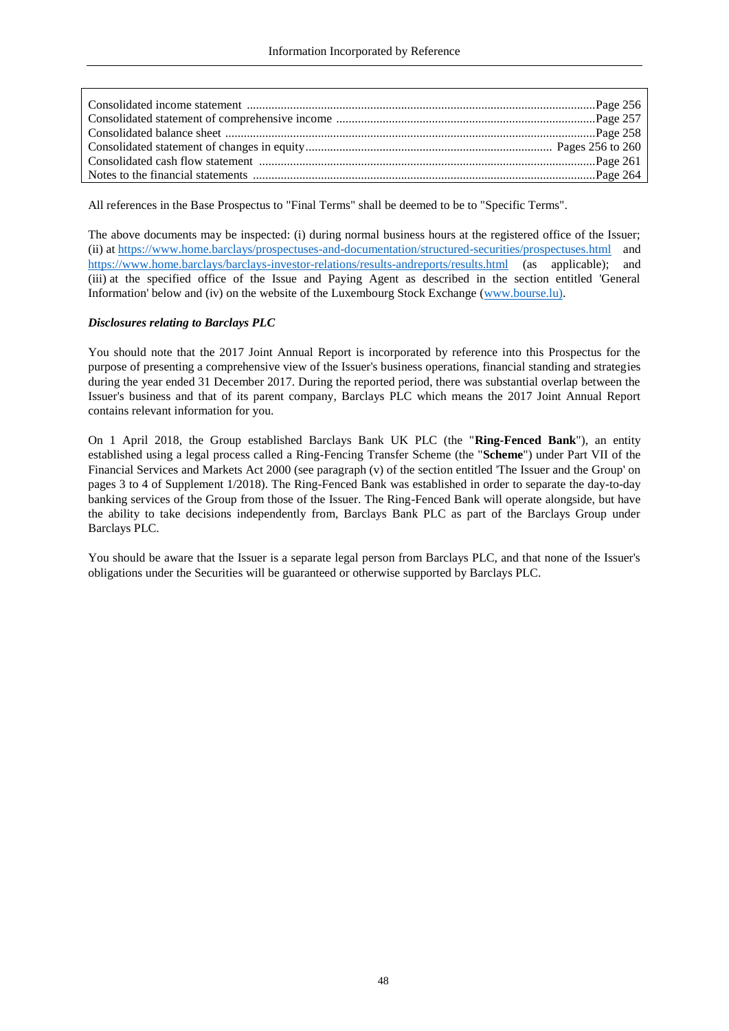All references in the Base Prospectus to "Final Terms" shall be deemed to be to "Specific Terms".

The above documents may be inspected: (i) during normal business hours at the registered office of the Issuer; (ii) at <https://www.home.barclays/prospectuses-and-documentation/structured-securities/prospectuses.html> and <https://www.home.barclays/barclays-investor-relations/results-andreports/results.html> (as applicable); and (iii) at the specified office of the Issue and Paying Agent as described in the section entitled 'General Information' below and (iv) on the website of the Luxembourg Stock Exchange [\(www.bourse.lu\).](http://www.bourse.lu)/)

# *Disclosures relating to Barclays PLC*

You should note that the 2017 Joint Annual Report is incorporated by reference into this Prospectus for the purpose of presenting a comprehensive view of the Issuer's business operations, financial standing and strategies during the year ended 31 December 2017. During the reported period, there was substantial overlap between the Issuer's business and that of its parent company, Barclays PLC which means the 2017 Joint Annual Report contains relevant information for you.

On 1 April 2018, the Group established Barclays Bank UK PLC (the "**Ring-Fenced Bank**"), an entity established using a legal process called a Ring-Fencing Transfer Scheme (the "**Scheme**") under Part VII of the Financial Services and Markets Act 2000 (see paragraph (v) of the section entitled 'The Issuer and the Group' on pages 3 to 4 of Supplement 1/2018). The Ring-Fenced Bank was established in order to separate the day-to-day banking services of the Group from those of the Issuer. The Ring-Fenced Bank will operate alongside, but have the ability to take decisions independently from, Barclays Bank PLC as part of the Barclays Group under Barclays PLC.

You should be aware that the Issuer is a separate legal person from Barclays PLC, and that none of the Issuer's obligations under the Securities will be guaranteed or otherwise supported by Barclays PLC.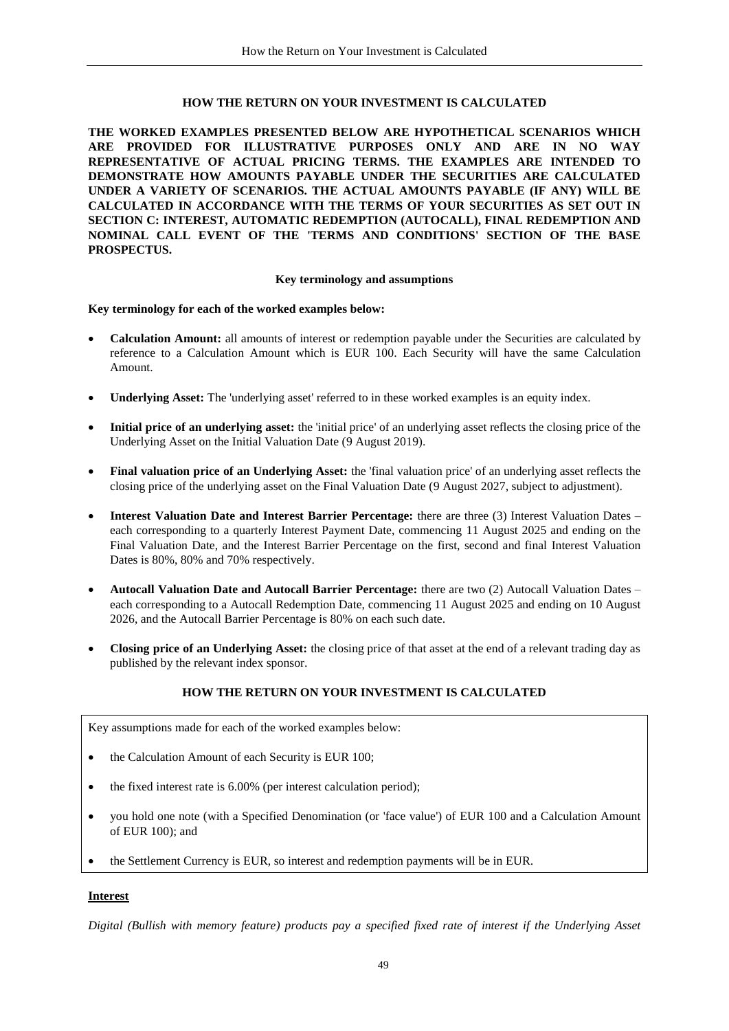#### **HOW THE RETURN ON YOUR INVESTMENT IS CALCULATED**

<span id="page-48-0"></span>**THE WORKED EXAMPLES PRESENTED BELOW ARE HYPOTHETICAL SCENARIOS WHICH ARE PROVIDED FOR ILLUSTRATIVE PURPOSES ONLY AND ARE IN NO WAY REPRESENTATIVE OF ACTUAL PRICING TERMS. THE EXAMPLES ARE INTENDED TO DEMONSTRATE HOW AMOUNTS PAYABLE UNDER THE SECURITIES ARE CALCULATED UNDER A VARIETY OF SCENARIOS. THE ACTUAL AMOUNTS PAYABLE (IF ANY) WILL BE CALCULATED IN ACCORDANCE WITH THE TERMS OF YOUR SECURITIES AS SET OUT IN SECTION C: INTEREST, AUTOMATIC REDEMPTION (AUTOCALL), FINAL REDEMPTION AND NOMINAL CALL EVENT OF THE 'TERMS AND CONDITIONS' SECTION OF THE BASE PROSPECTUS.**

#### <span id="page-48-1"></span>**Key terminology and assumptions**

#### **Key terminology for each of the worked examples below:**

- **Calculation Amount:** all amounts of interest or redemption payable under the Securities are calculated by reference to a Calculation Amount which is EUR 100. Each Security will have the same Calculation Amount.
- **Underlying Asset:** The 'underlying asset' referred to in these worked examples is an equity index.
- **Initial price of an underlying asset:** the 'initial price' of an underlying asset reflects the closing price of the Underlying Asset on the Initial Valuation Date (9 August 2019).
- **Final valuation price of an Underlying Asset:** the 'final valuation price' of an underlying asset reflects the closing price of the underlying asset on the Final Valuation Date (9 August 2027, subject to adjustment).
- **Interest Valuation Date and Interest Barrier Percentage:** there are three (3) Interest Valuation Dates each corresponding to a quarterly Interest Payment Date, commencing 11 August 2025 and ending on the Final Valuation Date, and the Interest Barrier Percentage on the first, second and final Interest Valuation Dates is 80%, 80% and 70% respectively.
- **Autocall Valuation Date and Autocall Barrier Percentage:** there are two (2) Autocall Valuation Dates each corresponding to a Autocall Redemption Date, commencing 11 August 2025 and ending on 10 August 2026, and the Autocall Barrier Percentage is 80% on each such date.
- **Closing price of an Underlying Asset:** the closing price of that asset at the end of a relevant trading day as published by the relevant index sponsor.

# **HOW THE RETURN ON YOUR INVESTMENT IS CALCULATED**

Key assumptions made for each of the worked examples below:

- the Calculation Amount of each Security is EUR 100;
- the fixed interest rate is 6.00% (per interest calculation period);
- you hold one note (with a Specified Denomination (or 'face value') of EUR 100 and a Calculation Amount of EUR 100); and
- the Settlement Currency is EUR, so interest and redemption payments will be in EUR.

#### **Interest**

*Digital (Bullish with memory feature) products pay a specified fixed rate of interest if the Underlying Asset*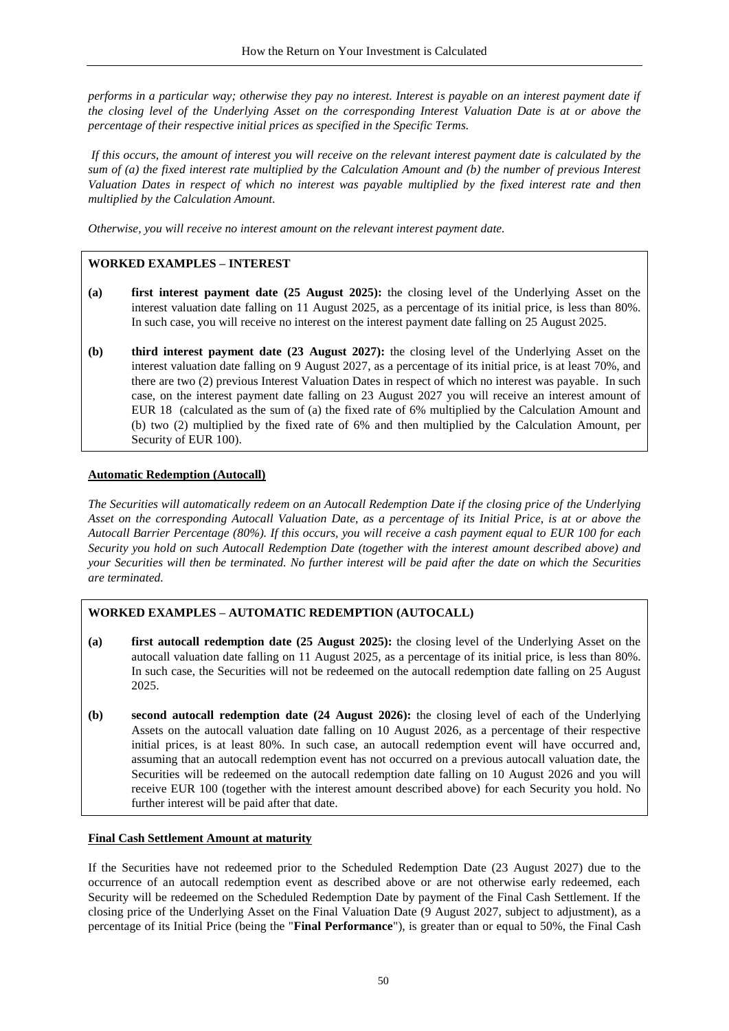*performs in a particular way; otherwise they pay no interest. Interest is payable on an interest payment date if the closing level of the Underlying Asset on the corresponding Interest Valuation Date is at or above the percentage of their respective initial prices as specified in the Specific Terms.*

*If this occurs, the amount of interest you will receive on the relevant interest payment date is calculated by the sum of (a) the fixed interest rate multiplied by the Calculation Amount and (b) the number of previous Interest Valuation Dates in respect of which no interest was payable multiplied by the fixed interest rate and then multiplied by the Calculation Amount.* 

*Otherwise, you will receive no interest amount on the relevant interest payment date.*

# **WORKED EXAMPLES – INTEREST**

- **(a) first interest payment date (25 August 2025):** the closing level of the Underlying Asset on the interest valuation date falling on 11 August 2025, as a percentage of its initial price, is less than 80%. In such case, you will receive no interest on the interest payment date falling on 25 August 2025.
- **(b) third interest payment date (23 August 2027):** the closing level of the Underlying Asset on the interest valuation date falling on 9 August 2027, as a percentage of its initial price, is at least 70%, and there are two (2) previous Interest Valuation Dates in respect of which no interest was payable. In such case, on the interest payment date falling on 23 August 2027 you will receive an interest amount of EUR 18 (calculated as the sum of (a) the fixed rate of 6% multiplied by the Calculation Amount and (b) two (2) multiplied by the fixed rate of 6% and then multiplied by the Calculation Amount, per Security of EUR 100).

# **Automatic Redemption (Autocall)**

*The Securities will automatically redeem on an Autocall Redemption Date if the closing price of the Underlying Asset on the corresponding Autocall Valuation Date, as a percentage of its Initial Price, is at or above the Autocall Barrier Percentage (80%). If this occurs, you will receive a cash payment equal to EUR 100 for each Security you hold on such Autocall Redemption Date (together with the interest amount described above) and your Securities will then be terminated. No further interest will be paid after the date on which the Securities are terminated.*

# **WORKED EXAMPLES – AUTOMATIC REDEMPTION (AUTOCALL)**

- **(a) first autocall redemption date (25 August 2025):** the closing level of the Underlying Asset on the autocall valuation date falling on 11 August 2025, as a percentage of its initial price, is less than 80%. In such case, the Securities will not be redeemed on the autocall redemption date falling on 25 August 2025.
- **(b) second autocall redemption date (24 August 2026):** the closing level of each of the Underlying Assets on the autocall valuation date falling on 10 August 2026, as a percentage of their respective initial prices, is at least 80%. In such case, an autocall redemption event will have occurred and, assuming that an autocall redemption event has not occurred on a previous autocall valuation date, the Securities will be redeemed on the autocall redemption date falling on 10 August 2026 and you will receive EUR 100 (together with the interest amount described above) for each Security you hold. No further interest will be paid after that date.

## **Final Cash Settlement Amount at maturity**

If the Securities have not redeemed prior to the Scheduled Redemption Date (23 August 2027) due to the occurrence of an autocall redemption event as described above or are not otherwise early redeemed, each Security will be redeemed on the Scheduled Redemption Date by payment of the Final Cash Settlement. If the closing price of the Underlying Asset on the Final Valuation Date (9 August 2027, subject to adjustment), as a percentage of its Initial Price (being the "**Final Performance**"), is greater than or equal to 50%, the Final Cash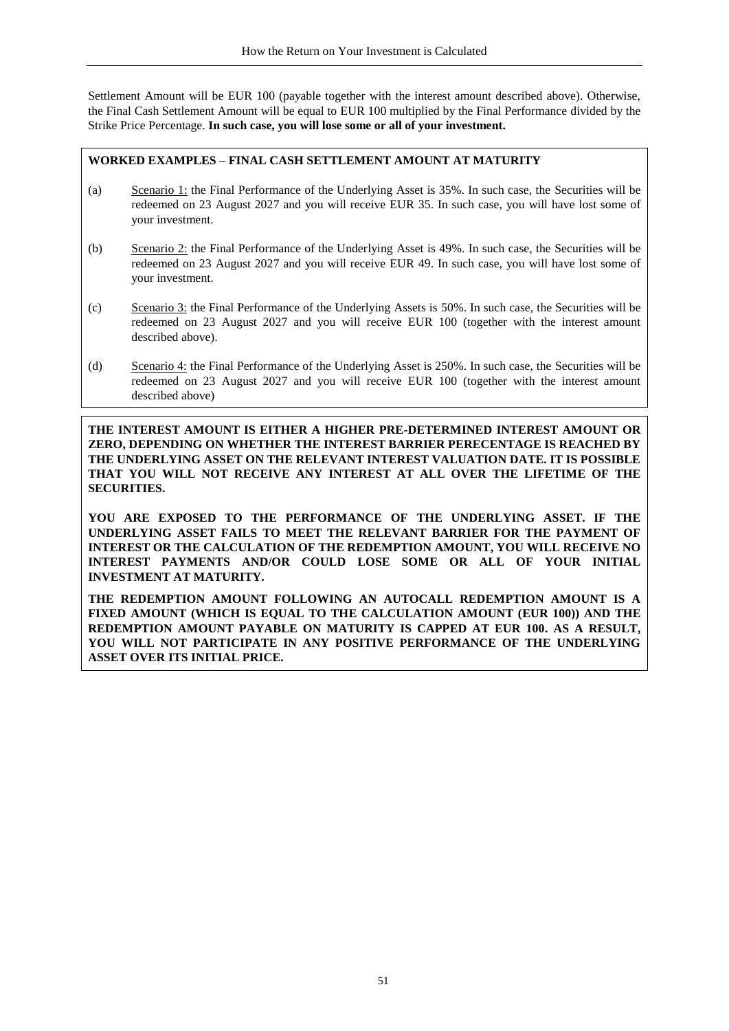Settlement Amount will be EUR 100 (payable together with the interest amount described above). Otherwise, the Final Cash Settlement Amount will be equal to EUR 100 multiplied by the Final Performance divided by the Strike Price Percentage. **In such case, you will lose some or all of your investment.**

# **WORKED EXAMPLES – FINAL CASH SETTLEMENT AMOUNT AT MATURITY**

- (a) Scenario 1: the Final Performance of the Underlying Asset is 35%. In such case, the Securities will be redeemed on 23 August 2027 and you will receive EUR 35. In such case, you will have lost some of your investment.
- (b) Scenario 2: the Final Performance of the Underlying Asset is 49%. In such case, the Securities will be redeemed on 23 August 2027 and you will receive EUR 49. In such case, you will have lost some of your investment.
- (c) Scenario 3: the Final Performance of the Underlying Assets is 50%. In such case, the Securities will be redeemed on 23 August 2027 and you will receive EUR 100 (together with the interest amount described above).
- (d) Scenario 4: the Final Performance of the Underlying Asset is 250%. In such case, the Securities will be redeemed on 23 August 2027 and you will receive EUR 100 (together with the interest amount described above)

**THE INTEREST AMOUNT IS EITHER A HIGHER PRE-DETERMINED INTEREST AMOUNT OR ZERO, DEPENDING ON WHETHER THE INTEREST BARRIER PERECENTAGE IS REACHED BY THE UNDERLYING ASSET ON THE RELEVANT INTEREST VALUATION DATE. IT IS POSSIBLE THAT YOU WILL NOT RECEIVE ANY INTEREST AT ALL OVER THE LIFETIME OF THE SECURITIES.**

**YOU ARE EXPOSED TO THE PERFORMANCE OF THE UNDERLYING ASSET. IF THE UNDERLYING ASSET FAILS TO MEET THE RELEVANT BARRIER FOR THE PAYMENT OF INTEREST OR THE CALCULATION OF THE REDEMPTION AMOUNT, YOU WILL RECEIVE NO INTEREST PAYMENTS AND/OR COULD LOSE SOME OR ALL OF YOUR INITIAL INVESTMENT AT MATURITY.**

**THE REDEMPTION AMOUNT FOLLOWING AN AUTOCALL REDEMPTION AMOUNT IS A FIXED AMOUNT (WHICH IS EQUAL TO THE CALCULATION AMOUNT (EUR 100)) AND THE REDEMPTION AMOUNT PAYABLE ON MATURITY IS CAPPED AT EUR 100. AS A RESULT, YOU WILL NOT PARTICIPATE IN ANY POSITIVE PERFORMANCE OF THE UNDERLYING ASSET OVER ITS INITIAL PRICE.**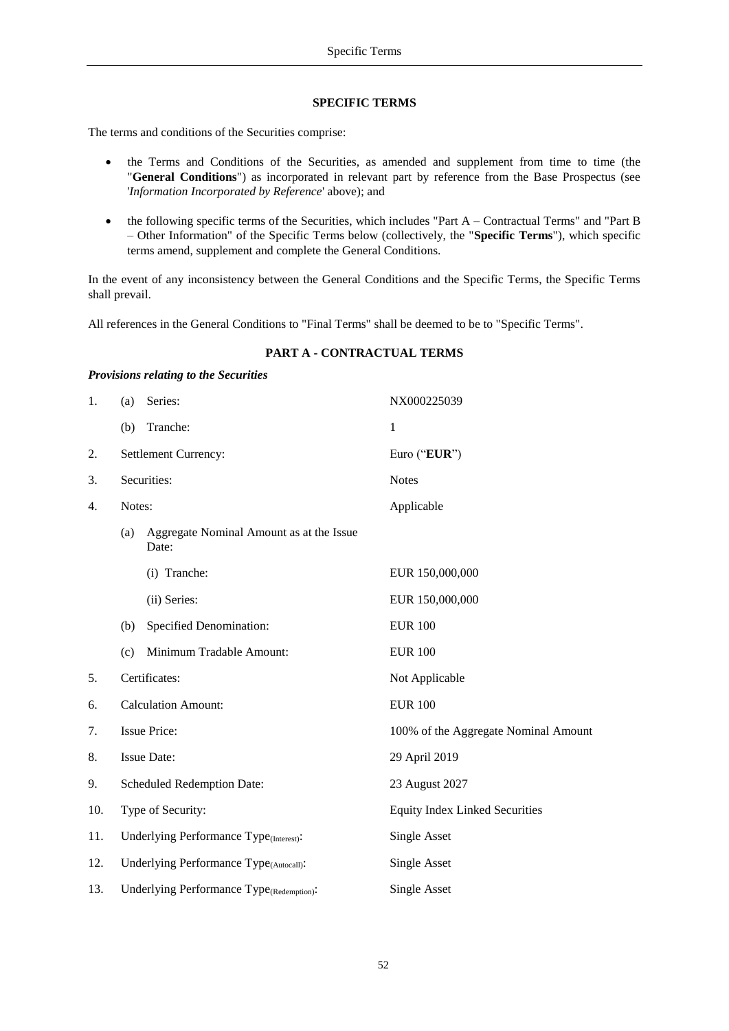#### <span id="page-51-1"></span>**SPECIFIC TERMS**

<span id="page-51-0"></span>The terms and conditions of the Securities comprise:

*Provisions relating to the Securities*

- the Terms and Conditions of the Securities, as amended and supplement from time to time (the "**General Conditions**") as incorporated in relevant part by reference from the Base Prospectus (see '*Information Incorporated by Reference*' above); and
- the following specific terms of the Securities, which includes "Part A Contractual Terms" and "Part B – Other Information" of the Specific Terms below (collectively, the "**Specific Terms**"), which specific terms amend, supplement and complete the General Conditions.

In the event of any inconsistency between the General Conditions and the Specific Terms, the Specific Terms shall prevail.

All references in the General Conditions to "Final Terms" shall be deemed to be to "Specific Terms".

| 1.  | (a)                        | Series:                                             | NX000225039                           |
|-----|----------------------------|-----------------------------------------------------|---------------------------------------|
|     | (b)                        | Tranche:                                            | $\mathbf{1}$                          |
| 2.  | Settlement Currency:       |                                                     | Euro ("EUR")                          |
| 3.  | Securities:                |                                                     | <b>Notes</b>                          |
| 4.  | Notes:                     |                                                     | Applicable                            |
|     | (a)                        | Aggregate Nominal Amount as at the Issue<br>Date:   |                                       |
|     |                            | (i) Tranche:                                        | EUR 150,000,000                       |
|     |                            | (ii) Series:                                        | EUR 150,000,000                       |
|     | (b)                        | Specified Denomination:                             | <b>EUR 100</b>                        |
|     | (c)                        | Minimum Tradable Amount:                            | <b>EUR 100</b>                        |
| 5.  |                            | Certificates:                                       | Not Applicable                        |
| 6.  | <b>Calculation Amount:</b> |                                                     | <b>EUR 100</b>                        |
| 7.  | <b>Issue Price:</b>        |                                                     | 100% of the Aggregate Nominal Amount  |
| 8.  | <b>Issue Date:</b>         |                                                     | 29 April 2019                         |
| 9.  |                            | <b>Scheduled Redemption Date:</b>                   | 23 August 2027                        |
| 10. | Type of Security:          |                                                     | <b>Equity Index Linked Securities</b> |
| 11. |                            | Underlying Performance Type <sub>(Interest)</sub> : | Single Asset                          |
| 12. |                            | Underlying Performance Type(Autocall):              | Single Asset                          |
| 13. |                            | Underlying Performance Type(Redemption):            | <b>Single Asset</b>                   |

#### **PART A - CONTRACTUAL TERMS**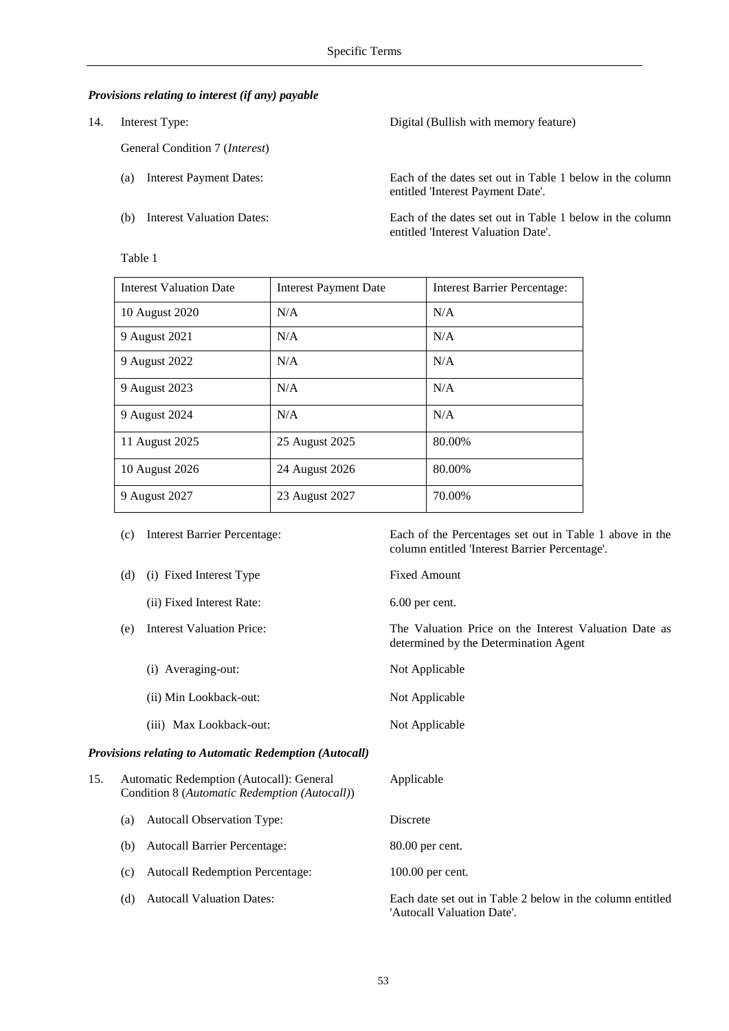## *Provisions relating to interest (if any) payable*

14. Interest Type:

General Condition 7 (*Interest*)

- (a) Interest Payment Dates: Each of the dates set out in Table 1 below in the column
- 

|                               | entitled 'Interest Payment Date'.                        |
|-------------------------------|----------------------------------------------------------|
| (b) Interest Valuation Dates: | Each of the dates set out in Table 1 below in the column |

Digital (Bullish with memory feature)

entitled 'Interest Valuation Date'.

Interest Valuation Date | Interest Payment Date | Interest Barrier Percentage: 10 August 2020 N/A N/A 9 August 2021 N/A N/A N/A 9 August 2022 N/A N/A N/A 9 August 2023 N/A N/A 9 August 2024 N/A N/A N/A 11 August 2025 25 August 2025 80.00% 10 August 2026 24 August 2026 80.00% 9 August 2027 23 August 2027 70.00%

|     |     | Interest Darrier I electricage.                                                           | Later of the Ferrentages set out in Table 1 above in the<br>column entitled 'Interest Barrier Percentage'. |
|-----|-----|-------------------------------------------------------------------------------------------|------------------------------------------------------------------------------------------------------------|
|     | (d) | (i) Fixed Interest Type                                                                   | <b>Fixed Amount</b>                                                                                        |
|     |     | (ii) Fixed Interest Rate:                                                                 | 6.00 per cent.                                                                                             |
|     | (e) | <b>Interest Valuation Price:</b>                                                          | The Valuation Price on the Interest Valuation Date as<br>determined by the Determination Agent             |
|     |     | (i) Averaging-out:                                                                        | Not Applicable                                                                                             |
|     |     | (ii) Min Lookback-out:                                                                    | Not Applicable                                                                                             |
|     |     | (iii) Max Lookback-out:                                                                   | Not Applicable                                                                                             |
|     |     | Provisions relating to Automatic Redemption (Autocall)                                    |                                                                                                            |
| 15. |     | Automatic Redemption (Autocall): General<br>Condition 8 (Automatic Redemption (Autocall)) | Applicable                                                                                                 |
|     | (a) | Autocall Observation Type:                                                                | Discrete                                                                                                   |
|     | (b) | Autocall Barrier Percentage:                                                              | 80.00 per cent.                                                                                            |
|     | (c) | <b>Autocall Redemption Percentage:</b>                                                    | 100.00 per cent.                                                                                           |
|     | (d) | <b>Autocall Valuation Dates:</b>                                                          | Each date set out in Table 2 below in the column entitled<br>'Autocall Valuation Date'.                    |

# Table 1

53

(c) Interest Barrier Percentage: Each of the Percentages set out in Table 1 above in the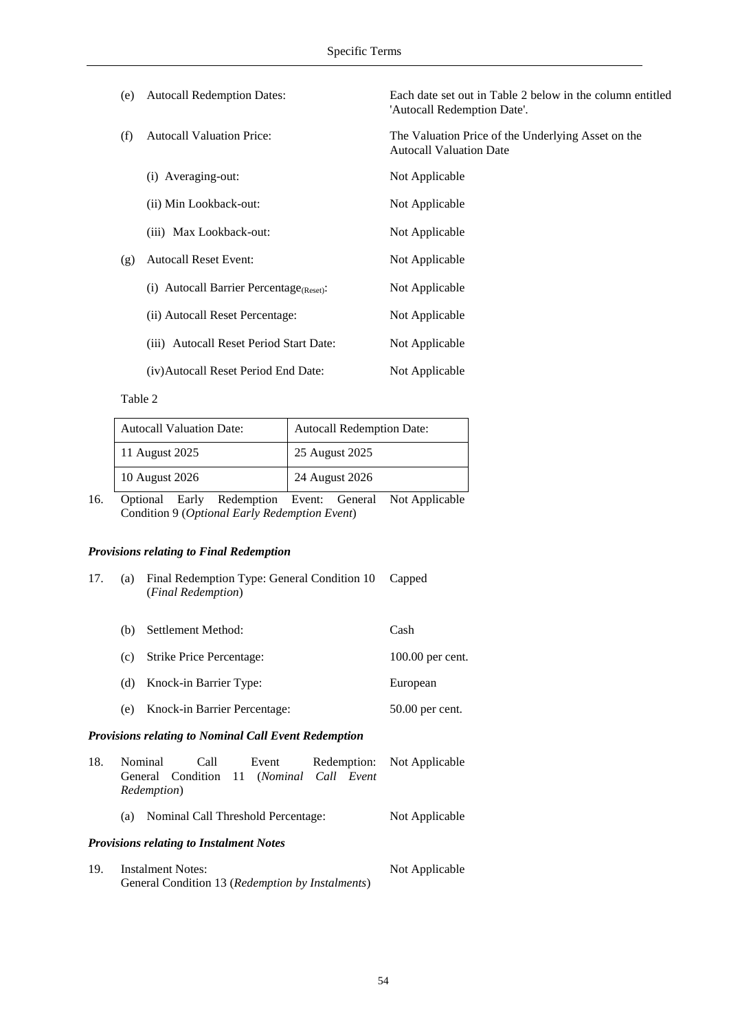| (e) | <b>Autocall Redemption Dates:</b>       | Each date set out in Table 2 below in the column entitled<br>'Autocall Redemption Date'. |
|-----|-----------------------------------------|------------------------------------------------------------------------------------------|
| (f) | <b>Autocall Valuation Price:</b>        | The Valuation Price of the Underlying Asset on the<br><b>Autocall Valuation Date</b>     |
|     | (i) Averaging-out:                      | Not Applicable                                                                           |
|     | (ii) Min Lookback-out:                  | Not Applicable                                                                           |
|     | (iii) Max Lookback-out:                 | Not Applicable                                                                           |
| (g) | <b>Autocall Reset Event:</b>            | Not Applicable                                                                           |
|     | (i) Autocall Barrier Percentage(Reset): | Not Applicable                                                                           |
|     | (ii) Autocall Reset Percentage:         | Not Applicable                                                                           |
|     | (iii) Autocall Reset Period Start Date: | Not Applicable                                                                           |
|     | (iv) Autocall Reset Period End Date:    | Not Applicable                                                                           |

#### Table 2

| <b>Autocall Valuation Date:</b> | <b>Autocall Redemption Date:</b> |
|---------------------------------|----------------------------------|
| 11 August 2025                  | 25 August 2025                   |
| 10 August 2026                  | 24 August 2026                   |

16. Optional Early Redemption Event: General Not Applicable Condition 9 (*Optional Early Redemption Event*)

# *Provisions relating to Final Redemption*

| 17. | (a)                | Final Redemption Type: General Condition 10<br>(Final Redemption) | Capped           |
|-----|--------------------|-------------------------------------------------------------------|------------------|
|     | (b)                | Settlement Method:                                                | Cash             |
|     | $\left( c \right)$ | Strike Price Percentage:                                          | 100.00 per cent. |
|     | (d)                | Knock-in Barrier Type:                                            | European         |
|     | (e)                | Knock-in Barrier Percentage:                                      | 50.00 per cent.  |
|     |                    |                                                                   |                  |

# *Provisions relating to Nominal Call Event Redemption*

| 18. | <b>Nominal</b>      | Call                                             | Event |  | Redemption: Not Applicable |
|-----|---------------------|--------------------------------------------------|-------|--|----------------------------|
|     |                     | General Condition 11 (Nominal Call Event         |       |  |                            |
|     | <i>Redemption</i> ) |                                                  |       |  |                            |
|     | (a)                 | Nominal Call Threshold Percentage:               |       |  | Not Applicable             |
|     |                     | <b>Provisions relating to Instalment Notes</b>   |       |  |                            |
| 19. | Instalment Notes:   |                                                  |       |  | Not Applicable             |
|     |                     | General Condition 13 (Redemption by Instalments) |       |  |                            |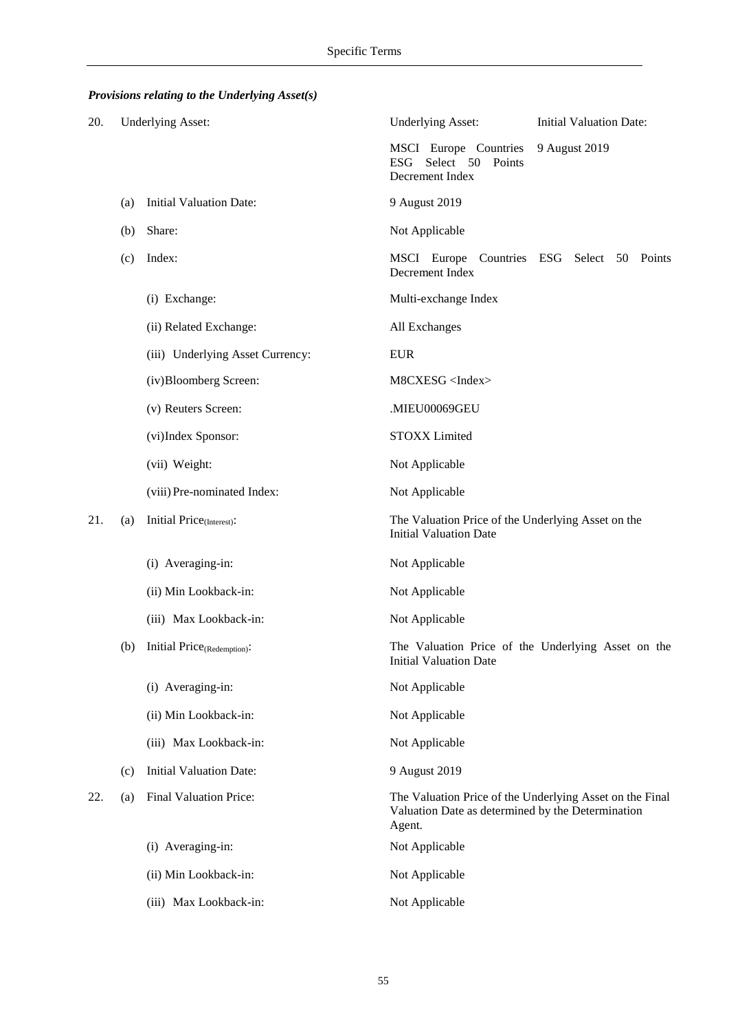# *Provisions relating to the Underlying Asset(s)*

| 20. |     | <b>Underlying Asset:</b>                | <b>Underlying Asset:</b>                                                                                                | <b>Initial Valuation Date:</b>                     |
|-----|-----|-----------------------------------------|-------------------------------------------------------------------------------------------------------------------------|----------------------------------------------------|
|     |     |                                         | MSCI Europe Countries<br>Select 50<br><b>ESG</b><br>Points<br>Decrement Index                                           | 9 August 2019                                      |
|     | (a) | <b>Initial Valuation Date:</b>          | 9 August 2019                                                                                                           |                                                    |
|     | (b) | Share:                                  | Not Applicable                                                                                                          |                                                    |
|     | (c) | Index:                                  | MSCI Europe Countries<br>Decrement Index                                                                                | ESG Select 50 Points                               |
|     |     | (i) Exchange:                           | Multi-exchange Index                                                                                                    |                                                    |
|     |     | (ii) Related Exchange:                  | All Exchanges                                                                                                           |                                                    |
|     |     | (iii) Underlying Asset Currency:        | <b>EUR</b>                                                                                                              |                                                    |
|     |     | (iv)Bloomberg Screen:                   | M8CXESG <index></index>                                                                                                 |                                                    |
|     |     | (v) Reuters Screen:                     | .MIEU00069GEU                                                                                                           |                                                    |
|     |     | (vi)Index Sponsor:                      | <b>STOXX</b> Limited                                                                                                    |                                                    |
|     |     | (vii) Weight:                           | Not Applicable                                                                                                          |                                                    |
|     |     | (viii) Pre-nominated Index:             | Not Applicable                                                                                                          |                                                    |
| 21. | (a) | Initial Price <sub>(Interest)</sub> :   | The Valuation Price of the Underlying Asset on the<br><b>Initial Valuation Date</b>                                     |                                                    |
|     |     | (i) Averaging-in:                       | Not Applicable                                                                                                          |                                                    |
|     |     | (ii) Min Lookback-in:                   | Not Applicable                                                                                                          |                                                    |
|     |     | (iii) Max Lookback-in:                  | Not Applicable                                                                                                          |                                                    |
|     | (b) | Initial Price <sub>(Redemption)</sub> : | <b>Initial Valuation Date</b>                                                                                           | The Valuation Price of the Underlying Asset on the |
|     |     | (i) Averaging-in:                       | Not Applicable                                                                                                          |                                                    |
|     |     | (ii) Min Lookback-in:                   | Not Applicable                                                                                                          |                                                    |
|     |     | (iii) Max Lookback-in:                  | Not Applicable                                                                                                          |                                                    |
|     | (c) | <b>Initial Valuation Date:</b>          | 9 August 2019                                                                                                           |                                                    |
| 22. | (a) | Final Valuation Price:                  | The Valuation Price of the Underlying Asset on the Final<br>Valuation Date as determined by the Determination<br>Agent. |                                                    |
|     |     | (i) Averaging-in:                       | Not Applicable                                                                                                          |                                                    |
|     |     | (ii) Min Lookback-in:                   | Not Applicable                                                                                                          |                                                    |
|     |     | (iii) Max Lookback-in:                  | Not Applicable                                                                                                          |                                                    |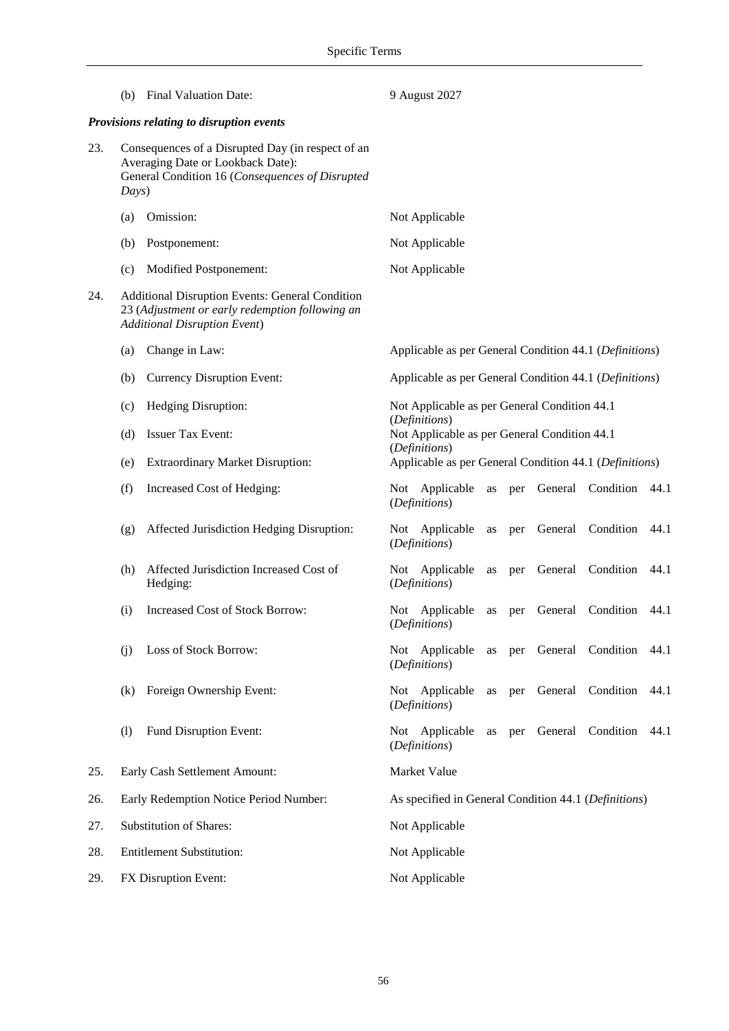|     | (b)                                                                                                                                                | <b>Final Valuation Date:</b>                                                                                                                     | 9 August 2027                                                                                                 |  |  |  |
|-----|----------------------------------------------------------------------------------------------------------------------------------------------------|--------------------------------------------------------------------------------------------------------------------------------------------------|---------------------------------------------------------------------------------------------------------------|--|--|--|
|     |                                                                                                                                                    | Provisions relating to disruption events                                                                                                         |                                                                                                               |  |  |  |
| 23. | Consequences of a Disrupted Day (in respect of an<br>Averaging Date or Lookback Date):<br>General Condition 16 (Consequences of Disrupted<br>Days) |                                                                                                                                                  |                                                                                                               |  |  |  |
|     | (a)                                                                                                                                                | Omission:                                                                                                                                        | Not Applicable                                                                                                |  |  |  |
|     | (b)                                                                                                                                                | Postponement:                                                                                                                                    | Not Applicable                                                                                                |  |  |  |
|     | (c)                                                                                                                                                | Modified Postponement:                                                                                                                           | Not Applicable                                                                                                |  |  |  |
| 24. |                                                                                                                                                    | <b>Additional Disruption Events: General Condition</b><br>23 (Adjustment or early redemption following an<br><b>Additional Disruption Event)</b> |                                                                                                               |  |  |  |
|     | (a)                                                                                                                                                | Change in Law:                                                                                                                                   | Applicable as per General Condition 44.1 (Definitions)                                                        |  |  |  |
|     | (b)                                                                                                                                                | <b>Currency Disruption Event:</b>                                                                                                                | Applicable as per General Condition 44.1 (Definitions)                                                        |  |  |  |
|     | (c)                                                                                                                                                | Hedging Disruption:                                                                                                                              | Not Applicable as per General Condition 44.1<br>(Definitions)<br>Not Applicable as per General Condition 44.1 |  |  |  |
|     | (d)                                                                                                                                                | <b>Issuer Tax Event:</b>                                                                                                                         |                                                                                                               |  |  |  |
|     | (e)                                                                                                                                                | <b>Extraordinary Market Disruption:</b>                                                                                                          | (Definitions)<br>Applicable as per General Condition 44.1 (Definitions)                                       |  |  |  |
|     | (f)                                                                                                                                                | Increased Cost of Hedging:                                                                                                                       | Not Applicable<br>General Condition<br>$\rm as$<br>per<br>44.1<br>(Definitions)                               |  |  |  |
|     | (g)                                                                                                                                                | Affected Jurisdiction Hedging Disruption:                                                                                                        | General Condition<br>Not Applicable<br>44.1<br>per<br>as<br>(Definitions)                                     |  |  |  |
|     | (h)                                                                                                                                                | Affected Jurisdiction Increased Cost of<br>Hedging:                                                                                              | Condition<br>Not Applicable<br>General<br>44.1<br>as<br>per<br>(Definitions)                                  |  |  |  |
|     | (i)                                                                                                                                                | <b>Increased Cost of Stock Borrow:</b>                                                                                                           | Condition<br>Not Applicable<br>General<br>44.1<br>as<br>per<br>(Definitions)                                  |  |  |  |
|     | (i)                                                                                                                                                | Loss of Stock Borrow:                                                                                                                            | per General Condition<br>Not Applicable<br>44.1<br>as<br>(Definitions)                                        |  |  |  |
|     | (k)                                                                                                                                                | Foreign Ownership Event:                                                                                                                         | Not Applicable<br>General Condition<br>44.1<br>as<br>per<br>(Definitions)                                     |  |  |  |
|     | (1)                                                                                                                                                | Fund Disruption Event:                                                                                                                           | General Condition<br>Not Applicable<br>as<br>44.1<br>per<br>(Definitions)                                     |  |  |  |
| 25. |                                                                                                                                                    | Early Cash Settlement Amount:                                                                                                                    | Market Value                                                                                                  |  |  |  |
| 26. |                                                                                                                                                    | Early Redemption Notice Period Number:                                                                                                           | As specified in General Condition 44.1 (Definitions)                                                          |  |  |  |
| 27. |                                                                                                                                                    | <b>Substitution of Shares:</b>                                                                                                                   | Not Applicable                                                                                                |  |  |  |
| 28. |                                                                                                                                                    | <b>Entitlement Substitution:</b>                                                                                                                 | Not Applicable                                                                                                |  |  |  |
| 29. |                                                                                                                                                    | FX Disruption Event:                                                                                                                             | Not Applicable                                                                                                |  |  |  |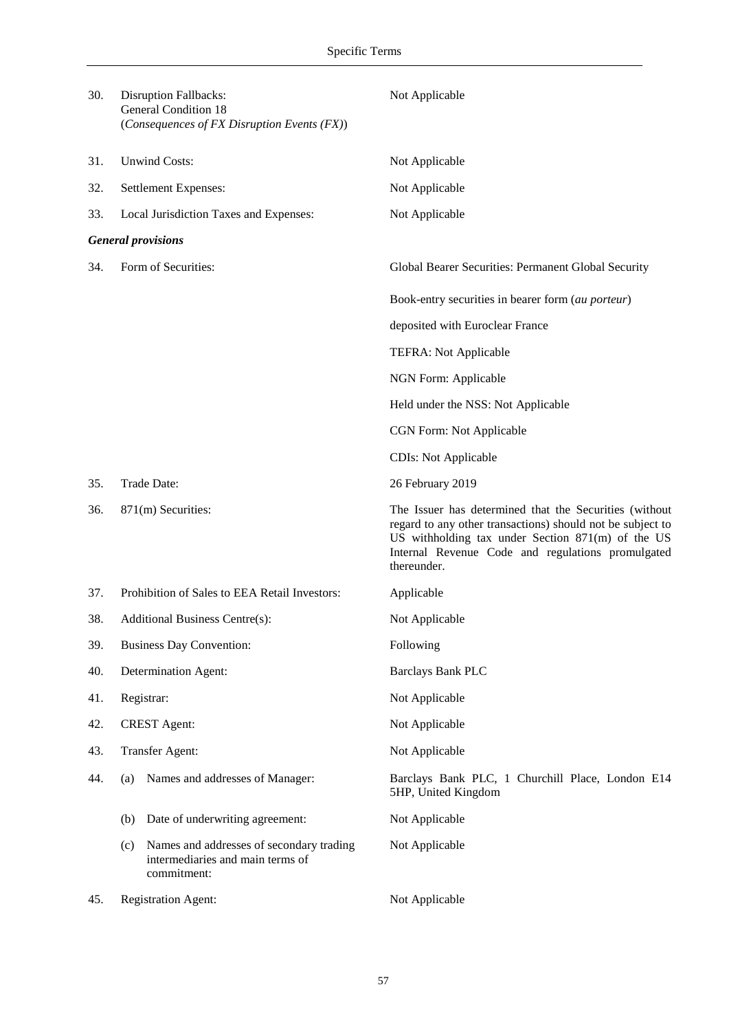| 30. | <b>Disruption Fallbacks:</b><br><b>General Condition 18</b><br>(Consequences of FX Disruption Events (FX)) | Not Applicable                                                                                                                                                                                                                                  |
|-----|------------------------------------------------------------------------------------------------------------|-------------------------------------------------------------------------------------------------------------------------------------------------------------------------------------------------------------------------------------------------|
| 31. | <b>Unwind Costs:</b>                                                                                       | Not Applicable                                                                                                                                                                                                                                  |
| 32. | Settlement Expenses:                                                                                       | Not Applicable                                                                                                                                                                                                                                  |
| 33. | Local Jurisdiction Taxes and Expenses:                                                                     | Not Applicable                                                                                                                                                                                                                                  |
|     | <b>General provisions</b>                                                                                  |                                                                                                                                                                                                                                                 |
| 34. | Form of Securities:                                                                                        | Global Bearer Securities: Permanent Global Security                                                                                                                                                                                             |
|     |                                                                                                            | Book-entry securities in bearer form (au porteur)                                                                                                                                                                                               |
|     |                                                                                                            | deposited with Euroclear France                                                                                                                                                                                                                 |
|     |                                                                                                            | TEFRA: Not Applicable                                                                                                                                                                                                                           |
|     |                                                                                                            | NGN Form: Applicable                                                                                                                                                                                                                            |
|     |                                                                                                            | Held under the NSS: Not Applicable                                                                                                                                                                                                              |
|     |                                                                                                            | CGN Form: Not Applicable                                                                                                                                                                                                                        |
|     |                                                                                                            | <b>CDIs:</b> Not Applicable                                                                                                                                                                                                                     |
| 35. | Trade Date:                                                                                                | 26 February 2019                                                                                                                                                                                                                                |
| 36. | 871(m) Securities:                                                                                         | The Issuer has determined that the Securities (without<br>regard to any other transactions) should not be subject to<br>US withholding tax under Section $871(m)$ of the US<br>Internal Revenue Code and regulations promulgated<br>thereunder. |
| 37. | Prohibition of Sales to EEA Retail Investors:                                                              | Applicable                                                                                                                                                                                                                                      |
| 38. | <b>Additional Business Centre(s):</b>                                                                      | Not Applicable                                                                                                                                                                                                                                  |
| 39. | <b>Business Day Convention:</b>                                                                            | Following                                                                                                                                                                                                                                       |
| 40. | Determination Agent:                                                                                       | <b>Barclays Bank PLC</b>                                                                                                                                                                                                                        |
| 41. | Registrar:                                                                                                 | Not Applicable                                                                                                                                                                                                                                  |
| 42. | <b>CREST</b> Agent:                                                                                        | Not Applicable                                                                                                                                                                                                                                  |
| 43. | Transfer Agent:                                                                                            | Not Applicable                                                                                                                                                                                                                                  |
| 44. | Names and addresses of Manager:<br>(a)                                                                     | Barclays Bank PLC, 1 Churchill Place, London E14<br>5HP, United Kingdom                                                                                                                                                                         |
|     | Date of underwriting agreement:<br>(b)                                                                     | Not Applicable                                                                                                                                                                                                                                  |
|     | Names and addresses of secondary trading<br>(c)<br>intermediaries and main terms of<br>commitment:         | Not Applicable                                                                                                                                                                                                                                  |
| 45. | <b>Registration Agent:</b>                                                                                 | Not Applicable                                                                                                                                                                                                                                  |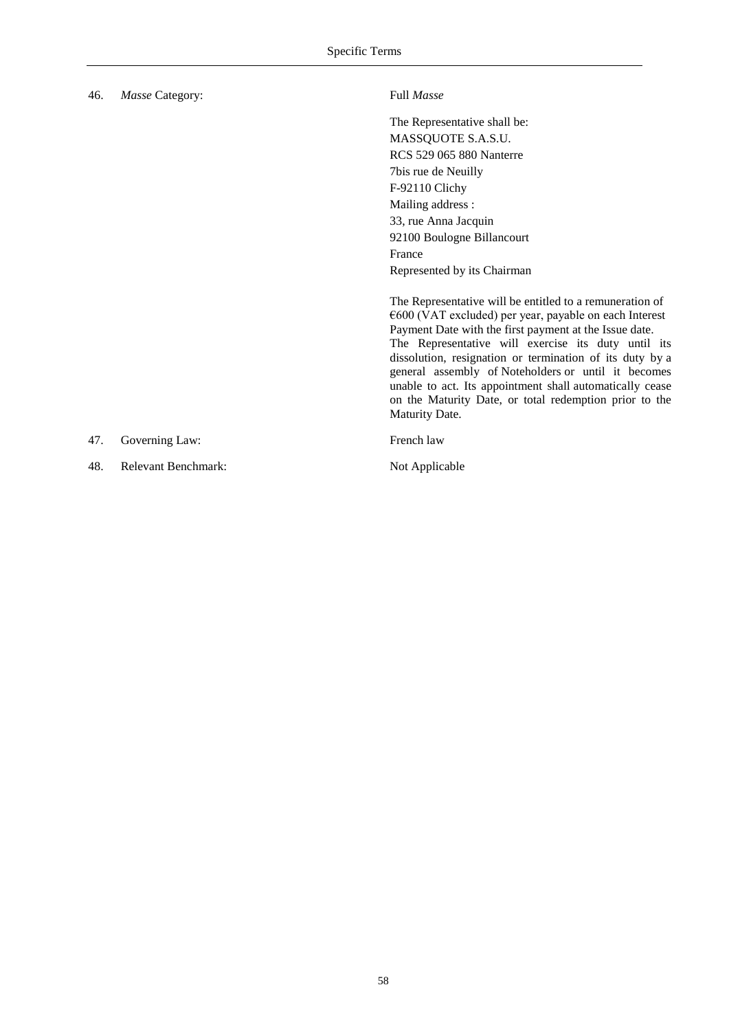| 46. | Masse Category:            | Full Masse                                                                                                                                                                                                                                                                                                                                                                                                                                                                                               |
|-----|----------------------------|----------------------------------------------------------------------------------------------------------------------------------------------------------------------------------------------------------------------------------------------------------------------------------------------------------------------------------------------------------------------------------------------------------------------------------------------------------------------------------------------------------|
|     |                            | The Representative shall be:<br>MASSQUOTE S.A.S.U.<br><b>RCS 529 065 880 Nanterre</b><br>7bis rue de Neuilly<br>F-92110 Clichy<br>Mailing address :<br>33, rue Anna Jacquin<br>92100 Boulogne Billancourt<br>France<br>Represented by its Chairman                                                                                                                                                                                                                                                       |
|     |                            | The Representative will be entitled to a remuneration of<br>$\epsilon$ 600 (VAT excluded) per year, payable on each Interest<br>Payment Date with the first payment at the Issue date.<br>The Representative will exercise its duty until its<br>dissolution, resignation or termination of its duty by a<br>general assembly of Noteholders or until it becomes<br>unable to act. Its appointment shall automatically cease<br>on the Maturity Date, or total redemption prior to the<br>Maturity Date. |
| 47. | Governing Law:             | French law                                                                                                                                                                                                                                                                                                                                                                                                                                                                                               |
| 48. | <b>Relevant Benchmark:</b> | Not Applicable                                                                                                                                                                                                                                                                                                                                                                                                                                                                                           |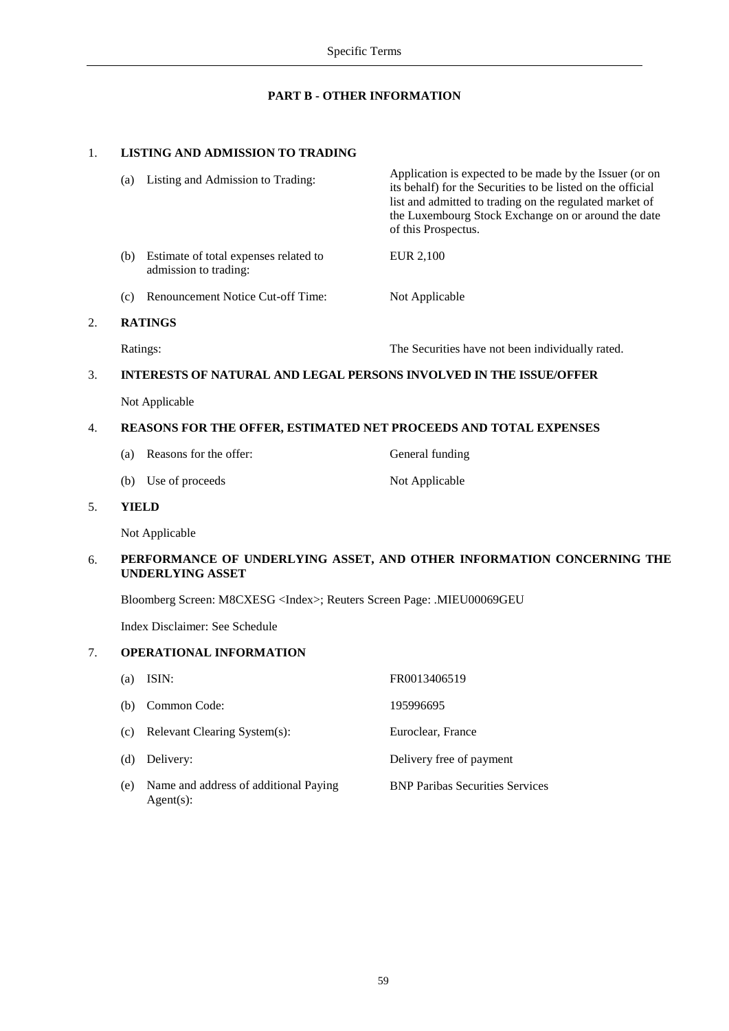# **PART B - OTHER INFORMATION**

# 1. **LISTING AND ADMISSION TO TRADING**

Agent(s):

|                                                                        | (a)                                                                                              | Listing and Admission to Trading:                                  | Application is expected to be made by the Issuer (or on<br>its behalf) for the Securities to be listed on the official<br>list and admitted to trading on the regulated market of<br>the Luxembourg Stock Exchange on or around the date<br>of this Prospectus. |  |
|------------------------------------------------------------------------|--------------------------------------------------------------------------------------------------|--------------------------------------------------------------------|-----------------------------------------------------------------------------------------------------------------------------------------------------------------------------------------------------------------------------------------------------------------|--|
|                                                                        |                                                                                                  | (b) Estimate of total expenses related to<br>admission to trading: | EUR 2,100                                                                                                                                                                                                                                                       |  |
|                                                                        | (c)                                                                                              | Renouncement Notice Cut-off Time:                                  | Not Applicable                                                                                                                                                                                                                                                  |  |
| 2.                                                                     |                                                                                                  | <b>RATINGS</b>                                                     |                                                                                                                                                                                                                                                                 |  |
|                                                                        | Ratings:                                                                                         |                                                                    | The Securities have not been individually rated.                                                                                                                                                                                                                |  |
| 3.                                                                     | INTERESTS OF NATURAL AND LEGAL PERSONS INVOLVED IN THE ISSUE/OFFER                               |                                                                    |                                                                                                                                                                                                                                                                 |  |
|                                                                        |                                                                                                  | Not Applicable                                                     |                                                                                                                                                                                                                                                                 |  |
| REASONS FOR THE OFFER, ESTIMATED NET PROCEEDS AND TOTAL EXPENSES<br>4. |                                                                                                  |                                                                    |                                                                                                                                                                                                                                                                 |  |
|                                                                        | (a)                                                                                              | Reasons for the offer:                                             | General funding                                                                                                                                                                                                                                                 |  |
|                                                                        |                                                                                                  | (b) Use of proceeds                                                | Not Applicable                                                                                                                                                                                                                                                  |  |
| 5.                                                                     | <b>YIELD</b>                                                                                     |                                                                    |                                                                                                                                                                                                                                                                 |  |
|                                                                        |                                                                                                  | Not Applicable                                                     |                                                                                                                                                                                                                                                                 |  |
| 6.                                                                     | PERFORMANCE OF UNDERLYING ASSET, AND OTHER INFORMATION CONCERNING THE<br><b>UNDERLYING ASSET</b> |                                                                    |                                                                                                                                                                                                                                                                 |  |
|                                                                        | Bloomberg Screen: M8CXESG <index>; Reuters Screen Page: .MIEU00069GEU</index>                    |                                                                    |                                                                                                                                                                                                                                                                 |  |
|                                                                        |                                                                                                  | Index Disclaimer: See Schedule                                     |                                                                                                                                                                                                                                                                 |  |
| 7.                                                                     |                                                                                                  | <b>OPERATIONAL INFORMATION</b>                                     |                                                                                                                                                                                                                                                                 |  |
|                                                                        | (a)                                                                                              | ISIN:                                                              | FR0013406519                                                                                                                                                                                                                                                    |  |
|                                                                        | (b)                                                                                              | Common Code:                                                       | 195996695                                                                                                                                                                                                                                                       |  |
|                                                                        | (c)                                                                                              | Relevant Clearing System(s):                                       | Euroclear, France                                                                                                                                                                                                                                               |  |
|                                                                        | (d)                                                                                              | Delivery:                                                          | Delivery free of payment                                                                                                                                                                                                                                        |  |
|                                                                        | (e)                                                                                              | Name and address of additional Paying                              | <b>BNP Paribas Securities Services</b>                                                                                                                                                                                                                          |  |

59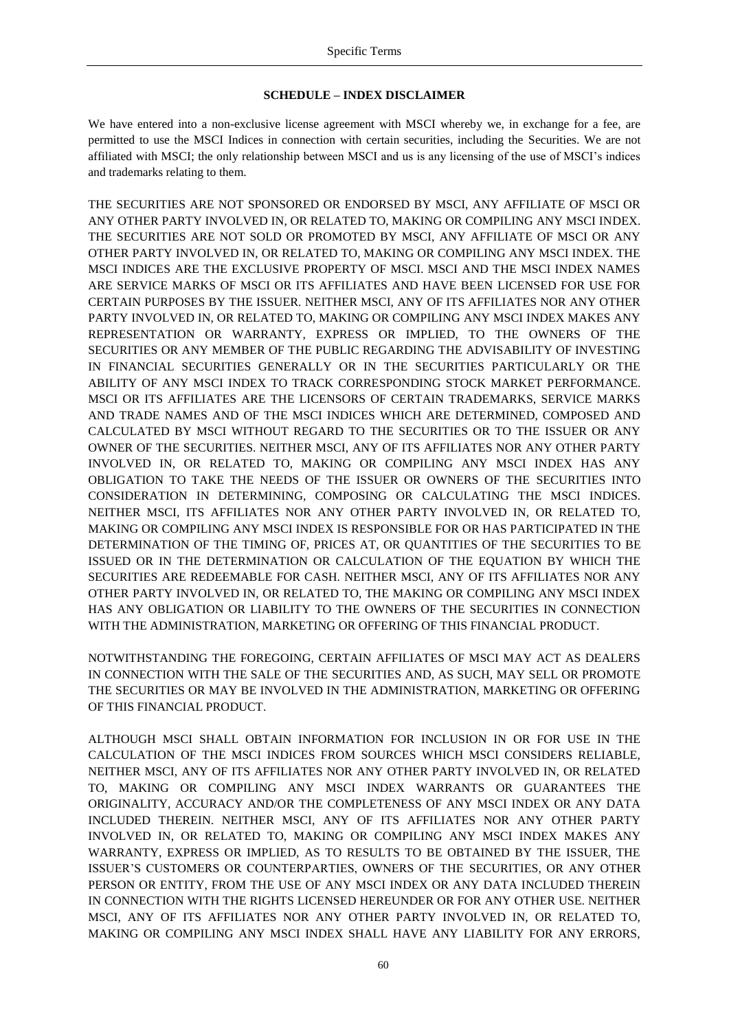## **SCHEDULE – INDEX DISCLAIMER**

We have entered into a non-exclusive license agreement with MSCI whereby we, in exchange for a fee, are permitted to use the MSCI Indices in connection with certain securities, including the Securities. We are not affiliated with MSCI; the only relationship between MSCI and us is any licensing of the use of MSCI's indices and trademarks relating to them.

THE SECURITIES ARE NOT SPONSORED OR ENDORSED BY MSCI, ANY AFFILIATE OF MSCI OR ANY OTHER PARTY INVOLVED IN, OR RELATED TO, MAKING OR COMPILING ANY MSCI INDEX. THE SECURITIES ARE NOT SOLD OR PROMOTED BY MSCI, ANY AFFILIATE OF MSCI OR ANY OTHER PARTY INVOLVED IN, OR RELATED TO, MAKING OR COMPILING ANY MSCI INDEX. THE MSCI INDICES ARE THE EXCLUSIVE PROPERTY OF MSCI. MSCI AND THE MSCI INDEX NAMES ARE SERVICE MARKS OF MSCI OR ITS AFFILIATES AND HAVE BEEN LICENSED FOR USE FOR CERTAIN PURPOSES BY THE ISSUER. NEITHER MSCI, ANY OF ITS AFFILIATES NOR ANY OTHER PARTY INVOLVED IN, OR RELATED TO, MAKING OR COMPILING ANY MSCI INDEX MAKES ANY REPRESENTATION OR WARRANTY, EXPRESS OR IMPLIED, TO THE OWNERS OF THE SECURITIES OR ANY MEMBER OF THE PUBLIC REGARDING THE ADVISABILITY OF INVESTING IN FINANCIAL SECURITIES GENERALLY OR IN THE SECURITIES PARTICULARLY OR THE ABILITY OF ANY MSCI INDEX TO TRACK CORRESPONDING STOCK MARKET PERFORMANCE. MSCI OR ITS AFFILIATES ARE THE LICENSORS OF CERTAIN TRADEMARKS, SERVICE MARKS AND TRADE NAMES AND OF THE MSCI INDICES WHICH ARE DETERMINED, COMPOSED AND CALCULATED BY MSCI WITHOUT REGARD TO THE SECURITIES OR TO THE ISSUER OR ANY OWNER OF THE SECURITIES. NEITHER MSCI, ANY OF ITS AFFILIATES NOR ANY OTHER PARTY INVOLVED IN, OR RELATED TO, MAKING OR COMPILING ANY MSCI INDEX HAS ANY OBLIGATION TO TAKE THE NEEDS OF THE ISSUER OR OWNERS OF THE SECURITIES INTO CONSIDERATION IN DETERMINING, COMPOSING OR CALCULATING THE MSCI INDICES. NEITHER MSCI, ITS AFFILIATES NOR ANY OTHER PARTY INVOLVED IN, OR RELATED TO, MAKING OR COMPILING ANY MSCI INDEX IS RESPONSIBLE FOR OR HAS PARTICIPATED IN THE DETERMINATION OF THE TIMING OF, PRICES AT, OR QUANTITIES OF THE SECURITIES TO BE ISSUED OR IN THE DETERMINATION OR CALCULATION OF THE EQUATION BY WHICH THE SECURITIES ARE REDEEMABLE FOR CASH. NEITHER MSCI, ANY OF ITS AFFILIATES NOR ANY OTHER PARTY INVOLVED IN, OR RELATED TO, THE MAKING OR COMPILING ANY MSCI INDEX HAS ANY OBLIGATION OR LIABILITY TO THE OWNERS OF THE SECURITIES IN CONNECTION WITH THE ADMINISTRATION, MARKETING OR OFFERING OF THIS FINANCIAL PRODUCT.

NOTWITHSTANDING THE FOREGOING, CERTAIN AFFILIATES OF MSCI MAY ACT AS DEALERS IN CONNECTION WITH THE SALE OF THE SECURITIES AND, AS SUCH, MAY SELL OR PROMOTE THE SECURITIES OR MAY BE INVOLVED IN THE ADMINISTRATION, MARKETING OR OFFERING OF THIS FINANCIAL PRODUCT.

ALTHOUGH MSCI SHALL OBTAIN INFORMATION FOR INCLUSION IN OR FOR USE IN THE CALCULATION OF THE MSCI INDICES FROM SOURCES WHICH MSCI CONSIDERS RELIABLE, NEITHER MSCI, ANY OF ITS AFFILIATES NOR ANY OTHER PARTY INVOLVED IN, OR RELATED TO, MAKING OR COMPILING ANY MSCI INDEX WARRANTS OR GUARANTEES THE ORIGINALITY, ACCURACY AND/OR THE COMPLETENESS OF ANY MSCI INDEX OR ANY DATA INCLUDED THEREIN. NEITHER MSCI, ANY OF ITS AFFILIATES NOR ANY OTHER PARTY INVOLVED IN, OR RELATED TO, MAKING OR COMPILING ANY MSCI INDEX MAKES ANY WARRANTY, EXPRESS OR IMPLIED, AS TO RESULTS TO BE OBTAINED BY THE ISSUER, THE ISSUER'S CUSTOMERS OR COUNTERPARTIES, OWNERS OF THE SECURITIES, OR ANY OTHER PERSON OR ENTITY, FROM THE USE OF ANY MSCI INDEX OR ANY DATA INCLUDED THEREIN IN CONNECTION WITH THE RIGHTS LICENSED HEREUNDER OR FOR ANY OTHER USE. NEITHER MSCI, ANY OF ITS AFFILIATES NOR ANY OTHER PARTY INVOLVED IN, OR RELATED TO, MAKING OR COMPILING ANY MSCI INDEX SHALL HAVE ANY LIABILITY FOR ANY ERRORS,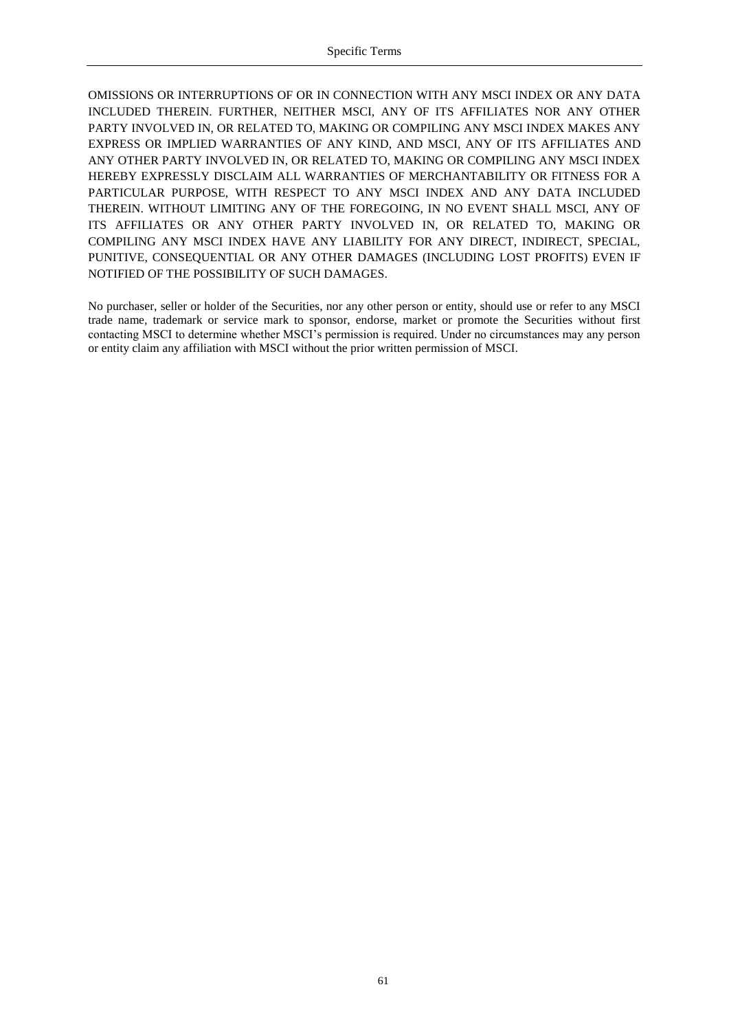OMISSIONS OR INTERRUPTIONS OF OR IN CONNECTION WITH ANY MSCI INDEX OR ANY DATA INCLUDED THEREIN. FURTHER, NEITHER MSCI, ANY OF ITS AFFILIATES NOR ANY OTHER PARTY INVOLVED IN, OR RELATED TO, MAKING OR COMPILING ANY MSCI INDEX MAKES ANY EXPRESS OR IMPLIED WARRANTIES OF ANY KIND, AND MSCI, ANY OF ITS AFFILIATES AND ANY OTHER PARTY INVOLVED IN, OR RELATED TO, MAKING OR COMPILING ANY MSCI INDEX HEREBY EXPRESSLY DISCLAIM ALL WARRANTIES OF MERCHANTABILITY OR FITNESS FOR A PARTICULAR PURPOSE, WITH RESPECT TO ANY MSCI INDEX AND ANY DATA INCLUDED THEREIN. WITHOUT LIMITING ANY OF THE FOREGOING, IN NO EVENT SHALL MSCI, ANY OF ITS AFFILIATES OR ANY OTHER PARTY INVOLVED IN, OR RELATED TO, MAKING OR COMPILING ANY MSCI INDEX HAVE ANY LIABILITY FOR ANY DIRECT, INDIRECT, SPECIAL, PUNITIVE, CONSEQUENTIAL OR ANY OTHER DAMAGES (INCLUDING LOST PROFITS) EVEN IF NOTIFIED OF THE POSSIBILITY OF SUCH DAMAGES.

No purchaser, seller or holder of the Securities, nor any other person or entity, should use or refer to any MSCI trade name, trademark or service mark to sponsor, endorse, market or promote the Securities without first contacting MSCI to determine whether MSCI's permission is required. Under no circumstances may any person or entity claim any affiliation with MSCI without the prior written permission of MSCI.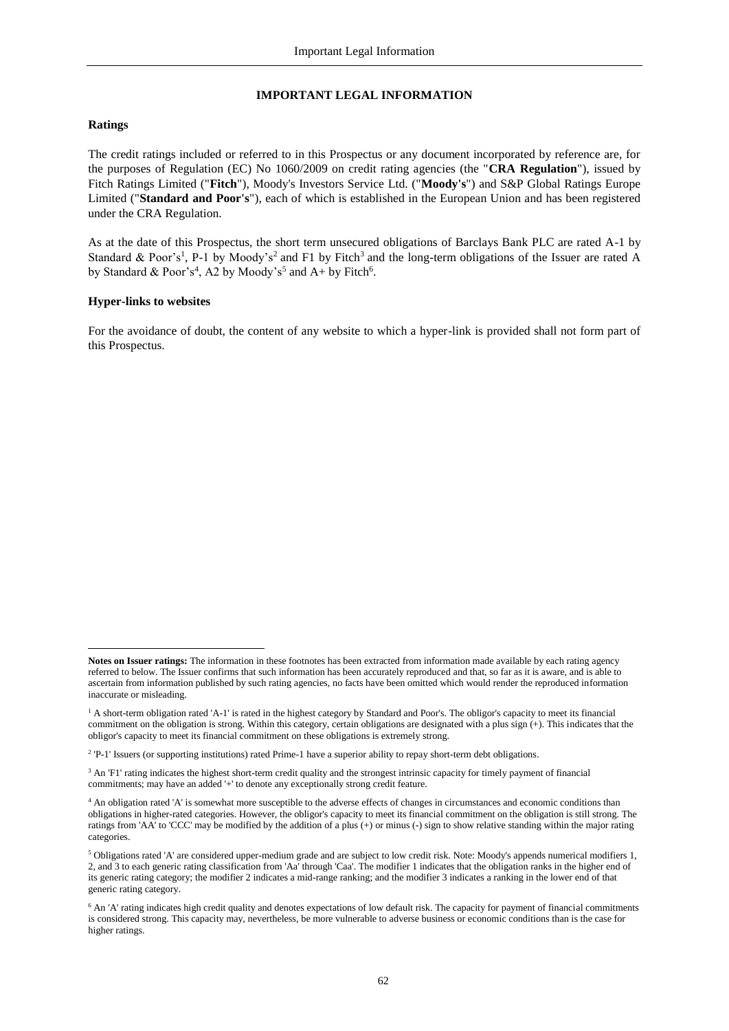## <span id="page-61-1"></span>**IMPORTANT LEGAL INFORMATION**

## <span id="page-61-0"></span>**Ratings**

-

The credit ratings included or referred to in this Prospectus or any document incorporated by reference are, for the purposes of Regulation (EC) No 1060/2009 on credit rating agencies (the "**CRA Regulation**"), issued by Fitch Ratings Limited ("**Fitch**"), Moody's Investors Service Ltd. ("**Moody's**") and S&P Global Ratings Europe Limited ("**Standard and Poor's**"), each of which is established in the European Union and has been registered under the CRA Regulation.

As at the date of this Prospectus, the short term unsecured obligations of Barclays Bank PLC are rated A-1 by Standard & Poor's<sup>1</sup>, P-1 by Moody's<sup>2</sup> and F1 by Fitch<sup>3</sup> and the long-term obligations of the Issuer are rated A by Standard & Poor's<sup>4</sup>, A2 by Moody's<sup>5</sup> and A+ by Fitch<sup>6</sup>.

#### **Hyper-links to websites**

For the avoidance of doubt, the content of any website to which a hyper-link is provided shall not form part of this Prospectus.

**Notes on Issuer ratings:** The information in these footnotes has been extracted from information made available by each rating agency referred to below. The Issuer confirms that such information has been accurately reproduced and that, so far as it is aware, and is able to ascertain from information published by such rating agencies, no facts have been omitted which would render the reproduced information inaccurate or misleading.

<sup>&</sup>lt;sup>1</sup> A short-term obligation rated 'A-1' is rated in the highest category by Standard and Poor's. The obligor's capacity to meet its financial commitment on the obligation is strong. Within this category, certain obligations are designated with a plus sign (+). This indicates that the obligor's capacity to meet its financial commitment on these obligations is extremely strong.

<sup>&</sup>lt;sup>2</sup> 'P-1' Issuers (or supporting institutions) rated Prime-1 have a superior ability to repay short-term debt obligations.

<sup>&</sup>lt;sup>3</sup> An 'F1' rating indicates the highest short-term credit quality and the strongest intrinsic capacity for timely payment of financial commitments; may have an added '+' to denote any exceptionally strong credit feature.

<sup>4</sup> An obligation rated 'A' is somewhat more susceptible to the adverse effects of changes in circumstances and economic conditions than obligations in higher-rated categories. However, the obligor's capacity to meet its financial commitment on the obligation is still strong. The ratings from 'AA' to 'CCC' may be modified by the addition of a plus (+) or minus (-) sign to show relative standing within the major rating categories.

<sup>5</sup> Obligations rated 'A' are considered upper-medium grade and are subject to low credit risk. Note: Moody's appends numerical modifiers 1, 2, and 3 to each generic rating classification from 'Aa' through 'Caa'. The modifier 1 indicates that the obligation ranks in the higher end of its generic rating category; the modifier 2 indicates a mid-range ranking; and the modifier 3 indicates a ranking in the lower end of that generic rating category.

 $6$  An 'A' rating indicates high credit quality and denotes expectations of low default risk. The capacity for payment of financial commitments is considered strong. This capacity may, nevertheless, be more vulnerable to adverse business or economic conditions than is the case for higher ratings.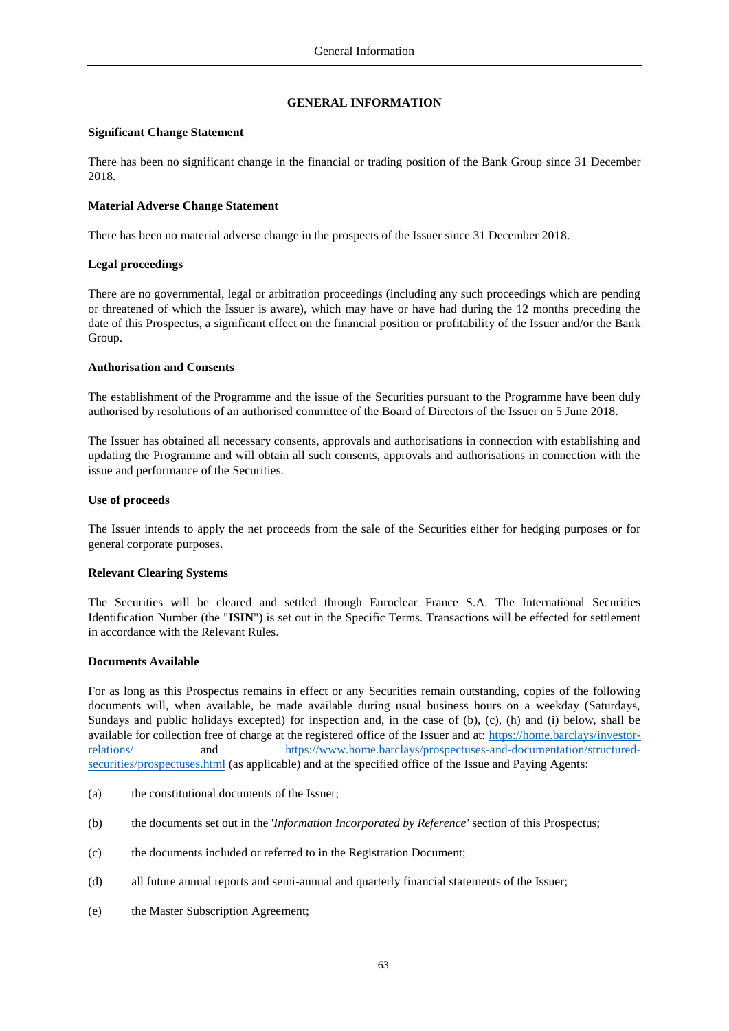## <span id="page-62-1"></span>**GENERAL INFORMATION**

## <span id="page-62-0"></span>**Significant Change Statement**

There has been no significant change in the financial or trading position of the Bank Group since 31 December 2018.

# **Material Adverse Change Statement**

There has been no material adverse change in the prospects of the Issuer since 31 December 2018.

# **Legal proceedings**

There are no governmental, legal or arbitration proceedings (including any such proceedings which are pending or threatened of which the Issuer is aware), which may have or have had during the 12 months preceding the date of this Prospectus, a significant effect on the financial position or profitability of the Issuer and/or the Bank Group.

# **Authorisation and Consents**

The establishment of the Programme and the issue of the Securities pursuant to the Programme have been duly authorised by resolutions of an authorised committee of the Board of Directors of the Issuer on 5 June 2018.

The Issuer has obtained all necessary consents, approvals and authorisations in connection with establishing and updating the Programme and will obtain all such consents, approvals and authorisations in connection with the issue and performance of the Securities.

# **Use of proceeds**

The Issuer intends to apply the net proceeds from the sale of the Securities either for hedging purposes or for general corporate purposes.

## **Relevant Clearing Systems**

The Securities will be cleared and settled through Euroclear France S.A. The International Securities Identification Number (the "**ISIN**") is set out in the Specific Terms. Transactions will be effected for settlement in accordance with the Relevant Rules.

## **Documents Available**

For as long as this Prospectus remains in effect or any Securities remain outstanding, copies of the following documents will, when available, be made available during usual business hours on a weekday (Saturdays, Sundays and public holidays excepted) for inspection and, in the case of (b), (c), (h) and (i) below, shall be available for collection free of charge at the registered office of the Issuer and at: [https://home.barclays/investor](https://home.barclays/investor-relations/)[relations/](https://home.barclays/investor-relations/) and [https://www.home.barclays/prospectuses-and-documentation/structured](https://www.home.barclays/prospectuses-and-documentation/structured-securities/prospectuses.html)[securities/prospectuses.html](https://www.home.barclays/prospectuses-and-documentation/structured-securities/prospectuses.html) (as applicable) and at the specified office of the Issue and Paying Agents:

- (a) the constitutional documents of the Issuer;
- (b) the documents set out in the '*Information Incorporated by Reference'* section of this Prospectus;
- (c) the documents included or referred to in the Registration Document;
- (d) all future annual reports and semi-annual and quarterly financial statements of the Issuer;
- (e) the Master Subscription Agreement;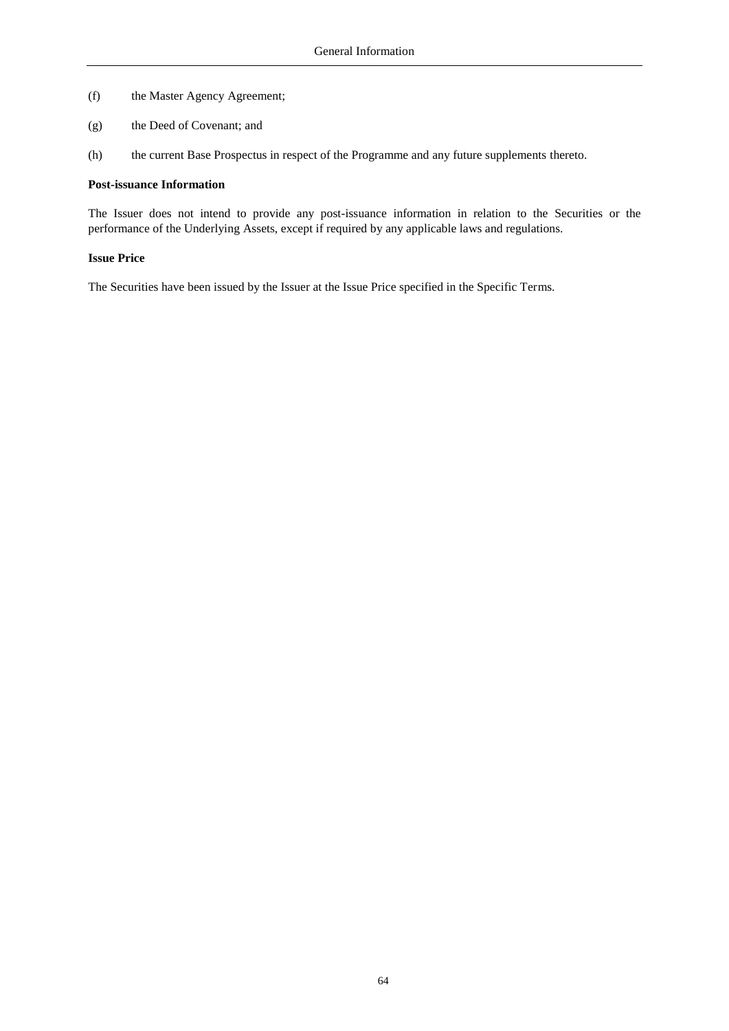- (f) the Master Agency Agreement;
- (g) the Deed of Covenant; and
- (h) the current Base Prospectus in respect of the Programme and any future supplements thereto.

#### **Post-issuance Information**

The Issuer does not intend to provide any post-issuance information in relation to the Securities or the performance of the Underlying Assets, except if required by any applicable laws and regulations.

#### **Issue Price**

The Securities have been issued by the Issuer at the Issue Price specified in the Specific Terms.